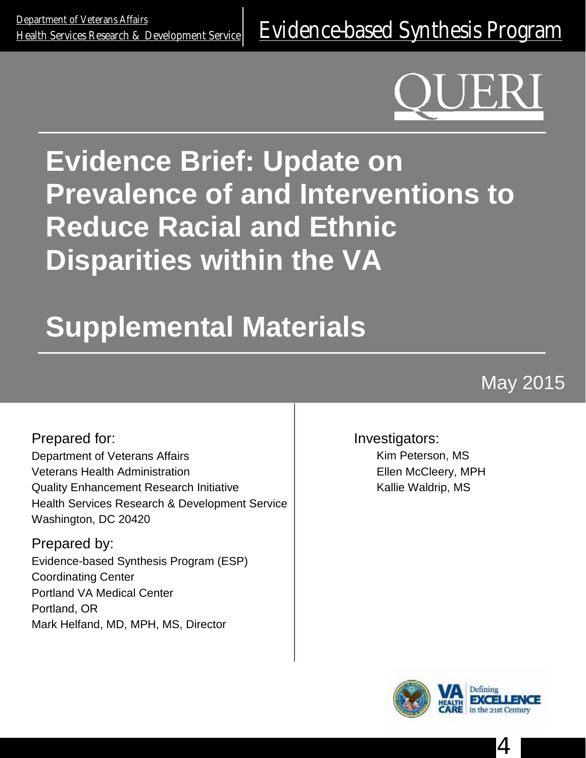# **Evidence Brief: Update on Prevalence of and Interventions to Reduce Racial and Ethnic Disparities within the VA**

# **Supplemental Materials**

May 2015

Prepared for: Department of Veterans Affairs Veterans Health Administration Quality Enhancement Research Initiative Health Services Research & Development Service Washington, DC 20420

Prepared by: Evidence-based Synthesis Program (ESP) Coordinating Center Portland VA Medical Center Portland, OR Mark Helfand, MD, MPH, MS, Director

Investigators:

Kim Peterson, MS Ellen McCleery, MPH Kallie Waldrip, MS



4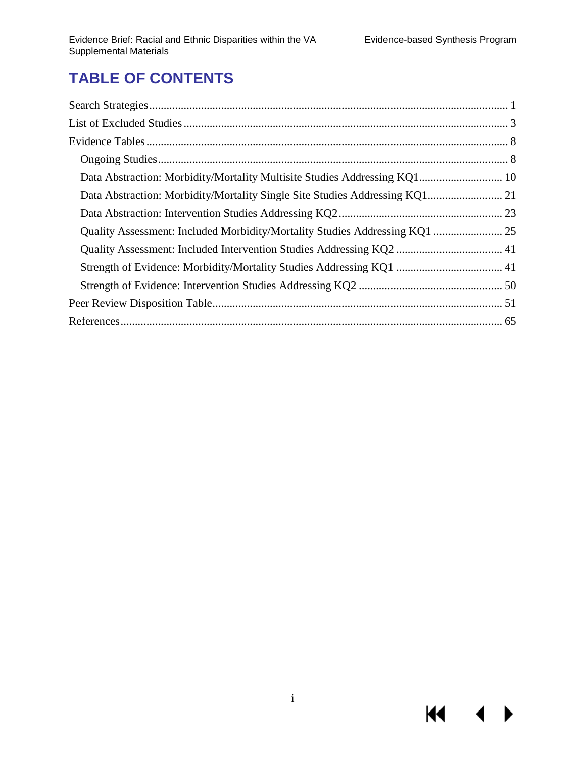$M \sim$ 

 $\blacktriangleright$ 

# **TABLE OF CONTENTS**

| Data Abstraction: Morbidity/Mortality Multisite Studies Addressing KQ1 10   |  |
|-----------------------------------------------------------------------------|--|
|                                                                             |  |
|                                                                             |  |
| Quality Assessment: Included Morbidity/Mortality Studies Addressing KQ1  25 |  |
|                                                                             |  |
|                                                                             |  |
|                                                                             |  |
|                                                                             |  |
|                                                                             |  |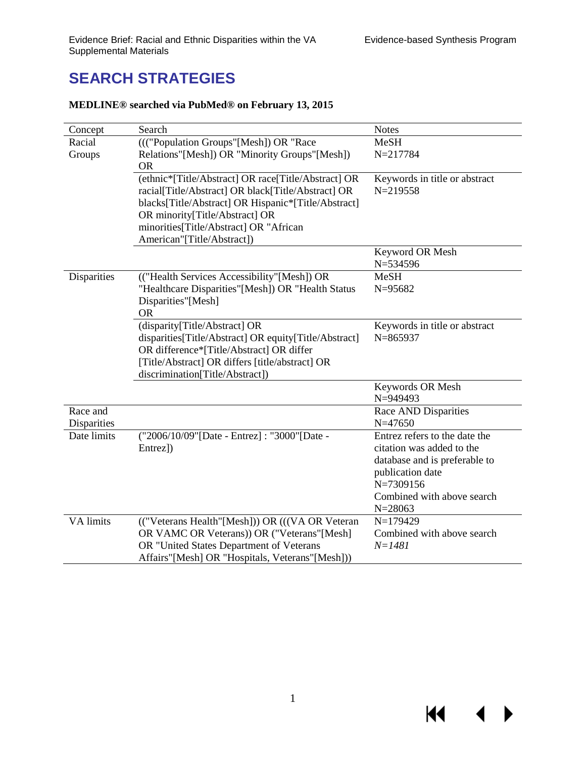KI I

◀

# **SEARCH STRATEGIES**

| Concept                 | Search                                                | <b>Notes</b>                        |
|-------------------------|-------------------------------------------------------|-------------------------------------|
| Racial                  | ((("Population Groups"[Mesh]) OR "Race                | MeSH                                |
| Groups                  | Relations"[Mesh]) OR "Minority Groups"[Mesh])         | N=217784                            |
|                         | <b>OR</b>                                             |                                     |
|                         | (ethnic*[Title/Abstract] OR race[Title/Abstract] OR   | Keywords in title or abstract       |
|                         | racial[Title/Abstract] OR black[Title/Abstract] OR    | $N = 219558$                        |
|                         | blacks[Title/Abstract] OR Hispanic*[Title/Abstract]   |                                     |
|                         | OR minority[Title/Abstract] OR                        |                                     |
|                         | minorities[Title/Abstract] OR "African                |                                     |
|                         | American"[Title/Abstract])                            |                                     |
|                         |                                                       | Keyword OR Mesh                     |
|                         |                                                       | N=534596                            |
| Disparities             | (("Health Services Accessibility"[Mesh]) OR           | <b>MeSH</b>                         |
|                         | "Healthcare Disparities"[Mesh]) OR "Health Status     | N=95682                             |
|                         | Disparities"[Mesh]                                    |                                     |
|                         | <b>OR</b>                                             |                                     |
|                         | (disparity[Title/Abstract] OR                         | Keywords in title or abstract       |
|                         | disparities[Title/Abstract] OR equity[Title/Abstract] | $N = 865937$                        |
|                         | OR difference*[Title/Abstract] OR differ              |                                     |
|                         | [Title/Abstract] OR differs [title/abstract] OR       |                                     |
|                         | discrimination[Title/Abstract])                       |                                     |
|                         |                                                       | Keywords OR Mesh                    |
|                         |                                                       | N=949493                            |
| Race and<br>Disparities |                                                       | Race AND Disparities<br>$N = 47650$ |
| Date limits             | ("2006/10/09"[Date - Entrez]: "3000"[Date -           | Entrez refers to the date the       |
|                         | Entrez])                                              | citation was added to the           |
|                         |                                                       | database and is preferable to       |
|                         |                                                       | publication date                    |
|                         |                                                       | N=7309156                           |
|                         |                                                       | Combined with above search          |
|                         |                                                       | $N = 28063$                         |
| VA limits               | (("Veterans Health"[Mesh])) OR (((VA OR Veteran)      | N=179429                            |
|                         | OR VAMC OR Veterans)) OR ("Veterans"[Mesh]            | Combined with above search          |
|                         | OR "United States Department of Veterans              | $N = 1481$                          |
|                         | Affairs"[Mesh] OR "Hospitals, Veterans"[Mesh]))       |                                     |

#### **MEDLINE® searched via PubMed® on February 13, 2015**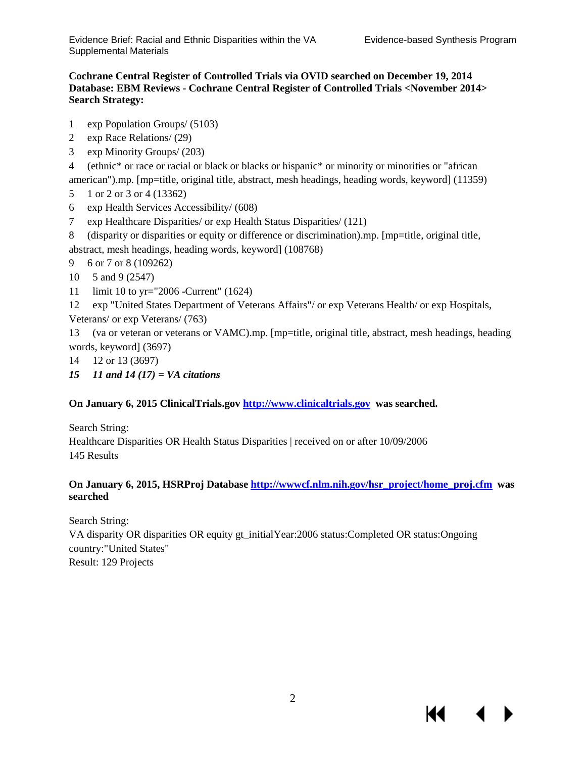KI

#### **Cochrane Central Register of Controlled Trials via OVID searched on December 19, 2014 Database: EBM Reviews - Cochrane Central Register of Controlled Trials <November 2014> Search Strategy:**

- 1 exp Population Groups/ (5103)
- 2 exp Race Relations/ (29)
- 3 exp Minority Groups/ (203)

4 (ethnic\* or race or racial or black or blacks or hispanic\* or minority or minorities or "african american").mp. [mp=title, original title, abstract, mesh headings, heading words, keyword] (11359)

- 5 1 or 2 or 3 or 4 (13362)
- 6 exp Health Services Accessibility/ (608)
- 7 exp Healthcare Disparities/ or exp Health Status Disparities/ (121)
- 8 (disparity or disparities or equity or difference or discrimination).mp. [mp=title, original title, abstract, mesh headings, heading words, keyword] (108768)

9 6 or 7 or 8 (109262)

- 10 5 and 9 (2547)
- 11 limit 10 to yr="2006 -Current" (1624)

12 exp "United States Department of Veterans Affairs"/ or exp Veterans Health/ or exp Hospitals, Veterans/ or exp Veterans/ (763)

13 (va or veteran or veterans or VAMC).mp. [mp=title, original title, abstract, mesh headings, heading words, keyword] (3697)

- 14 12 or 13 (3697)
- *15 11 and 14 (17) = VA citations*

#### **On January 6, 2015 ClinicalTrials.gov [http://www.clinicaltrials.gov](http://www.clinicaltrials.gov/) was searched.**

Search String:

Healthcare Disparities OR Health Status Disparities | received on or after 10/09/2006 145 Results

#### **On January 6, 2015, HSRProj Database [http://wwwcf.nlm.nih.gov/hsr\\_project/home\\_proj.cfm](http://wwwcf.nlm.nih.gov/hsr_project/home_proj.cfm) was searched**

Search String:

VA disparity OR disparities OR equity gt\_initialYear:2006 status:Completed OR status:Ongoing country:"United States" Result: 129 Projects

2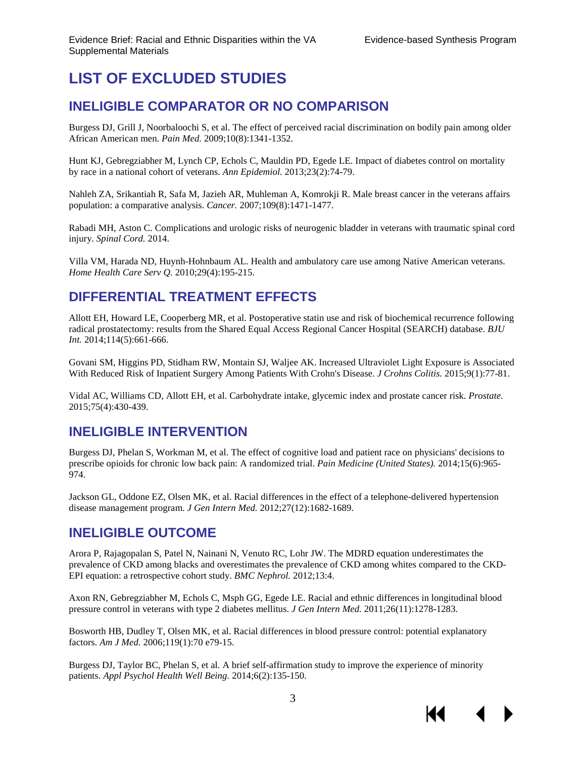# <span id="page-4-0"></span>**LIST OF EXCLUDED STUDIES**

#### **INELIGIBLE COMPARATOR OR NO COMPARISON**

Burgess DJ, Grill J, Noorbaloochi S, et al. The effect of perceived racial discrimination on bodily pain among older African American men. *Pain Med.* 2009;10(8):1341-1352.

Hunt KJ, Gebregziabher M, Lynch CP, Echols C, Mauldin PD, Egede LE. Impact of diabetes control on mortality by race in a national cohort of veterans. *Ann Epidemiol.* 2013;23(2):74-79.

Nahleh ZA, Srikantiah R, Safa M, Jazieh AR, Muhleman A, Komrokji R. Male breast cancer in the veterans affairs population: a comparative analysis. *Cancer.* 2007;109(8):1471-1477.

Rabadi MH, Aston C. Complications and urologic risks of neurogenic bladder in veterans with traumatic spinal cord injury. *Spinal Cord.* 2014.

Villa VM, Harada ND, Huynh-Hohnbaum AL. Health and ambulatory care use among Native American veterans. *Home Health Care Serv Q.* 2010;29(4):195-215.

### **DIFFERENTIAL TREATMENT EFFECTS**

Allott EH, Howard LE, Cooperberg MR, et al. Postoperative statin use and risk of biochemical recurrence following radical prostatectomy: results from the Shared Equal Access Regional Cancer Hospital (SEARCH) database. *BJU Int.* 2014;114(5):661-666.

Govani SM, Higgins PD, Stidham RW, Montain SJ, Waljee AK. Increased Ultraviolet Light Exposure is Associated With Reduced Risk of Inpatient Surgery Among Patients With Crohn's Disease. *J Crohns Colitis.* 2015;9(1):77-81.

Vidal AC, Williams CD, Allott EH, et al. Carbohydrate intake, glycemic index and prostate cancer risk. *Prostate.*  2015;75(4):430-439.

#### **INELIGIBLE INTERVENTION**

Burgess DJ, Phelan S, Workman M, et al. The effect of cognitive load and patient race on physicians' decisions to prescribe opioids for chronic low back pain: A randomized trial. *Pain Medicine (United States).* 2014;15(6):965- 974.

Jackson GL, Oddone EZ, Olsen MK, et al. Racial differences in the effect of a telephone-delivered hypertension disease management program. *J Gen Intern Med.* 2012;27(12):1682-1689.

#### **INELIGIBLE OUTCOME**

Arora P, Rajagopalan S, Patel N, Nainani N, Venuto RC, Lohr JW. The MDRD equation underestimates the prevalence of CKD among blacks and overestimates the prevalence of CKD among whites compared to the CKD-EPI equation: a retrospective cohort study. *BMC Nephrol.* 2012;13:4.

Axon RN, Gebregziabher M, Echols C, Msph GG, Egede LE. Racial and ethnic differences in longitudinal blood pressure control in veterans with type 2 diabetes mellitus. *J Gen Intern Med.* 2011;26(11):1278-1283.

Bosworth HB, Dudley T, Olsen MK, et al. Racial differences in blood pressure control: potential explanatory factors. *Am J Med.* 2006;119(1):70 e79-15.

Burgess DJ, Taylor BC, Phelan S, et al. A brief self-affirmation study to improve the experience of minority patients. *Appl Psychol Health Well Being.* 2014;6(2):135-150.

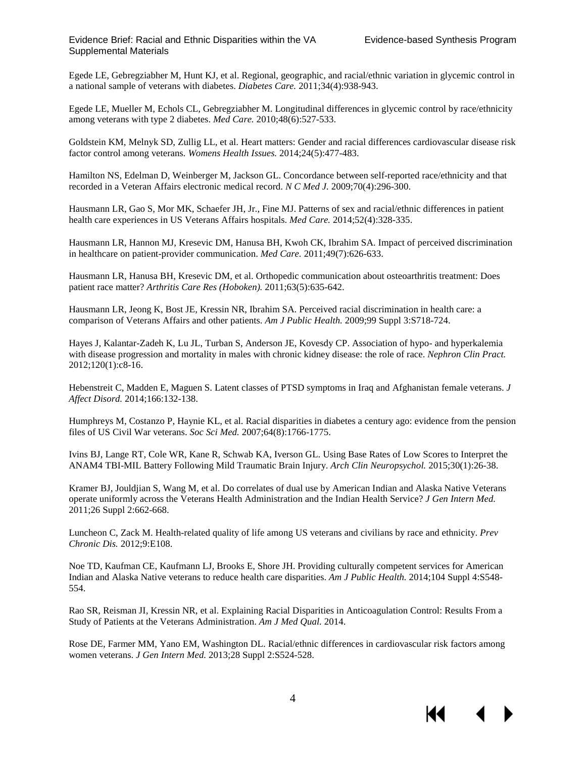К€

Egede LE, Gebregziabher M, Hunt KJ, et al. Regional, geographic, and racial/ethnic variation in glycemic control in a national sample of veterans with diabetes. *Diabetes Care.* 2011;34(4):938-943.

Egede LE, Mueller M, Echols CL, Gebregziabher M. Longitudinal differences in glycemic control by race/ethnicity among veterans with type 2 diabetes. *Med Care.* 2010;48(6):527-533.

Goldstein KM, Melnyk SD, Zullig LL, et al. Heart matters: Gender and racial differences cardiovascular disease risk factor control among veterans. *Womens Health Issues.* 2014;24(5):477-483.

Hamilton NS, Edelman D, Weinberger M, Jackson GL. Concordance between self-reported race/ethnicity and that recorded in a Veteran Affairs electronic medical record. *N C Med J.* 2009;70(4):296-300.

Hausmann LR, Gao S, Mor MK, Schaefer JH, Jr., Fine MJ. Patterns of sex and racial/ethnic differences in patient health care experiences in US Veterans Affairs hospitals. *Med Care.* 2014;52(4):328-335.

Hausmann LR, Hannon MJ, Kresevic DM, Hanusa BH, Kwoh CK, Ibrahim SA. Impact of perceived discrimination in healthcare on patient-provider communication. *Med Care.* 2011;49(7):626-633.

Hausmann LR, Hanusa BH, Kresevic DM, et al. Orthopedic communication about osteoarthritis treatment: Does patient race matter? *Arthritis Care Res (Hoboken).* 2011;63(5):635-642.

Hausmann LR, Jeong K, Bost JE, Kressin NR, Ibrahim SA. Perceived racial discrimination in health care: a comparison of Veterans Affairs and other patients. *Am J Public Health.* 2009;99 Suppl 3:S718-724.

Hayes J, Kalantar-Zadeh K, Lu JL, Turban S, Anderson JE, Kovesdy CP. Association of hypo- and hyperkalemia with disease progression and mortality in males with chronic kidney disease: the role of race. *Nephron Clin Pract.*  2012;120(1):c8-16.

Hebenstreit C, Madden E, Maguen S. Latent classes of PTSD symptoms in Iraq and Afghanistan female veterans. *J Affect Disord.* 2014;166:132-138.

Humphreys M, Costanzo P, Haynie KL, et al. Racial disparities in diabetes a century ago: evidence from the pension files of US Civil War veterans. *Soc Sci Med.* 2007;64(8):1766-1775.

Ivins BJ, Lange RT, Cole WR, Kane R, Schwab KA, Iverson GL. Using Base Rates of Low Scores to Interpret the ANAM4 TBI-MIL Battery Following Mild Traumatic Brain Injury. *Arch Clin Neuropsychol.* 2015;30(1):26-38.

Kramer BJ, Jouldjian S, Wang M, et al. Do correlates of dual use by American Indian and Alaska Native Veterans operate uniformly across the Veterans Health Administration and the Indian Health Service? *J Gen Intern Med.*  2011;26 Suppl 2:662-668.

Luncheon C, Zack M. Health-related quality of life among US veterans and civilians by race and ethnicity. *Prev Chronic Dis.* 2012;9:E108.

Noe TD, Kaufman CE, Kaufmann LJ, Brooks E, Shore JH. Providing culturally competent services for American Indian and Alaska Native veterans to reduce health care disparities. *Am J Public Health.* 2014;104 Suppl 4:S548- 554.

Rao SR, Reisman JI, Kressin NR, et al. Explaining Racial Disparities in Anticoagulation Control: Results From a Study of Patients at the Veterans Administration. *Am J Med Qual.* 2014.

Rose DE, Farmer MM, Yano EM, Washington DL. Racial/ethnic differences in cardiovascular risk factors among women veterans. *J Gen Intern Med.* 2013;28 Suppl 2:S524-528.

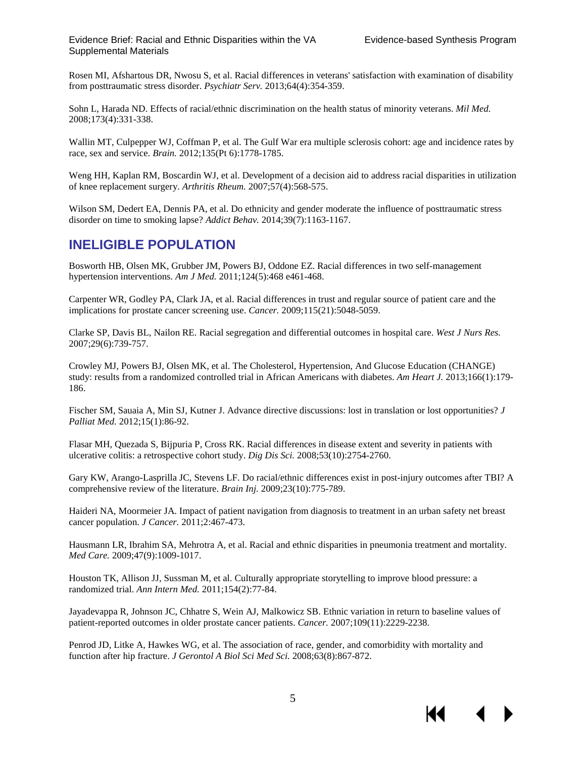Rosen MI, Afshartous DR, Nwosu S, et al. Racial differences in veterans' satisfaction with examination of disability from posttraumatic stress disorder. *Psychiatr Serv.* 2013;64(4):354-359.

Sohn L, Harada ND. Effects of racial/ethnic discrimination on the health status of minority veterans. *Mil Med.*  2008;173(4):331-338.

Wallin MT, Culpepper WJ, Coffman P, et al. The Gulf War era multiple sclerosis cohort: age and incidence rates by race, sex and service. *Brain.* 2012;135(Pt 6):1778-1785.

Weng HH, Kaplan RM, Boscardin WJ, et al. Development of a decision aid to address racial disparities in utilization of knee replacement surgery. *Arthritis Rheum.* 2007;57(4):568-575.

Wilson SM, Dedert EA, Dennis PA, et al. Do ethnicity and gender moderate the influence of posttraumatic stress disorder on time to smoking lapse? *Addict Behav.* 2014;39(7):1163-1167.

#### **INELIGIBLE POPULATION**

Bosworth HB, Olsen MK, Grubber JM, Powers BJ, Oddone EZ. Racial differences in two self-management hypertension interventions. *Am J Med.* 2011;124(5):468 e461-468.

Carpenter WR, Godley PA, Clark JA, et al. Racial differences in trust and regular source of patient care and the implications for prostate cancer screening use. *Cancer.* 2009;115(21):5048-5059.

Clarke SP, Davis BL, Nailon RE. Racial segregation and differential outcomes in hospital care. *West J Nurs Res.*  2007;29(6):739-757.

Crowley MJ, Powers BJ, Olsen MK, et al. The Cholesterol, Hypertension, And Glucose Education (CHANGE) study: results from a randomized controlled trial in African Americans with diabetes. *Am Heart J.* 2013;166(1):179- 186.

Fischer SM, Sauaia A, Min SJ, Kutner J. Advance directive discussions: lost in translation or lost opportunities? *J Palliat Med.* 2012;15(1):86-92.

Flasar MH, Quezada S, Bijpuria P, Cross RK. Racial differences in disease extent and severity in patients with ulcerative colitis: a retrospective cohort study. *Dig Dis Sci.* 2008;53(10):2754-2760.

Gary KW, Arango-Lasprilla JC, Stevens LF. Do racial/ethnic differences exist in post-injury outcomes after TBI? A comprehensive review of the literature. *Brain Inj.* 2009;23(10):775-789.

Haideri NA, Moormeier JA. Impact of patient navigation from diagnosis to treatment in an urban safety net breast cancer population. *J Cancer.* 2011;2:467-473.

Hausmann LR, Ibrahim SA, Mehrotra A, et al. Racial and ethnic disparities in pneumonia treatment and mortality. *Med Care.* 2009;47(9):1009-1017.

Houston TK, Allison JJ, Sussman M, et al. Culturally appropriate storytelling to improve blood pressure: a randomized trial. *Ann Intern Med.* 2011;154(2):77-84.

Jayadevappa R, Johnson JC, Chhatre S, Wein AJ, Malkowicz SB. Ethnic variation in return to baseline values of patient-reported outcomes in older prostate cancer patients. *Cancer.* 2007;109(11):2229-2238.

Penrod JD, Litke A, Hawkes WG, et al. The association of race, gender, and comorbidity with mortality and function after hip fracture. *J Gerontol A Biol Sci Med Sci.* 2008;63(8):867-872.



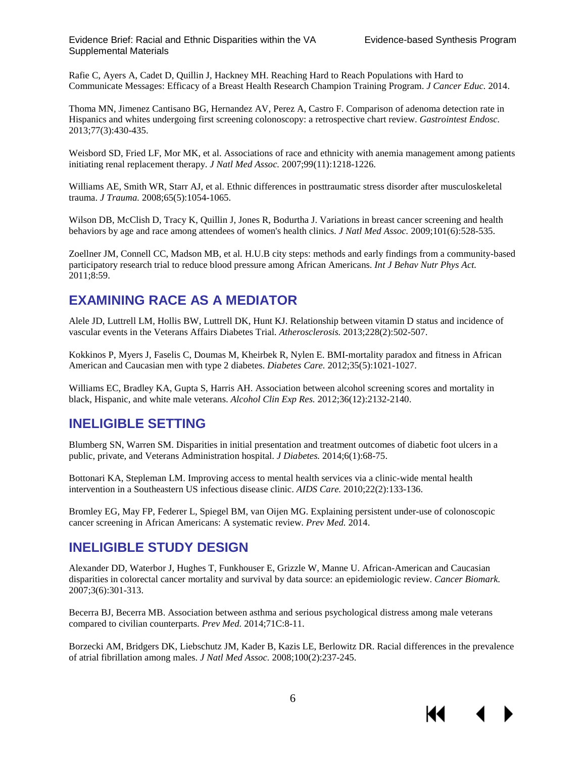Rafie C, Ayers A, Cadet D, Quillin J, Hackney MH. Reaching Hard to Reach Populations with Hard to Communicate Messages: Efficacy of a Breast Health Research Champion Training Program. *J Cancer Educ.* 2014.

Thoma MN, Jimenez Cantisano BG, Hernandez AV, Perez A, Castro F. Comparison of adenoma detection rate in Hispanics and whites undergoing first screening colonoscopy: a retrospective chart review. *Gastrointest Endosc.*  2013;77(3):430-435.

Weisbord SD, Fried LF, Mor MK, et al. Associations of race and ethnicity with anemia management among patients initiating renal replacement therapy. *J Natl Med Assoc.* 2007;99(11):1218-1226.

Williams AE, Smith WR, Starr AJ, et al. Ethnic differences in posttraumatic stress disorder after musculoskeletal trauma. *J Trauma.* 2008;65(5):1054-1065.

Wilson DB, McClish D, Tracy K, Quillin J, Jones R, Bodurtha J. Variations in breast cancer screening and health behaviors by age and race among attendees of women's health clinics. *J Natl Med Assoc.* 2009;101(6):528-535.

Zoellner JM, Connell CC, Madson MB, et al. H.U.B city steps: methods and early findings from a community-based participatory research trial to reduce blood pressure among African Americans. *Int J Behav Nutr Phys Act.*  2011;8:59.

#### **EXAMINING RACE AS A MEDIATOR**

Alele JD, Luttrell LM, Hollis BW, Luttrell DK, Hunt KJ. Relationship between vitamin D status and incidence of vascular events in the Veterans Affairs Diabetes Trial. *Atherosclerosis.* 2013;228(2):502-507.

Kokkinos P, Myers J, Faselis C, Doumas M, Kheirbek R, Nylen E. BMI-mortality paradox and fitness in African American and Caucasian men with type 2 diabetes. *Diabetes Care.* 2012;35(5):1021-1027.

Williams EC, Bradley KA, Gupta S, Harris AH. Association between alcohol screening scores and mortality in black, Hispanic, and white male veterans. *Alcohol Clin Exp Res.* 2012;36(12):2132-2140.

#### **INELIGIBLE SETTING**

Blumberg SN, Warren SM. Disparities in initial presentation and treatment outcomes of diabetic foot ulcers in a public, private, and Veterans Administration hospital. *J Diabetes.* 2014;6(1):68-75.

Bottonari KA, Stepleman LM. Improving access to mental health services via a clinic-wide mental health intervention in a Southeastern US infectious disease clinic. *AIDS Care.* 2010;22(2):133-136.

Bromley EG, May FP, Federer L, Spiegel BM, van Oijen MG. Explaining persistent under-use of colonoscopic cancer screening in African Americans: A systematic review. *Prev Med.* 2014.

#### **INELIGIBLE STUDY DESIGN**

Alexander DD, Waterbor J, Hughes T, Funkhouser E, Grizzle W, Manne U. African-American and Caucasian disparities in colorectal cancer mortality and survival by data source: an epidemiologic review. *Cancer Biomark.*  2007;3(6):301-313.

Becerra BJ, Becerra MB. Association between asthma and serious psychological distress among male veterans compared to civilian counterparts. *Prev Med.* 2014;71C:8-11.

Borzecki AM, Bridgers DK, Liebschutz JM, Kader B, Kazis LE, Berlowitz DR. Racial differences in the prevalence of atrial fibrillation among males. *J Natl Med Assoc.* 2008;100(2):237-245.



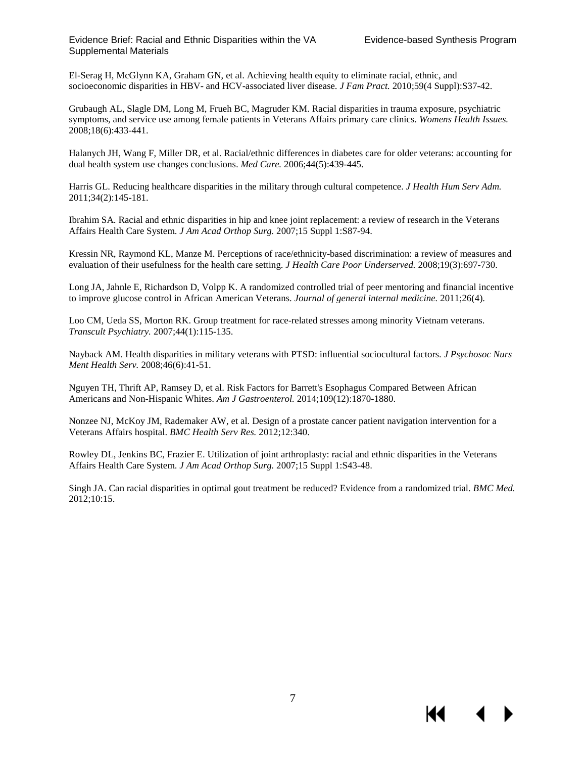К₹

El-Serag H, McGlynn KA, Graham GN, et al. Achieving health equity to eliminate racial, ethnic, and socioeconomic disparities in HBV- and HCV-associated liver disease. *J Fam Pract.* 2010;59(4 Suppl):S37-42.

Grubaugh AL, Slagle DM, Long M, Frueh BC, Magruder KM. Racial disparities in trauma exposure, psychiatric symptoms, and service use among female patients in Veterans Affairs primary care clinics. *Womens Health Issues.*  2008;18(6):433-441.

Halanych JH, Wang F, Miller DR, et al. Racial/ethnic differences in diabetes care for older veterans: accounting for dual health system use changes conclusions. *Med Care.* 2006;44(5):439-445.

Harris GL. Reducing healthcare disparities in the military through cultural competence. *J Health Hum Serv Adm.*  2011;34(2):145-181.

Ibrahim SA. Racial and ethnic disparities in hip and knee joint replacement: a review of research in the Veterans Affairs Health Care System. *J Am Acad Orthop Surg.* 2007;15 Suppl 1:S87-94.

Kressin NR, Raymond KL, Manze M. Perceptions of race/ethnicity-based discrimination: a review of measures and evaluation of their usefulness for the health care setting. *J Health Care Poor Underserved.* 2008;19(3):697-730.

Long JA, Jahnle E, Richardson D, Volpp K. A randomized controlled trial of peer mentoring and financial incentive to improve glucose control in African American Veterans. *Journal of general internal medicine.* 2011;26(4).

Loo CM, Ueda SS, Morton RK. Group treatment for race-related stresses among minority Vietnam veterans. *Transcult Psychiatry.* 2007;44(1):115-135.

Nayback AM. Health disparities in military veterans with PTSD: influential sociocultural factors. *J Psychosoc Nurs Ment Health Serv.* 2008;46(6):41-51.

Nguyen TH, Thrift AP, Ramsey D, et al. Risk Factors for Barrett's Esophagus Compared Between African Americans and Non-Hispanic Whites. *Am J Gastroenterol.* 2014;109(12):1870-1880.

Nonzee NJ, McKoy JM, Rademaker AW, et al. Design of a prostate cancer patient navigation intervention for a Veterans Affairs hospital. *BMC Health Serv Res.* 2012;12:340.

Rowley DL, Jenkins BC, Frazier E. Utilization of joint arthroplasty: racial and ethnic disparities in the Veterans Affairs Health Care System. *J Am Acad Orthop Surg.* 2007;15 Suppl 1:S43-48.

Singh JA. Can racial disparities in optimal gout treatment be reduced? Evidence from a randomized trial. *BMC Med.*  2012;10:15.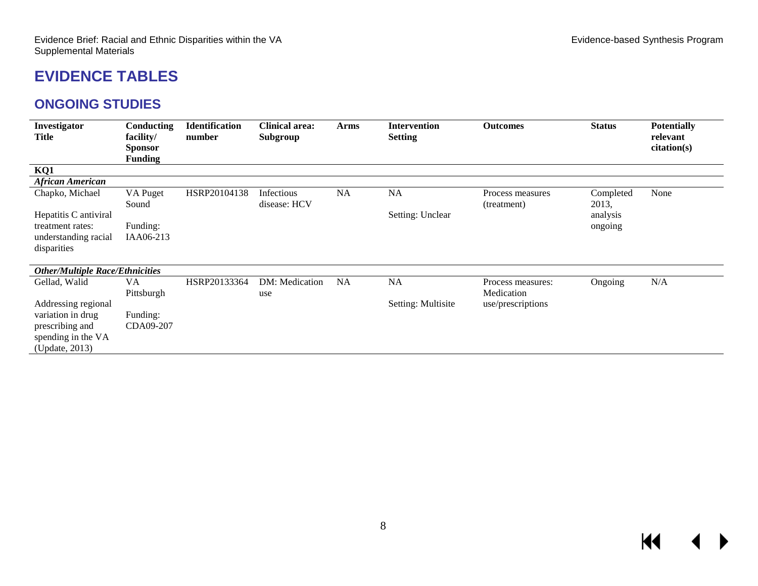# **EVIDENCE TABLES**

#### **ONGOING STUDIES**

<span id="page-9-1"></span><span id="page-9-0"></span>

| Investigator<br>Title                    | Conducting<br>facility/<br><b>Sponsor</b><br><b>Funding</b> | <b>Identification</b><br>number | <b>Clinical area:</b><br>Subgroup | <b>Arms</b> | <b>Intervention</b><br><b>Setting</b> | <b>Outcomes</b>                 | <b>Status</b>      | <b>Potentially</b><br>relevant<br>citation(s) |
|------------------------------------------|-------------------------------------------------------------|---------------------------------|-----------------------------------|-------------|---------------------------------------|---------------------------------|--------------------|-----------------------------------------------|
| KQ1                                      |                                                             |                                 |                                   |             |                                       |                                 |                    |                                               |
| <b>African American</b>                  |                                                             |                                 |                                   |             |                                       |                                 |                    |                                               |
| Chapko, Michael                          | VA Puget<br>Sound                                           | HSRP20104138                    | Infectious<br>disease: HCV        | NA          | NA                                    | Process measures<br>(treatment) | Completed<br>2013, | None                                          |
| Hepatitis C antiviral                    |                                                             |                                 |                                   |             | Setting: Unclear                      |                                 | analysis           |                                               |
| treatment rates:<br>understanding racial | Funding:<br>IAA06-213                                       |                                 |                                   |             |                                       |                                 | ongoing            |                                               |
| disparities                              |                                                             |                                 |                                   |             |                                       |                                 |                    |                                               |
| <b>Other/Multiple Race/Ethnicities</b>   |                                                             |                                 |                                   |             |                                       |                                 |                    |                                               |
| Gellad, Walid                            | VA                                                          | HSRP20133364                    | DM: Medication                    | NA          | NA                                    | Process measures:               | Ongoing            | N/A                                           |
|                                          | Pittsburgh                                                  |                                 | use                               |             |                                       | Medication                      |                    |                                               |
| Addressing regional                      |                                                             |                                 |                                   |             | Setting: Multisite                    | use/prescriptions               |                    |                                               |
| variation in drug                        | Funding:                                                    |                                 |                                   |             |                                       |                                 |                    |                                               |
| prescribing and                          | CDA09-207                                                   |                                 |                                   |             |                                       |                                 |                    |                                               |
| spending in the VA                       |                                                             |                                 |                                   |             |                                       |                                 |                    |                                               |
| (Update, 2013)                           |                                                             |                                 |                                   |             |                                       |                                 |                    |                                               |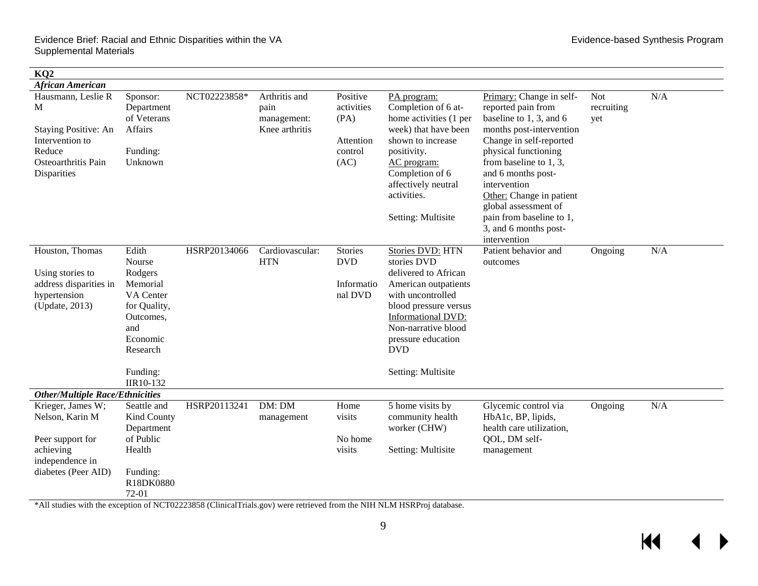| KQ <sub>2</sub>                                                                                                    |                                                                                                                                          |              |                                                        |                                                                |                                                                                                                                                                                                                                             |                                                                                                                                                                                                                                                                                                                                                      |                          |     |
|--------------------------------------------------------------------------------------------------------------------|------------------------------------------------------------------------------------------------------------------------------------------|--------------|--------------------------------------------------------|----------------------------------------------------------------|---------------------------------------------------------------------------------------------------------------------------------------------------------------------------------------------------------------------------------------------|------------------------------------------------------------------------------------------------------------------------------------------------------------------------------------------------------------------------------------------------------------------------------------------------------------------------------------------------------|--------------------------|-----|
| <b>African American</b>                                                                                            |                                                                                                                                          |              |                                                        |                                                                |                                                                                                                                                                                                                                             |                                                                                                                                                                                                                                                                                                                                                      |                          |     |
| Hausmann, Leslie R<br>M<br>Staying Positive: An<br>Intervention to<br>Reduce<br>Osteoarthritis Pain<br>Disparities | Sponsor:<br>Department<br>of Veterans<br>Affairs<br>Funding:<br>Unknown                                                                  | NCT02223858* | Arthritis and<br>pain<br>management:<br>Knee arthritis | Positive<br>activities<br>(PA)<br>Attention<br>control<br>(AC) | PA program:<br>Completion of 6 at-<br>home activities (1 per<br>week) that have been<br>shown to increase<br>positivity.<br>AC program:<br>Completion of 6<br>affectively neutral<br>activities.<br><b>Setting: Multisite</b>               | Primary: Change in self-<br>reported pain from<br>baseline to 1, 3, and 6<br>months post-intervention<br>Change in self-reported<br>physical functioning<br>from baseline to $1, 3$ ,<br>and 6 months post-<br>intervention<br>Other: Change in patient<br>global assessment of<br>pain from baseline to 1,<br>3, and 6 months post-<br>intervention | Not<br>recruiting<br>yet | N/A |
| Houston, Thomas<br>Using stories to<br>address disparities in<br>hypertension<br>(Update, 2013)                    | Edith<br>Nourse<br>Rodgers<br>Memorial<br>VA Center<br>for Quality,<br>Outcomes,<br>and<br>Economic<br>Research<br>Funding:<br>IIR10-132 | HSRP20134066 | Cardiovascular:<br><b>HTN</b>                          | <b>Stories</b><br><b>DVD</b><br>Informatio<br>nal DVD          | Stories DVD: HTN<br>stories DVD<br>delivered to African<br>American outpatients<br>with uncontrolled<br>blood pressure versus<br><b>Informational DVD:</b><br>Non-narrative blood<br>pressure education<br><b>DVD</b><br>Setting: Multisite | Patient behavior and<br>outcomes                                                                                                                                                                                                                                                                                                                     | Ongoing                  | N/A |
| <b>Other/Multiple Race/Ethnicities</b>                                                                             |                                                                                                                                          |              |                                                        |                                                                |                                                                                                                                                                                                                                             |                                                                                                                                                                                                                                                                                                                                                      |                          |     |
| Krieger, James W;<br>Nelson, Karin M<br>Peer support for<br>achieving<br>independence in<br>diabetes (Peer AID)    | Seattle and<br>Kind County<br>Department<br>of Public<br>Health<br>Funding:<br>R18DK0880<br>$72-01$                                      | HSRP20113241 | DM: DM<br>management                                   | Home<br>visits<br>No home<br>visits                            | 5 home visits by<br>community health<br>worker (CHW)<br><b>Setting: Multisite</b>                                                                                                                                                           | Glycemic control via<br>HbA1c, BP, lipids,<br>health care utilization,<br>QOL, DM self-<br>management                                                                                                                                                                                                                                                | Ongoing                  | N/A |

\*All studies with the exception of NCT02223858 (ClinicalTrials.gov) were retrieved from the NIH NLM HSRProj database.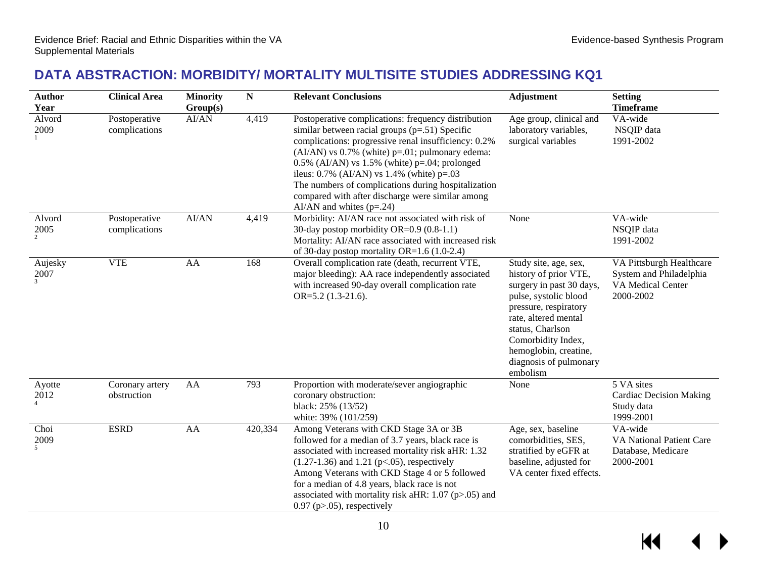KI

### **DATA ABSTRACTION: MORBIDITY/ MORTALITY MULTISITE STUDIES ADDRESSING KQ1**

<span id="page-11-0"></span>

| <b>Author</b><br>Year    | <b>Clinical Area</b>           | <b>Minority</b><br>Group(s) | ${\bf N}$ | <b>Relevant Conclusions</b>                                                                                                                                                                                                                                                                                                                                                                                                                                       | <b>Adjustment</b>                                                                                                                                                                                                                                             | <b>Setting</b><br><b>Timeframe</b>                                                    |
|--------------------------|--------------------------------|-----------------------------|-----------|-------------------------------------------------------------------------------------------------------------------------------------------------------------------------------------------------------------------------------------------------------------------------------------------------------------------------------------------------------------------------------------------------------------------------------------------------------------------|---------------------------------------------------------------------------------------------------------------------------------------------------------------------------------------------------------------------------------------------------------------|---------------------------------------------------------------------------------------|
| Alvord<br>2009           | Postoperative<br>complications | AI/AN                       | 4,419     | Postoperative complications: frequency distribution<br>similar between racial groups $(p=.51)$ Specific<br>complications: progressive renal insufficiency: 0.2%<br>$(AI/AN)$ vs 0.7% (white) p=.01; pulmonary edema:<br>$0.5\%$ (AI/AN) vs 1.5% (white) p=.04; prolonged<br>ileus: $0.7\%$ (AI/AN) vs 1.4% (white) p=.03<br>The numbers of complications during hospitalization<br>compared with after discharge were similar among<br>AI/AN and whites $(p=.24)$ | Age group, clinical and<br>laboratory variables,<br>surgical variables                                                                                                                                                                                        | VA-wide<br>NSQIP data<br>1991-2002                                                    |
| Alvord<br>2005           | Postoperative<br>complications | AI/AN                       | 4,419     | Morbidity: AI/AN race not associated with risk of<br>30-day postop morbidity OR=0.9 (0.8-1.1)<br>Mortality: AI/AN race associated with increased risk<br>of 30-day postop mortality OR=1.6 (1.0-2.4)                                                                                                                                                                                                                                                              | None                                                                                                                                                                                                                                                          | VA-wide<br>NSQIP data<br>1991-2002                                                    |
| Aujesky<br>$2007\,$      | <b>VTE</b>                     | AA                          | 168       | Overall complication rate (death, recurrent VTE,<br>major bleeding): AA race independently associated<br>with increased 90-day overall complication rate<br>$OR=5.2$ (1.3-21.6).                                                                                                                                                                                                                                                                                  | Study site, age, sex,<br>history of prior VTE,<br>surgery in past 30 days,<br>pulse, systolic blood<br>pressure, respiratory<br>rate, altered mental<br>status, Charlson<br>Comorbidity Index,<br>hemoglobin, creatine,<br>diagnosis of pulmonary<br>embolism | VA Pittsburgh Healthcare<br>System and Philadelphia<br>VA Medical Center<br>2000-2002 |
| Ayotte<br>2012           | Coronary artery<br>obstruction | AA                          | 793       | Proportion with moderate/sever angiographic<br>coronary obstruction:<br>black: 25% (13/52)<br>white: 39% (101/259)                                                                                                                                                                                                                                                                                                                                                | None                                                                                                                                                                                                                                                          | 5 VA sites<br><b>Cardiac Decision Making</b><br>Study data<br>1999-2001               |
| Choi<br>$\frac{2009}{5}$ | <b>ESRD</b>                    | AA                          | 420,334   | Among Veterans with CKD Stage 3A or 3B<br>followed for a median of 3.7 years, black race is<br>associated with increased mortality risk aHR: 1.32<br>$(1.27-1.36)$ and 1.21 (p<.05), respectively<br>Among Veterans with CKD Stage 4 or 5 followed<br>for a median of 4.8 years, black race is not<br>associated with mortality risk aHR: $1.07$ (p $> 0.05$ ) and<br>$0.97$ (p $> 0.05$ ), respectively                                                          | Age, sex, baseline<br>comorbidities, SES,<br>stratified by eGFR at<br>baseline, adjusted for<br>VA center fixed effects.                                                                                                                                      | VA-wide<br>VA National Patient Care<br>Database, Medicare<br>2000-2001                |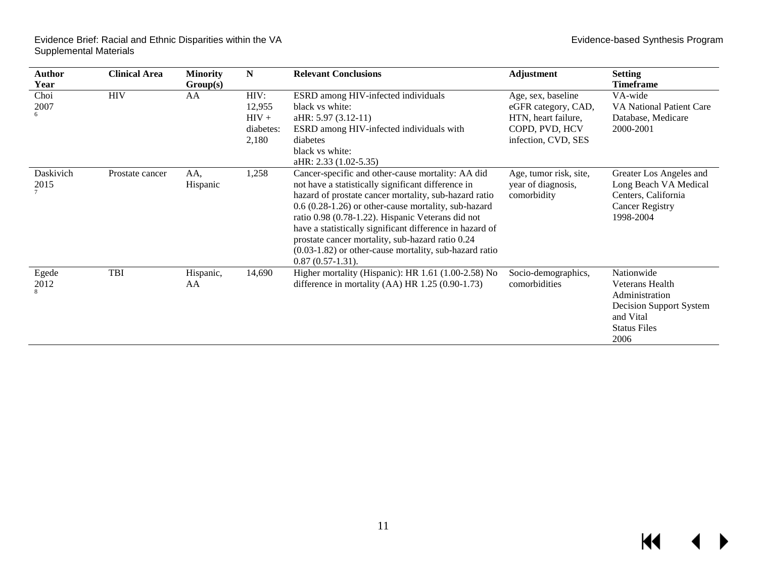| Author<br>Year    | <b>Clinical Area</b> | <b>Minority</b><br>Group(s) | N                                               | <b>Relevant Conclusions</b>                                                                                                                                                                                                                                                                                                                                                                                                                                                        | <b>Adjustment</b>                                                                                         | <b>Setting</b><br>Timeframe                                                                                            |
|-------------------|----------------------|-----------------------------|-------------------------------------------------|------------------------------------------------------------------------------------------------------------------------------------------------------------------------------------------------------------------------------------------------------------------------------------------------------------------------------------------------------------------------------------------------------------------------------------------------------------------------------------|-----------------------------------------------------------------------------------------------------------|------------------------------------------------------------------------------------------------------------------------|
| Choi<br>2007      | <b>HIV</b>           | AA                          | HIV:<br>12,955<br>$HIV +$<br>diabetes:<br>2,180 | ESRD among HIV-infected individuals<br>black vs white:<br>aHR: 5.97 (3.12-11)<br>ESRD among HIV-infected individuals with<br>diabetes<br>black vs white:<br>aHR: 2.33 (1.02-5.35)                                                                                                                                                                                                                                                                                                  | Age, sex, baseline<br>eGFR category, CAD,<br>HTN, heart failure,<br>COPD, PVD, HCV<br>infection, CVD, SES | VA-wide<br><b>VA National Patient Care</b><br>Database, Medicare<br>2000-2001                                          |
| Daskivich<br>2015 | Prostate cancer      | AA,<br>Hispanic             | 1,258                                           | Cancer-specific and other-cause mortality: AA did<br>not have a statistically significant difference in<br>hazard of prostate cancer mortality, sub-hazard ratio<br>$0.6$ (0.28-1.26) or other-cause mortality, sub-hazard<br>ratio 0.98 (0.78-1.22). Hispanic Veterans did not<br>have a statistically significant difference in hazard of<br>prostate cancer mortality, sub-hazard ratio 0.24<br>$(0.03-1.82)$ or other-cause mortality, sub-hazard ratio<br>$0.87(0.57-1.31)$ . | Age, tumor risk, site,<br>year of diagnosis,<br>comorbidity                                               | Greater Los Angeles and<br>Long Beach VA Medical<br>Centers, California<br><b>Cancer Registry</b><br>1998-2004         |
| Egede<br>2012     | TBI                  | Hispanic,<br>AA             | 14,690                                          | Higher mortality (Hispanic): HR 1.61 (1.00-2.58) No<br>difference in mortality $(AA)$ HR 1.25 $(0.90-1.73)$                                                                                                                                                                                                                                                                                                                                                                        | Socio-demographics,<br>comorbidities                                                                      | Nationwide<br>Veterans Health<br>Administration<br>Decision Support System<br>and Vital<br><b>Status Files</b><br>2006 |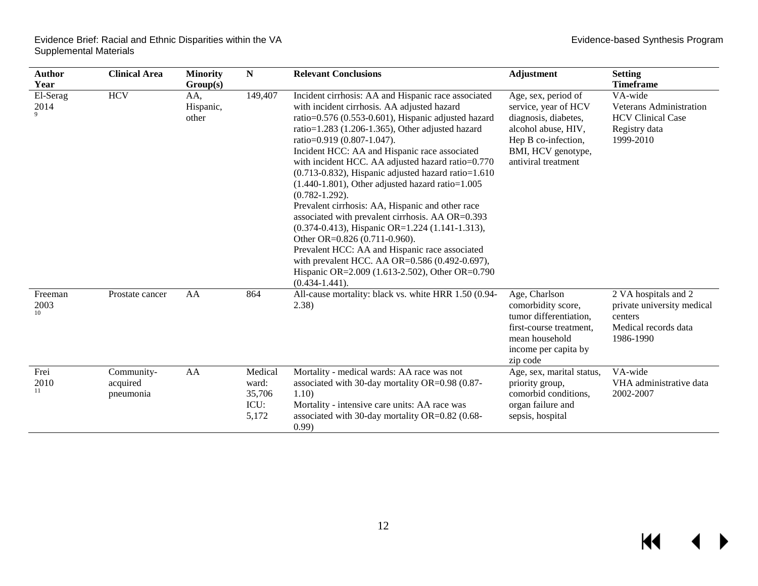| Author             | <b>Clinical Area</b>                | <b>Minority</b>           | N                                           | <b>Relevant Conclusions</b>                                                                                                                                                                                                                                                                                                                                                                                                                                                                                                                                                                                                                                                                                                                                                                                                                                                 | Adjustment                                                                                                                                                     | <b>Setting</b>                                                                                     |
|--------------------|-------------------------------------|---------------------------|---------------------------------------------|-----------------------------------------------------------------------------------------------------------------------------------------------------------------------------------------------------------------------------------------------------------------------------------------------------------------------------------------------------------------------------------------------------------------------------------------------------------------------------------------------------------------------------------------------------------------------------------------------------------------------------------------------------------------------------------------------------------------------------------------------------------------------------------------------------------------------------------------------------------------------------|----------------------------------------------------------------------------------------------------------------------------------------------------------------|----------------------------------------------------------------------------------------------------|
| Year               |                                     | Group(s)                  |                                             |                                                                                                                                                                                                                                                                                                                                                                                                                                                                                                                                                                                                                                                                                                                                                                                                                                                                             |                                                                                                                                                                | <b>Timeframe</b>                                                                                   |
| El-Serag<br>2014   | <b>HCV</b>                          | AA,<br>Hispanic,<br>other | 149,407                                     | Incident cirrhosis: AA and Hispanic race associated<br>with incident cirrhosis. AA adjusted hazard<br>ratio=0.576 (0.553-0.601), Hispanic adjusted hazard<br>ratio= $1.283$ (1.206-1.365), Other adjusted hazard<br>ratio=0.919 (0.807-1.047).<br>Incident HCC: AA and Hispanic race associated<br>with incident HCC. AA adjusted hazard ratio=0.770<br>$(0.713 - 0.832)$ , Hispanic adjusted hazard ratio=1.610<br>$(1.440-1.801)$ , Other adjusted hazard ratio= $1.005$<br>$(0.782 - 1.292)$ .<br>Prevalent cirrhosis: AA, Hispanic and other race<br>associated with prevalent cirrhosis. AA OR=0.393<br>(0.374-0.413), Hispanic OR=1.224 (1.141-1.313),<br>Other OR=0.826 (0.711-0.960).<br>Prevalent HCC: AA and Hispanic race associated<br>with prevalent HCC. AA OR=0.586 (0.492-0.697),<br>Hispanic OR=2.009 (1.613-2.502), Other OR=0.790<br>$(0.434 - 1.441)$ . | Age, sex, period of<br>service, year of HCV<br>diagnosis, diabetes,<br>alcohol abuse, HIV,<br>Hep B co-infection,<br>BMI, HCV genotype,<br>antiviral treatment | VA-wide<br>Veterans Administration<br><b>HCV Clinical Case</b><br>Registry data<br>1999-2010       |
| Freeman<br>2003    | Prostate cancer                     | AA                        | 864                                         | All-cause mortality: black vs. white HRR 1.50 (0.94-<br>(2.38)                                                                                                                                                                                                                                                                                                                                                                                                                                                                                                                                                                                                                                                                                                                                                                                                              | Age, Charlson<br>comorbidity score,<br>tumor differentiation,<br>first-course treatment,<br>mean household<br>income per capita by<br>zip code                 | 2 VA hospitals and 2<br>private university medical<br>centers<br>Medical records data<br>1986-1990 |
| Frei<br>2010<br>11 | Community-<br>acquired<br>pneumonia | AA                        | Medical<br>ward:<br>35,706<br>ICU:<br>5,172 | Mortality - medical wards: AA race was not<br>associated with 30-day mortality OR=0.98 (0.87-<br>1.10)<br>Mortality - intensive care units: AA race was<br>associated with 30-day mortality OR=0.82 (0.68-<br>(0.99)                                                                                                                                                                                                                                                                                                                                                                                                                                                                                                                                                                                                                                                        | Age, sex, marital status,<br>priority group,<br>comorbid conditions,<br>organ failure and<br>sepsis, hospital                                                  | VA-wide<br>VHA administrative data<br>2002-2007                                                    |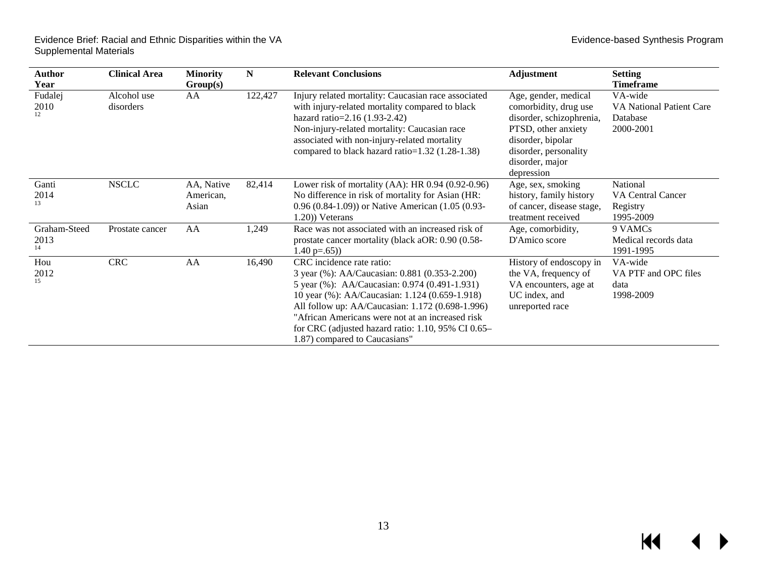| Author<br>Year        | <b>Clinical Area</b>     | <b>Minority</b><br>Group(s)      | N       | <b>Relevant Conclusions</b>                                                                                                                                                                                                                                                                                                                                                        | Adjustment                                                                                                                                                                      | <b>Setting</b><br><b>Timeframe</b>                           |
|-----------------------|--------------------------|----------------------------------|---------|------------------------------------------------------------------------------------------------------------------------------------------------------------------------------------------------------------------------------------------------------------------------------------------------------------------------------------------------------------------------------------|---------------------------------------------------------------------------------------------------------------------------------------------------------------------------------|--------------------------------------------------------------|
| Fudalej<br>2010<br>12 | Alcohol use<br>disorders | AA                               | 122,427 | Injury related mortality: Caucasian race associated<br>with injury-related mortality compared to black<br>hazard ratio= $2.16(1.93-2.42)$<br>Non-injury-related mortality: Caucasian race<br>associated with non-injury-related mortality<br>compared to black hazard ratio=1.32 (1.28-1.38)                                                                                       | Age, gender, medical<br>comorbidity, drug use<br>disorder, schizophrenia,<br>PTSD, other anxiety<br>disorder, bipolar<br>disorder, personality<br>disorder, major<br>depression | VA-wide<br>VA National Patient Care<br>Database<br>2000-2001 |
| Ganti<br>2014<br>13   | <b>NSCLC</b>             | AA, Native<br>American,<br>Asian | 82,414  | Lower risk of mortality $(AA)$ : HR 0.94 $(0.92-0.96)$<br>No difference in risk of mortality for Asian (HR:<br>0.96 (0.84-1.09)) or Native American (1.05 (0.93-<br>1.20) Veterans                                                                                                                                                                                                 | Age, sex, smoking<br>history, family history<br>of cancer, disease stage,<br>treatment received                                                                                 | National<br>VA Central Cancer<br>Registry<br>1995-2009       |
| Graham-Steed<br>2013  | Prostate cancer          | AA                               | 1,249   | Race was not associated with an increased risk of<br>prostate cancer mortality (black aOR: 0.90 (0.58-<br>1.40 $p=.65)$ )                                                                                                                                                                                                                                                          | Age, comorbidity,<br>D'Amico score                                                                                                                                              | 9 VAMCs<br>Medical records data<br>1991-1995                 |
| Hou<br>2012<br>15     | <b>CRC</b>               | AA                               | 16,490  | CRC incidence rate ratio:<br>3 year (%): AA/Caucasian: 0.881 (0.353-2.200)<br>5 year (%): AA/Caucasian: 0.974 (0.491-1.931)<br>10 year (%): AA/Caucasian: 1.124 (0.659-1.918)<br>All follow up: AA/Caucasian: 1.172 (0.698-1.996)<br>"African Americans were not at an increased risk<br>for CRC (adjusted hazard ratio: $1.10$ , $95\%$ CI 0.65-<br>1.87) compared to Caucasians" | History of endoscopy in<br>the VA, frequency of<br>VA encounters, age at<br>UC index, and<br>unreported race                                                                    | VA-wide<br>VA PTF and OPC files<br>data<br>1998-2009         |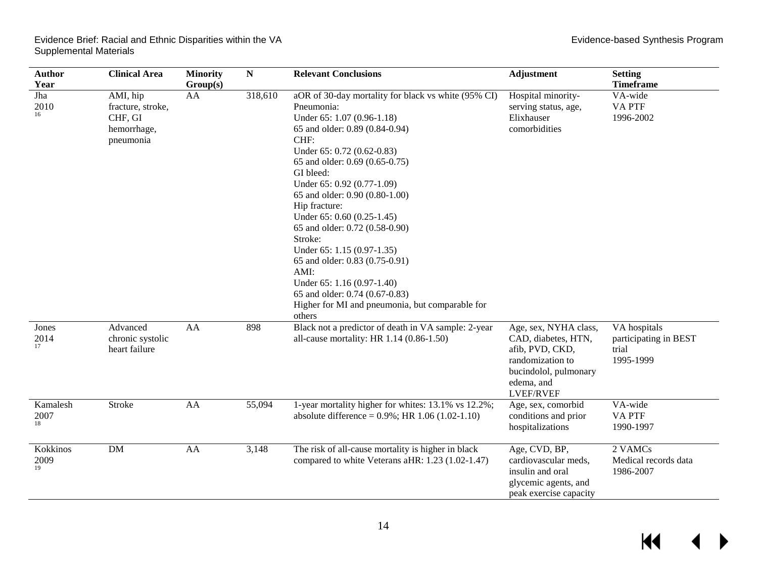$\overline{\mathbf{M}}$ 

 $\blacktriangleleft$ 

▶

| <b>Author</b><br>Year  | <b>Clinical Area</b>                                                 | <b>Minority</b><br>Group(s) | ${\bf N}$ | <b>Relevant Conclusions</b>                                                                                                                                                                                                                                                                                                                                                                                                                                                                                                                                                             | <b>Adjustment</b>                                                                                                                              | <b>Setting</b><br><b>Timeframe</b>                          |
|------------------------|----------------------------------------------------------------------|-----------------------------|-----------|-----------------------------------------------------------------------------------------------------------------------------------------------------------------------------------------------------------------------------------------------------------------------------------------------------------------------------------------------------------------------------------------------------------------------------------------------------------------------------------------------------------------------------------------------------------------------------------------|------------------------------------------------------------------------------------------------------------------------------------------------|-------------------------------------------------------------|
| Jha<br>2010<br>16      | AMI, hip<br>fracture, stroke,<br>CHF, GI<br>hemorrhage,<br>pneumonia | AA                          | 318,610   | aOR of 30-day mortality for black vs white (95% CI)<br>Pneumonia:<br>Under 65: 1.07 (0.96-1.18)<br>65 and older: 0.89 (0.84-0.94)<br>CHF:<br>Under 65: 0.72 (0.62-0.83)<br>65 and older: 0.69 (0.65-0.75)<br>GI bleed:<br>Under 65: 0.92 (0.77-1.09)<br>65 and older: 0.90 (0.80-1.00)<br>Hip fracture:<br>Under 65: 0.60 (0.25-1.45)<br>65 and older: 0.72 (0.58-0.90)<br>Stroke:<br>Under 65: 1.15 (0.97-1.35)<br>65 and older: 0.83 (0.75-0.91)<br>AMI:<br>Under 65: 1.16 (0.97-1.40)<br>65 and older: 0.74 (0.67-0.83)<br>Higher for MI and pneumonia, but comparable for<br>others | Hospital minority-<br>serving status, age,<br>Elixhauser<br>comorbidities                                                                      | VA-wide<br><b>VAPTF</b><br>1996-2002                        |
| Jones<br>2014<br>17    | Advanced<br>chronic systolic<br>heart failure                        | AA                          | 898       | Black not a predictor of death in VA sample: 2-year<br>all-cause mortality: HR 1.14 (0.86-1.50)                                                                                                                                                                                                                                                                                                                                                                                                                                                                                         | Age, sex, NYHA class,<br>CAD, diabetes, HTN,<br>afib, PVD, CKD,<br>randomization to<br>bucindolol, pulmonary<br>edema, and<br><b>LVEF/RVEF</b> | VA hospitals<br>participating in BEST<br>trial<br>1995-1999 |
| Kamalesh<br>2007<br>18 | Stroke                                                               | AA                          | 55,094    | 1-year mortality higher for whites: 13.1% vs 12.2%;<br>absolute difference = $0.9\%$ ; HR 1.06 (1.02-1.10)                                                                                                                                                                                                                                                                                                                                                                                                                                                                              | Age, sex, comorbid<br>conditions and prior<br>hospitalizations                                                                                 | VA-wide<br><b>VAPTF</b><br>1990-1997                        |
| Kokkinos<br>2009<br>19 | <b>DM</b>                                                            | AA                          | 3,148     | The risk of all-cause mortality is higher in black<br>compared to white Veterans aHR: 1.23 (1.02-1.47)                                                                                                                                                                                                                                                                                                                                                                                                                                                                                  | Age, CVD, BP,<br>cardiovascular meds,<br>insulin and oral<br>glycemic agents, and<br>peak exercise capacity                                    | 2 VAMCs<br>Medical records data<br>1986-2007                |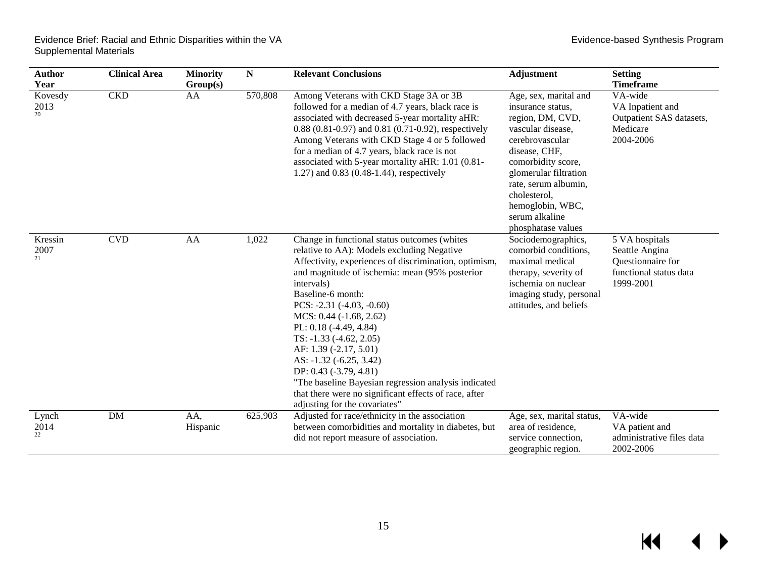$\blacktriangleright$ 

| <b>Author</b><br>Year | <b>Clinical Area</b> | <b>Minority</b><br>Group(s) | ${\bf N}$ | <b>Relevant Conclusions</b>                                                                                                                                                                                                                                                                                                                                                                                                                                                                                                                                                                | <b>Adjustment</b>                                                                                                                                                                                                                                                          | <b>Setting</b><br><b>Timeframe</b>                                                           |
|-----------------------|----------------------|-----------------------------|-----------|--------------------------------------------------------------------------------------------------------------------------------------------------------------------------------------------------------------------------------------------------------------------------------------------------------------------------------------------------------------------------------------------------------------------------------------------------------------------------------------------------------------------------------------------------------------------------------------------|----------------------------------------------------------------------------------------------------------------------------------------------------------------------------------------------------------------------------------------------------------------------------|----------------------------------------------------------------------------------------------|
| Kovesdy<br>2013<br>20 | <b>CKD</b>           | AA                          | 570,808   | Among Veterans with CKD Stage 3A or 3B<br>followed for a median of 4.7 years, black race is<br>associated with decreased 5-year mortality aHR:<br>0.88 (0.81-0.97) and 0.81 (0.71-0.92), respectively<br>Among Veterans with CKD Stage 4 or 5 followed<br>for a median of 4.7 years, black race is not<br>associated with 5-year mortality aHR: 1.01 (0.81-<br>1.27) and 0.83 (0.48-1.44), respectively                                                                                                                                                                                    | Age, sex, marital and<br>insurance status,<br>region, DM, CVD,<br>vascular disease,<br>cerebrovascular<br>disease, CHF,<br>comorbidity score,<br>glomerular filtration<br>rate, serum albumin,<br>cholesterol,<br>hemoglobin, WBC,<br>serum alkaline<br>phosphatase values | VA-wide<br>VA Inpatient and<br>Outpatient SAS datasets,<br>Medicare<br>2004-2006             |
| Kressin<br>2007<br>21 | <b>CVD</b>           | AA                          | 1,022     | Change in functional status outcomes (whites<br>relative to AA): Models excluding Negative<br>Affectivity, experiences of discrimination, optimism,<br>and magnitude of ischemia: mean (95% posterior<br>intervals)<br>Baseline-6 month:<br>PCS: -2.31 (-4.03, -0.60)<br>$MCS: 0.44 (-1.68, 2.62)$<br>PL: 0.18 (-4.49, 4.84)<br>$TS: -1.33 (-4.62, 2.05)$<br>AF: 1.39 (-2.17, 5.01)<br>AS: -1.32 (-6.25, 3.42)<br>DP: 0.43 (-3.79, 4.81)<br>"The baseline Bayesian regression analysis indicated<br>that there were no significant effects of race, after<br>adjusting for the covariates" | Sociodemographics,<br>comorbid conditions,<br>maximal medical<br>therapy, severity of<br>ischemia on nuclear<br>imaging study, personal<br>attitudes, and beliefs                                                                                                          | 5 VA hospitals<br>Seattle Angina<br>Questionnaire for<br>functional status data<br>1999-2001 |
| Lynch<br>2014<br>22   | <b>DM</b>            | AA,<br>Hispanic             | 625,903   | Adjusted for race/ethnicity in the association<br>between comorbidities and mortality in diabetes, but<br>did not report measure of association.                                                                                                                                                                                                                                                                                                                                                                                                                                           | Age, sex, marital status,<br>area of residence,<br>service connection,<br>geographic region.                                                                                                                                                                               | VA-wide<br>VA patient and<br>administrative files data<br>2002-2006                          |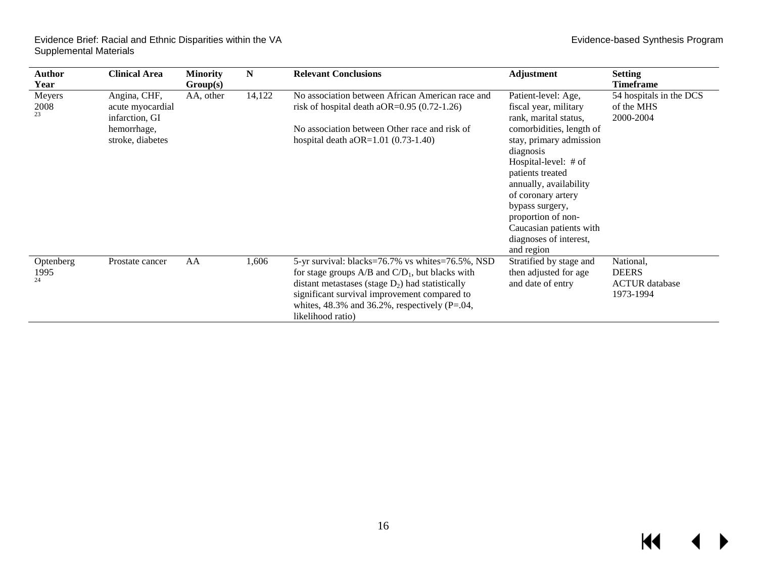| Author<br>Year          | <b>Clinical Area</b>                                                                  | <b>Minority</b><br>Group(s) | N      | <b>Relevant Conclusions</b>                                                                                                                                                                                                                                                                  | Adjustment                                                                                                                                                                                                                                                                                                                                          | <b>Setting</b><br><b>Timeframe</b>                              |
|-------------------------|---------------------------------------------------------------------------------------|-----------------------------|--------|----------------------------------------------------------------------------------------------------------------------------------------------------------------------------------------------------------------------------------------------------------------------------------------------|-----------------------------------------------------------------------------------------------------------------------------------------------------------------------------------------------------------------------------------------------------------------------------------------------------------------------------------------------------|-----------------------------------------------------------------|
| Meyers<br>2008<br>23    | Angina, CHF,<br>acute myocardial<br>infarction, GI<br>hemorrhage,<br>stroke, diabetes | AA, other                   | 14,122 | No association between African American race and<br>risk of hospital death a $OR=0.95(0.72-1.26)$<br>No association between Other race and risk of<br>hospital death $aOR=1.01 (0.73-1.40)$                                                                                                  | Patient-level: Age,<br>fiscal year, military<br>rank, marital status,<br>comorbidities, length of<br>stay, primary admission<br>diagnosis<br>Hospital-level: $#$ of<br>patients treated<br>annually, availability<br>of coronary artery<br>bypass surgery,<br>proportion of non-<br>Caucasian patients with<br>diagnoses of interest,<br>and region | 54 hospitals in the DCS<br>of the MHS<br>2000-2004              |
| Optenberg<br>1995<br>24 | Prostate cancer                                                                       | AA                          | 1,606  | 5-yr survival: blacks=76.7% vs whites=76.5%, NSD<br>for stage groups $A/B$ and $C/D_1$ , but blacks with<br>distant metastases (stage $D_2$ ) had statistically<br>significant survival improvement compared to<br>whites, $48.3\%$ and $36.2\%$ , respectively (P=.04,<br>likelihood ratio) | Stratified by stage and<br>then adjusted for age<br>and date of entry                                                                                                                                                                                                                                                                               | National,<br><b>DEERS</b><br><b>ACTUR</b> database<br>1973-1994 |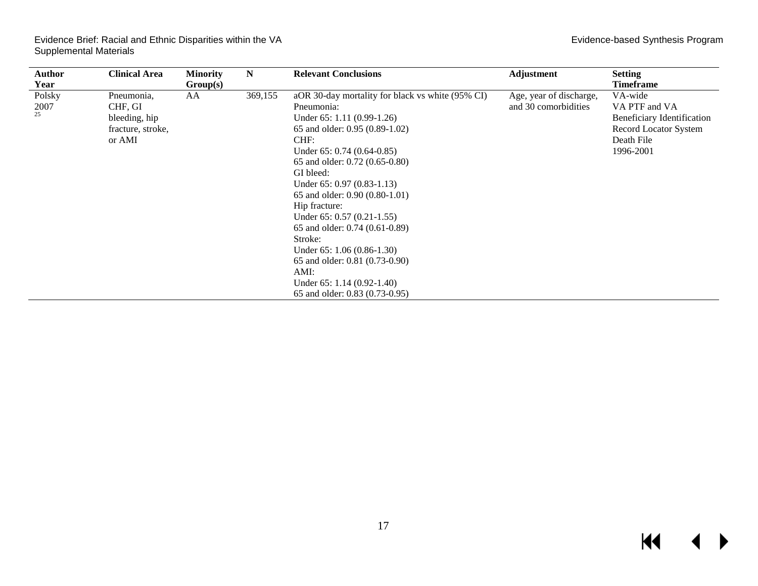| Author<br>Year       | <b>Clinical Area</b>                                                  | <b>Minority</b><br>Group(s) | N       | <b>Relevant Conclusions</b>                                                                                                                                                                                                                                                                                                                                                                                                                                                                                                           | <b>Adjustment</b>                               | <b>Setting</b><br><b>Timeframe</b>                                                                         |
|----------------------|-----------------------------------------------------------------------|-----------------------------|---------|---------------------------------------------------------------------------------------------------------------------------------------------------------------------------------------------------------------------------------------------------------------------------------------------------------------------------------------------------------------------------------------------------------------------------------------------------------------------------------------------------------------------------------------|-------------------------------------------------|------------------------------------------------------------------------------------------------------------|
| Polsky<br>2007<br>25 | Pneumonia,<br>CHF, GI<br>bleeding, hip<br>fracture, stroke,<br>or AMI | AA                          | 369,155 | aOR 30-day mortality for black vs white (95% CI)<br>Pneumonia:<br>Under $65: 1.11 (0.99-1.26)$<br>65 and older: 0.95 (0.89-1.02)<br>CHF:<br>Under $65: 0.74 (0.64 - 0.85)$<br>65 and older: 0.72 (0.65-0.80)<br>GI bleed:<br>Under $65: 0.97 (0.83-1.13)$<br>65 and older: 0.90 (0.80-1.01)<br>Hip fracture:<br>Under $65: 0.57 (0.21-1.55)$<br>65 and older: 0.74 (0.61-0.89)<br>Stroke:<br>Under $65: 1.06 (0.86-1.30)$<br>65 and older: 0.81 (0.73-0.90)<br>AMI:<br>Under $65: 1.14 (0.92-1.40)$<br>65 and older: 0.83 (0.73-0.95) | Age, year of discharge,<br>and 30 comorbidities | VA-wide<br>VA PTF and VA<br>Beneficiary Identification<br>Record Locator System<br>Death File<br>1996-2001 |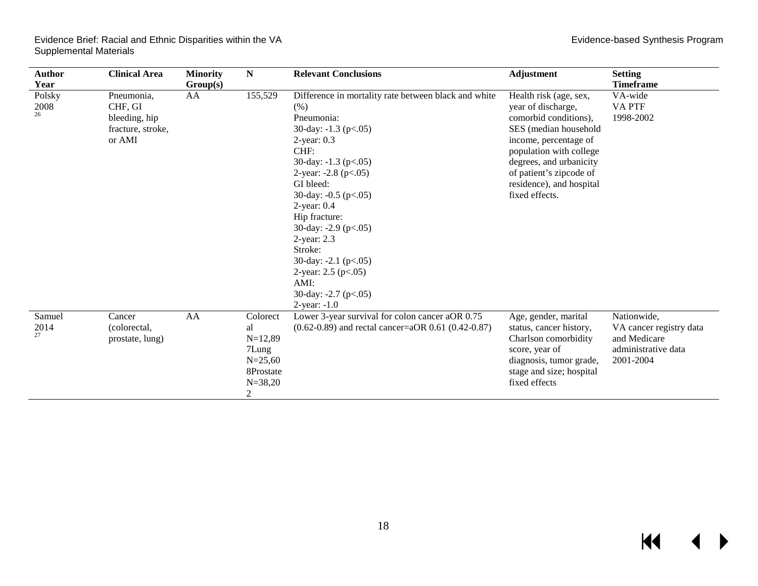| <b>Author</b><br>Year | <b>Clinical Area</b>                                                  | <b>Minority</b><br>Group(s) | N                                                                                               | <b>Relevant Conclusions</b>                                                                                                                                                                                                                                                                                                                                                                                                                                                | <b>Adjustment</b>                                                                                                                                                                                                                                      | <b>Setting</b><br><b>Timeframe</b>                                                         |
|-----------------------|-----------------------------------------------------------------------|-----------------------------|-------------------------------------------------------------------------------------------------|----------------------------------------------------------------------------------------------------------------------------------------------------------------------------------------------------------------------------------------------------------------------------------------------------------------------------------------------------------------------------------------------------------------------------------------------------------------------------|--------------------------------------------------------------------------------------------------------------------------------------------------------------------------------------------------------------------------------------------------------|--------------------------------------------------------------------------------------------|
| Polsky<br>2008<br>26  | Pneumonia,<br>CHF, GI<br>bleeding, hip<br>fracture, stroke,<br>or AMI | AA                          | 155,529                                                                                         | Difference in mortality rate between black and white<br>(% )<br>Pneumonia:<br>30-day: $-1.3$ (p $< 0.05$ )<br>$2$ -year: $0.3$<br>CHF:<br>30-day: $-1.3$ (p $< 0.05$ )<br>2-year: $-2.8$ ( $p<.05$ )<br>GI bleed:<br>30-day: $-0.5$ (p $< 0.05$ )<br>$2$ -year: $0.4$<br>Hip fracture:<br>30-day: $-2.9$ ( $p<0.05$ )<br>2-year: 2.3<br>Stroke:<br>30-day: $-2.1$ (p $< 0.05$ )<br>2-year: $2.5$ ( $p<0.05$ )<br>AMI:<br>30-day: $-2.7$ (p $< 0.05$ )<br>$2$ -year: $-1.0$ | Health risk (age, sex,<br>year of discharge,<br>comorbid conditions),<br>SES (median household<br>income, percentage of<br>population with college<br>degrees, and urbanicity<br>of patient's zipcode of<br>residence), and hospital<br>fixed effects. | VA-wide<br>VA PTF<br>1998-2002                                                             |
| Samuel<br>2014<br>27  | Cancer<br>(colorectal,<br>prostate, lung)                             | AA                          | Colorect<br>al<br>$N=12,89$<br>7Lung<br>$N = 25,60$<br>8Prostate<br>$N = 38,20$<br>$\mathbf{2}$ | Lower 3-year survival for colon cancer aOR 0.75<br>$(0.62-0.89)$ and rectal cancer=aOR 0.61 $(0.42-0.87)$                                                                                                                                                                                                                                                                                                                                                                  | Age, gender, marital<br>status, cancer history,<br>Charlson comorbidity<br>score, year of<br>diagnosis, tumor grade,<br>stage and size; hospital<br>fixed effects                                                                                      | Nationwide,<br>VA cancer registry data<br>and Medicare<br>administrative data<br>2001-2004 |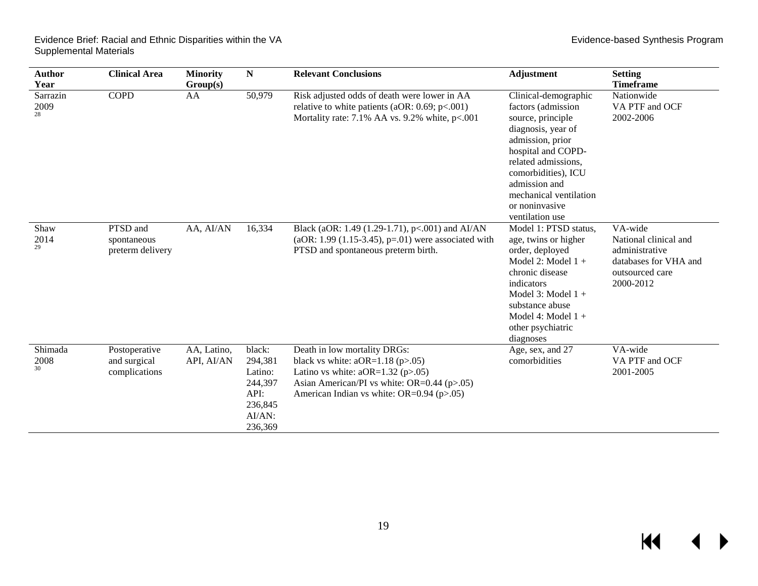| Author<br>Year         | <b>Clinical Area</b>                           | <b>Minority</b><br>Group(s) | N                                                                               | <b>Relevant Conclusions</b>                                                                                                                                                                                     | <b>Adjustment</b>                                                                                                                                                                                                                                             | <b>Setting</b><br><b>Timeframe</b>                                                                          |
|------------------------|------------------------------------------------|-----------------------------|---------------------------------------------------------------------------------|-----------------------------------------------------------------------------------------------------------------------------------------------------------------------------------------------------------------|---------------------------------------------------------------------------------------------------------------------------------------------------------------------------------------------------------------------------------------------------------------|-------------------------------------------------------------------------------------------------------------|
| Sarrazin<br>2009<br>28 | <b>COPD</b>                                    | AA                          | 50,979                                                                          | Risk adjusted odds of death were lower in AA<br>relative to white patients (aOR: $0.69$ ; $p<.001$ )<br>Mortality rate: $7.1\%$ AA vs. $9.2\%$ white, $p<.001$                                                  | Clinical-demographic<br>factors (admission<br>source, principle<br>diagnosis, year of<br>admission, prior<br>hospital and COPD-<br>related admissions,<br>comorbidities), ICU<br>admission and<br>mechanical ventilation<br>or noninvasive<br>ventilation use | Nationwide<br>VA PTF and OCF<br>2002-2006                                                                   |
| Shaw<br>2014<br>29     | PTSD and<br>spontaneous<br>preterm delivery    | AA, AI/AN                   | 16,334                                                                          | Black (aOR: 1.49 (1.29-1.71), p<.001) and AI/AN<br>(aOR: 1.99 (1.15-3.45), $p=01$ ) were associated with<br>PTSD and spontaneous preterm birth.                                                                 | Model 1: PTSD status,<br>age, twins or higher<br>order, deployed<br>Model 2: Model $1 +$<br>chronic disease<br>indicators<br>Model 3: Model $1 +$<br>substance abuse<br>Model 4: Model $1 +$<br>other psychiatric<br>diagnoses                                | VA-wide<br>National clinical and<br>administrative<br>databases for VHA and<br>outsourced care<br>2000-2012 |
| Shimada<br>2008<br>30  | Postoperative<br>and surgical<br>complications | AA, Latino,<br>API, AI/AN   | black:<br>294,381<br>Latino:<br>244,397<br>API:<br>236,845<br>AI/AN:<br>236,369 | Death in low mortality DRGs:<br>black vs white: $aOR=1.18$ ( $p>0.05$ )<br>Latino vs white: $aOR=1.32$ ( $p>0.05$ )<br>Asian American/PI vs white: OR=0.44 (p>.05)<br>American Indian vs white: OR=0.94 (p>.05) | Age, sex, and 27<br>comorbidities                                                                                                                                                                                                                             | VA-wide<br>VA PTF and OCF<br>2001-2005                                                                      |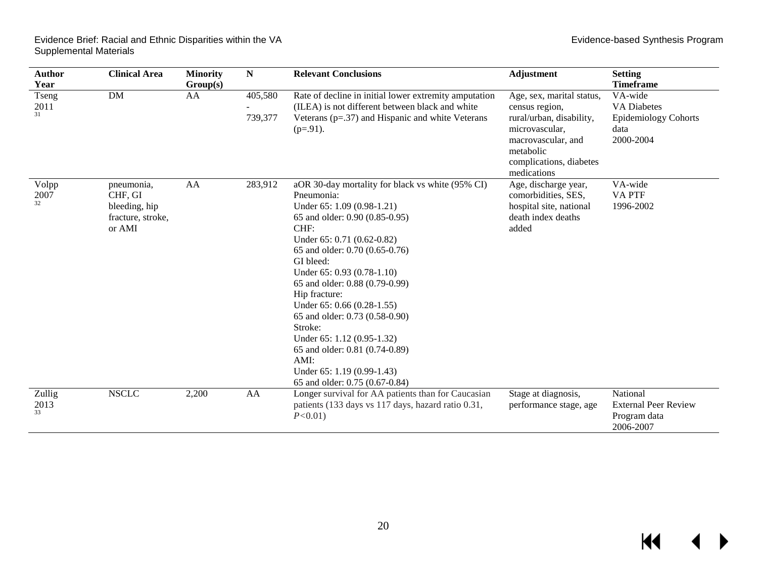| <b>Author</b><br>Year | <b>Clinical Area</b>                                                  | <b>Minority</b><br>Group(s) | ${\bf N}$          | <b>Relevant Conclusions</b>                                                                                                                                                                                                                                                                                                                                                                                                                                                                                                | <b>Adjustment</b>                                                                                                                                                      | <b>Setting</b><br><b>Timeframe</b>                                                |
|-----------------------|-----------------------------------------------------------------------|-----------------------------|--------------------|----------------------------------------------------------------------------------------------------------------------------------------------------------------------------------------------------------------------------------------------------------------------------------------------------------------------------------------------------------------------------------------------------------------------------------------------------------------------------------------------------------------------------|------------------------------------------------------------------------------------------------------------------------------------------------------------------------|-----------------------------------------------------------------------------------|
| Tseng<br>2011<br>31   | <b>DM</b>                                                             | AA                          | 405,580<br>739,377 | Rate of decline in initial lower extremity amputation<br>(ILEA) is not different between black and white<br>Veterans $(p=.37)$ and Hispanic and white Veterans<br>$(p=.91)$ .                                                                                                                                                                                                                                                                                                                                              | Age, sex, marital status,<br>census region,<br>rural/urban, disability,<br>microvascular,<br>macrovascular, and<br>metabolic<br>complications, diabetes<br>medications | VA-wide<br><b>VA Diabetes</b><br><b>Epidemiology Cohorts</b><br>data<br>2000-2004 |
| Volpp<br>2007<br>32   | pneumonia,<br>CHF, GI<br>bleeding, hip<br>fracture, stroke,<br>or AMI | AA                          | 283,912            | aOR 30-day mortality for black vs white (95% CI)<br>Pneumonia:<br>Under 65: 1.09 (0.98-1.21)<br>65 and older: 0.90 (0.85-0.95)<br>CHF:<br>Under 65: 0.71 (0.62-0.82)<br>65 and older: 0.70 (0.65-0.76)<br>GI bleed:<br>Under 65: 0.93 (0.78-1.10)<br>65 and older: 0.88 (0.79-0.99)<br>Hip fracture:<br>Under 65: 0.66 (0.28-1.55)<br>65 and older: 0.73 (0.58-0.90)<br>Stroke:<br>Under 65: 1.12 (0.95-1.32)<br>65 and older: 0.81 (0.74-0.89)<br>$AMI$ :<br>Under 65: 1.19 (0.99-1.43)<br>65 and older: 0.75 (0.67-0.84) | Age, discharge year,<br>comorbidities, SES,<br>hospital site, national<br>death index deaths<br>added                                                                  | VA-wide<br>VA PTF<br>1996-2002                                                    |
| Zullig<br>2013<br>33  | <b>NSCLC</b>                                                          | 2,200                       | AA                 | Longer survival for AA patients than for Caucasian<br>patients (133 days vs 117 days, hazard ratio 0.31,<br>$P < 0.01$ )                                                                                                                                                                                                                                                                                                                                                                                                   | Stage at diagnosis,<br>performance stage, age                                                                                                                          | National<br><b>External Peer Review</b><br>Program data<br>2006-2007              |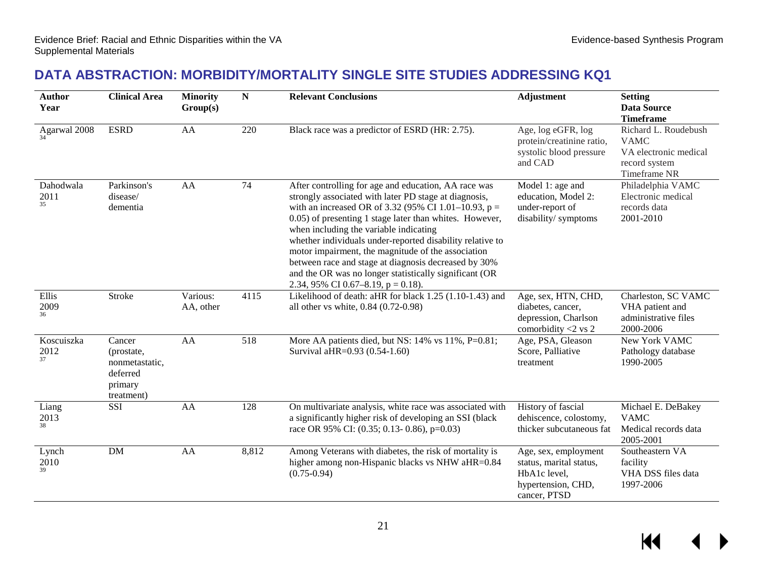## **DATA ABSTRACTION: MORBIDITY/MORTALITY SINGLE SITE STUDIES ADDRESSING KQ1**

<span id="page-22-0"></span>

| <b>Author</b><br>Year    | <b>Clinical Area</b>                                                        | <b>Minority</b><br>Group(s) | ${\bf N}$        | <b>Relevant Conclusions</b>                                                                                                                                                                                                                                                                                                                                                                                                                                                                                                                               | <b>Adjustment</b>                                                                                     | <b>Setting</b><br><b>Data Source</b><br><b>Timeframe</b>                                      |
|--------------------------|-----------------------------------------------------------------------------|-----------------------------|------------------|-----------------------------------------------------------------------------------------------------------------------------------------------------------------------------------------------------------------------------------------------------------------------------------------------------------------------------------------------------------------------------------------------------------------------------------------------------------------------------------------------------------------------------------------------------------|-------------------------------------------------------------------------------------------------------|-----------------------------------------------------------------------------------------------|
| Agarwal 2008             | <b>ESRD</b>                                                                 | AA                          | 220              | Black race was a predictor of ESRD (HR: 2.75).                                                                                                                                                                                                                                                                                                                                                                                                                                                                                                            | Age, log eGFR, log<br>protein/creatinine ratio,<br>systolic blood pressure<br>and CAD                 | Richard L. Roudebush<br><b>VAMC</b><br>VA electronic medical<br>record system<br>Timeframe NR |
| Dahodwala<br>2011<br>35  | Parkinson's<br>disease/<br>dementia                                         | AA                          | $\overline{74}$  | After controlling for age and education, AA race was<br>strongly associated with later PD stage at diagnosis,<br>with an increased OR of 3.32 (95% CI 1.01–10.93, $p =$<br>0.05) of presenting 1 stage later than whites. However,<br>when including the variable indicating<br>whether individuals under-reported disability relative to<br>motor impairment, the magnitude of the association<br>between race and stage at diagnosis decreased by 30%<br>and the OR was no longer statistically significant (OR<br>2.34, 95% CI 0.67–8.19, $p = 0.18$ . | Model 1: age and<br>education, Model 2:<br>under-report of<br>disability/symptoms                     | Philadelphia VAMC<br>Electronic medical<br>records data<br>2001-2010                          |
| Ellis<br>2009<br>36      | <b>Stroke</b>                                                               | Various:<br>AA, other       | 4115             | Likelihood of death: aHR for black 1.25 (1.10-1.43) and<br>all other vs white, 0.84 (0.72-0.98)                                                                                                                                                                                                                                                                                                                                                                                                                                                           | Age, sex, HTN, CHD,<br>diabetes, cancer,<br>depression, Charlson<br>comorbidity <2 vs 2               | Charleston, SC VAMC<br>VHA patient and<br>administrative files<br>2000-2006                   |
| Koscuiszka<br>2012<br>37 | Cancer<br>(prostate,<br>nonmetastatic,<br>deferred<br>primary<br>treatment) | AA                          | $\overline{518}$ | More AA patients died, but NS: 14% vs 11%, P=0.81;<br>Survival aHR=0.93 (0.54-1.60)                                                                                                                                                                                                                                                                                                                                                                                                                                                                       | Age, PSA, Gleason<br>Score, Palliative<br>treatment                                                   | New York VAMC<br>Pathology database<br>1990-2005                                              |
| Liang<br>2013<br>38      | SSI                                                                         | AA                          | 128              | On multivariate analysis, white race was associated with<br>a significantly higher risk of developing an SSI (black<br>race OR 95% CI: (0.35; 0.13- 0.86), p=0.03)                                                                                                                                                                                                                                                                                                                                                                                        | History of fascial<br>dehiscence, colostomy,<br>thicker subcutaneous fat                              | Michael E. DeBakey<br><b>VAMC</b><br>Medical records data<br>2005-2001                        |
| Lynch<br>2010<br>39      | <b>DM</b>                                                                   | AA                          | 8,812            | Among Veterans with diabetes, the risk of mortality is<br>higher among non-Hispanic blacks vs NHW aHR=0.84<br>$(0.75 - 0.94)$                                                                                                                                                                                                                                                                                                                                                                                                                             | Age, sex, employment<br>status, marital status,<br>HbA1c level,<br>hypertension, CHD,<br>cancer, PTSD | Southeastern VA<br>facility<br>VHA DSS files data<br>1997-2006                                |

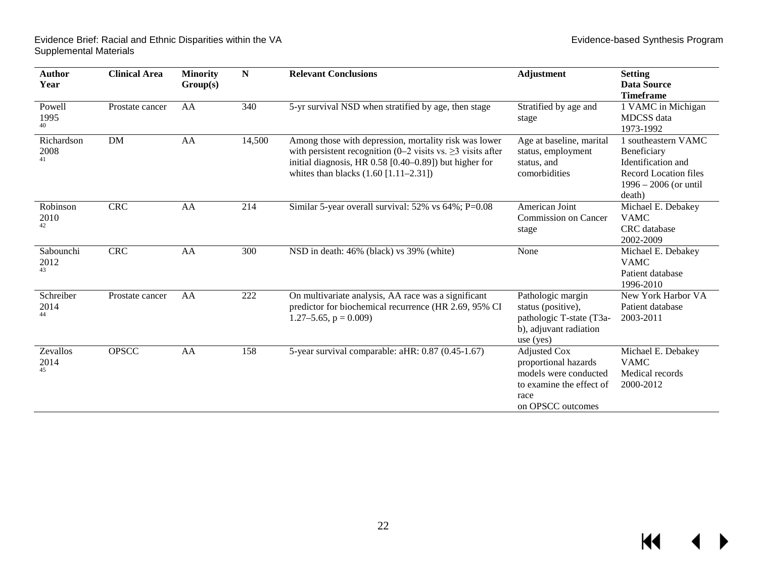Evidence Brief: Racial and Ethnic Disparities within the VA Evidence-based Synthesis Program Supplemental Materials

| <b>Author</b><br>Year    | <b>Clinical Area</b> | <b>Minority</b><br>Group(s) | $\mathbf N$ | <b>Relevant Conclusions</b>                                                                                                                                                                                                       | Adjustment                                                                                                                    | <b>Setting</b><br><b>Data Source</b><br><b>Timeframe</b>                                                                      |
|--------------------------|----------------------|-----------------------------|-------------|-----------------------------------------------------------------------------------------------------------------------------------------------------------------------------------------------------------------------------------|-------------------------------------------------------------------------------------------------------------------------------|-------------------------------------------------------------------------------------------------------------------------------|
| Powell<br>1995<br>40     | Prostate cancer      | AA                          | 340         | 5-yr survival NSD when stratified by age, then stage                                                                                                                                                                              | Stratified by age and<br>stage                                                                                                | 1 VAMC in Michigan<br><b>MDCSS</b> data<br>1973-1992                                                                          |
| Richardson<br>2008<br>41 | DM                   | AA                          | 14,500      | Among those with depression, mortality risk was lower<br>with persistent recognition (0–2 visits vs. $\geq$ 3 visits after<br>initial diagnosis, HR $0.58$ [0.40–0.89]) but higher for<br>whites than blacks $(1.60 [1.11-2.31])$ | Age at baseline, marital<br>status, employment<br>status, and<br>comorbidities                                                | 1 southeastern VAMC<br>Beneficiary<br>Identification and<br><b>Record Location files</b><br>$1996 - 2006$ (or until<br>death) |
| Robinson<br>2010<br>42   | <b>CRC</b>           | AA                          | 214         | Similar 5-year overall survival: 52% vs 64%; P=0.08                                                                                                                                                                               | American Joint<br>Commission on Cancer<br>stage                                                                               | Michael E. Debakey<br><b>VAMC</b><br>CRC database<br>2002-2009                                                                |
| Sabounchi<br>2012<br>43  | <b>CRC</b>           | AA                          | 300         | NSD in death: 46% (black) vs 39% (white)                                                                                                                                                                                          | None                                                                                                                          | Michael E. Debakey<br><b>VAMC</b><br>Patient database<br>1996-2010                                                            |
| Schreiber<br>2014<br>44  | Prostate cancer      | AA                          | 222         | On multivariate analysis, AA race was a significant<br>predictor for biochemical recurrence (HR 2.69, 95% CI<br>$1.27 - 5.65$ , $p = 0.009$ )                                                                                     | Pathologic margin<br>status (positive),<br>pathologic T-state (T3a-<br>b), adjuvant radiation<br>use $(yes)$                  | New York Harbor VA<br>Patient database<br>2003-2011                                                                           |
| Zevallos<br>2014<br>45   | <b>OPSCC</b>         | AA                          | 158         | 5-year survival comparable: aHR: 0.87 (0.45-1.67)                                                                                                                                                                                 | <b>Adjusted Cox</b><br>proportional hazards<br>models were conducted<br>to examine the effect of<br>race<br>on OPSCC outcomes | Michael E. Debakey<br><b>VAMC</b><br>Medical records<br>2000-2012                                                             |

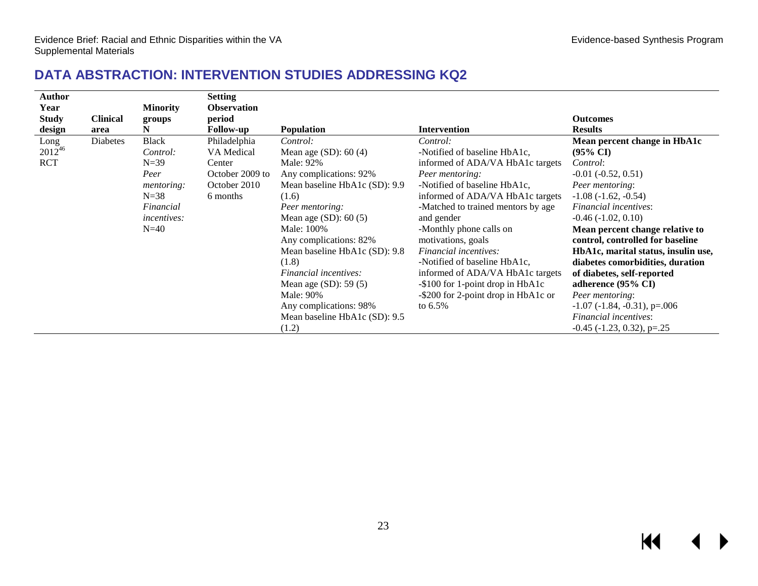#### **DATA ABSTRACTION: INTERVENTION STUDIES ADDRESSING KQ2**

<span id="page-24-0"></span>

| <b>Author</b> |                 |                    | <b>Setting</b>     |                               |                                     |                                          |
|---------------|-----------------|--------------------|--------------------|-------------------------------|-------------------------------------|------------------------------------------|
| Year          |                 | <b>Minority</b>    | <b>Observation</b> |                               |                                     |                                          |
| <b>Study</b>  | <b>Clinical</b> | groups             | period             |                               |                                     | <b>Outcomes</b>                          |
| design        | area            | N                  | <b>Follow-up</b>   | <b>Population</b>             | <b>Intervention</b>                 | <b>Results</b>                           |
| Long          | Diabetes        | <b>Black</b>       | Philadelphia       | Control:                      | Control:                            | Mean percent change in HbA1c             |
| $2012^{46}$   |                 | Control:           | VA Medical         | Mean age $(SD)$ : 60 (4)      | -Notified of baseline HbA1c,        | $(95\% \text{ CI})$                      |
| <b>RCT</b>    |                 | $N = 39$           | Center             | Male: 92%                     | informed of ADA/VA HbA1c targets    | Control:                                 |
|               |                 | Peer               | October 2009 to    | Any complications: 92%        | Peer mentoring:                     | $-0.01 (-0.52, 0.51)$                    |
|               |                 | <i>mentoring:</i>  | October 2010       | Mean baseline HbA1c (SD): 9.9 | -Notified of baseline HbA1c,        | Peer mentoring:                          |
|               |                 | $N = 38$           | 6 months           | (1.6)                         | informed of ADA/VA HbA1c targets    | $-1.08$ $(-1.62, -0.54)$                 |
|               |                 | Financial          |                    | Peer mentoring:               | -Matched to trained mentors by age  | Financial incentives:                    |
|               |                 | <i>incentives:</i> |                    | Mean age $(SD)$ : 60 $(5)$    | and gender                          | $-0.46(-1.02, 0.10)$                     |
|               |                 | $N=40$             |                    | Male: 100%                    | -Monthly phone calls on             | Mean percent change relative to          |
|               |                 |                    |                    | Any complications: 82%        | motivations, goals                  | control, controlled for baseline         |
|               |                 |                    |                    | Mean baseline HbA1c (SD): 9.8 | Financial incentives:               | HbA1c, marital status, insulin use,      |
|               |                 |                    |                    | (1.8)                         | -Notified of baseline HbA1c,        | diabetes comorbidities, duration         |
|               |                 |                    |                    | Financial incentives:         | informed of ADA/VA HbA1c targets    | of diabetes, self-reported               |
|               |                 |                    |                    | Mean age $(SD)$ : 59 $(5)$    | -\$100 for 1-point drop in HbA1c    | adherence (95% CI)                       |
|               |                 |                    |                    | Male: 90%                     | -\$200 for 2-point drop in HbA1c or | Peer mentoring:                          |
|               |                 |                    |                    | Any complications: 98%        | to $6.5\%$                          | $-1.07$ ( $-1.84$ , $-0.31$ ), p= $.006$ |
|               |                 |                    |                    | Mean baseline HbA1c (SD): 9.5 |                                     | Financial incentives:                    |
|               |                 |                    |                    | (1.2)                         |                                     | $-0.45$ ( $-1.23$ , 0.32), p= $.25$      |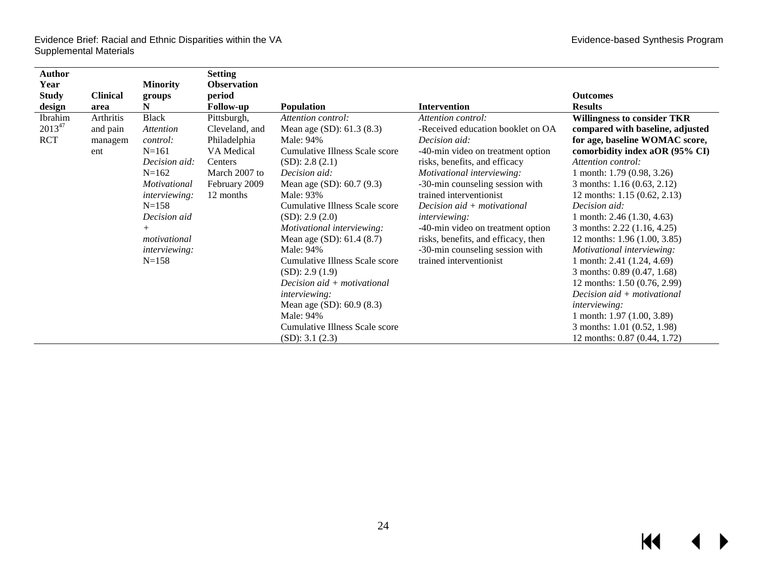| Author       |                 |                      | <b>Setting</b>     |                                |                                     |                                    |
|--------------|-----------------|----------------------|--------------------|--------------------------------|-------------------------------------|------------------------------------|
| Year         |                 | <b>Minority</b>      | <b>Observation</b> |                                |                                     |                                    |
| <b>Study</b> | <b>Clinical</b> | groups               | period             |                                |                                     | <b>Outcomes</b>                    |
| design       | area            | N                    | <b>Follow-up</b>   | <b>Population</b>              | <b>Intervention</b>                 | <b>Results</b>                     |
| Ibrahim      | Arthritis       | <b>Black</b>         | Pittsburgh,        | Attention control:             | Attention control:                  | <b>Willingness to consider TKR</b> |
| 201347       | and pain        | Attention            | Cleveland, and     | Mean age (SD): 61.3 (8.3)      | -Received education booklet on OA   | compared with baseline, adjusted   |
| <b>RCT</b>   | managem         | <i>control:</i>      | Philadelphia       | Male: 94%                      | Decision aid:                       | for age, baseline WOMAC score,     |
|              | ent             | $N = 161$            | VA Medical         | Cumulative Illness Scale score | -40-min video on treatment option   | comorbidity index aOR (95% CI)     |
|              |                 | Decision aid:        | Centers            | (SD): 2.8(2.1)                 | risks, benefits, and efficacy       | Attention control:                 |
|              |                 | $N=162$              | March 2007 to      | Decision aid:                  | Motivational interviewing:          | 1 month: 1.79 (0.98, 3.26)         |
|              |                 | Motivational         | February 2009      | Mean age (SD): 60.7 (9.3)      | -30-min counseling session with     | 3 months: 1.16 (0.63, 2.12)        |
|              |                 | <i>interviewing:</i> | 12 months          | Male: 93%                      | trained interventionist             | 12 months: $1.15(0.62, 2.13)$      |
|              |                 | $N = 158$            |                    | Cumulative Illness Scale score | Decision $aid + motivational$       | Decision aid:                      |
|              |                 | Decision aid         |                    | (SD): 2.9(2.0)                 | <i>interviewing:</i>                | 1 month: $2.46$ (1.30, 4.63)       |
|              |                 | $^{+}$               |                    | Motivational interviewing:     | -40-min video on treatment option   | 3 months: 2.22 (1.16, 4.25)        |
|              |                 | motivational         |                    | Mean age $(SD)$ : 61.4 $(8.7)$ | risks, benefits, and efficacy, then | 12 months: 1.96 (1.00, 3.85)       |
|              |                 | <i>interviewing:</i> |                    | Male: 94%                      | -30-min counseling session with     | Motivational interviewing:         |
|              |                 | $N = 158$            |                    | Cumulative Illness Scale score | trained interventionist             | 1 month: $2.41$ $(1.24, 4.69)$     |
|              |                 |                      |                    | (SD): 2.9(1.9)                 |                                     | 3 months: 0.89 (0.47, 1.68)        |
|              |                 |                      |                    | Decision aid + motivational    |                                     | 12 months: 1.50 (0.76, 2.99)       |
|              |                 |                      |                    | <i>interviewing:</i>           |                                     | Decision aid + motivational        |
|              |                 |                      |                    | Mean age (SD): 60.9 (8.3)      |                                     | <i>interviewing:</i>               |
|              |                 |                      |                    | Male: 94%                      |                                     | 1 month: $1.97$ $(1.00, 3.89)$     |
|              |                 |                      |                    | Cumulative Illness Scale score |                                     | 3 months: 1.01 (0.52, 1.98)        |
|              |                 |                      |                    | (SD): 3.1 (2.3)                |                                     | 12 months: 0.87 (0.44, 1.72)       |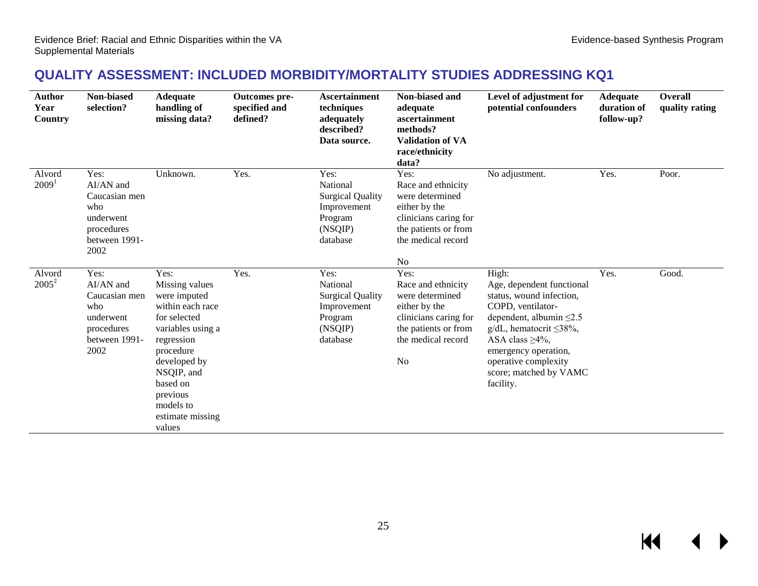KI

### **QUALITY ASSESSMENT: INCLUDED MORBIDITY/MORTALITY STUDIES ADDRESSING KQ1**

<span id="page-26-0"></span>

| <b>Author</b><br>Year<br>Country | Non-biased<br>selection?                                                                      | <b>Adequate</b><br>handling of<br>missing data?                                                                                                                                                                             | Outcomes pre-<br>specified and<br>defined? | <b>Ascertainment</b><br>techniques<br>adequately<br>described?<br>Data source.               | Non-biased and<br>adequate<br>ascertainment<br>methods?<br><b>Validation of VA</b><br>race/ethnicity<br>data?                                           | Level of adjustment for<br>potential confounders                                                                                                                                                                                                                         | <b>Adequate</b><br>duration of<br>follow-up? | <b>Overall</b><br>quality rating |
|----------------------------------|-----------------------------------------------------------------------------------------------|-----------------------------------------------------------------------------------------------------------------------------------------------------------------------------------------------------------------------------|--------------------------------------------|----------------------------------------------------------------------------------------------|---------------------------------------------------------------------------------------------------------------------------------------------------------|--------------------------------------------------------------------------------------------------------------------------------------------------------------------------------------------------------------------------------------------------------------------------|----------------------------------------------|----------------------------------|
| Alvord<br>2009 <sup>1</sup>      | Yes:<br>AI/AN and<br>Caucasian men<br>who<br>underwent<br>procedures<br>between 1991-<br>2002 | Unknown.                                                                                                                                                                                                                    | Yes.                                       | Yes:<br>National<br><b>Surgical Quality</b><br>Improvement<br>Program<br>(NSQIP)<br>database | Yes:<br>Race and ethnicity<br>were determined<br>either by the<br>clinicians caring for<br>the patients or from<br>the medical record<br>No             | No adjustment.                                                                                                                                                                                                                                                           | Yes.                                         | Poor.                            |
| Alvord<br>$2005^2$               | Yes:<br>AI/AN and<br>Caucasian men<br>who<br>underwent<br>procedures<br>between 1991-<br>2002 | Yes:<br>Missing values<br>were imputed<br>within each race<br>for selected<br>variables using a<br>regression<br>procedure<br>developed by<br>NSQIP, and<br>based on<br>previous<br>models to<br>estimate missing<br>values | Yes.                                       | Yes:<br>National<br><b>Surgical Quality</b><br>Improvement<br>Program<br>(NSQIP)<br>database | Yes:<br>Race and ethnicity<br>were determined<br>either by the<br>clinicians caring for<br>the patients or from<br>the medical record<br>N <sub>o</sub> | High:<br>Age, dependent functional<br>status, wound infection,<br>COPD, ventilator-<br>dependent, albumin $\leq 2.5$<br>$g/dL$ , hematocrit $\leq$ 38%,<br>ASA class $\geq 4\%$ ,<br>emergency operation,<br>operative complexity<br>score; matched by VAMC<br>facility. | Yes.                                         | Good.                            |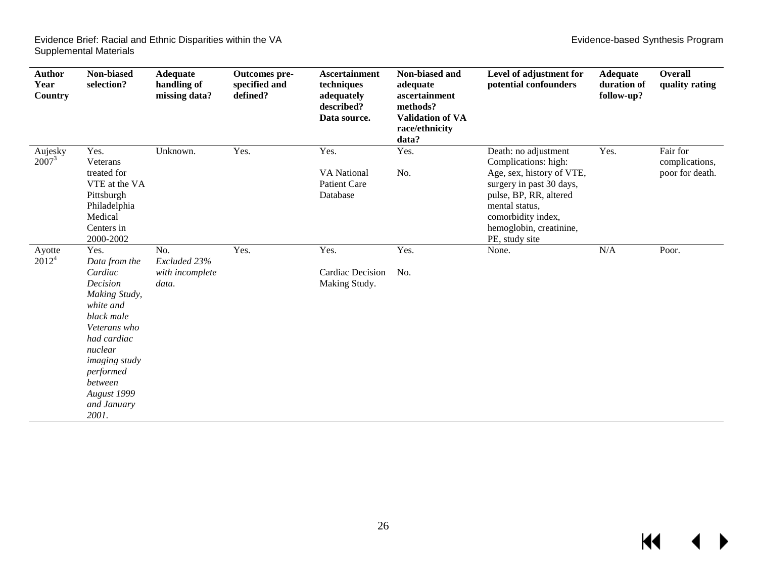| <b>Author</b><br>Year<br>Country | Non-biased<br>selection?                                                                                                                                                                                                  | <b>Adequate</b><br>handling of<br>missing data? | Outcomes pre-<br>specified and<br>defined? | <b>Ascertainment</b><br>techniques<br>adequately<br>described?<br>Data source. | Non-biased and<br>adequate<br>ascertainment<br>methods?<br><b>Validation of VA</b><br>race/ethnicity<br>data? | Level of adjustment for<br>potential confounders                                                                                                                                                                     | <b>Adequate</b><br>duration of<br>follow-up? | Overall<br>quality rating                     |
|----------------------------------|---------------------------------------------------------------------------------------------------------------------------------------------------------------------------------------------------------------------------|-------------------------------------------------|--------------------------------------------|--------------------------------------------------------------------------------|---------------------------------------------------------------------------------------------------------------|----------------------------------------------------------------------------------------------------------------------------------------------------------------------------------------------------------------------|----------------------------------------------|-----------------------------------------------|
| Aujesky<br>$2007^3$              | Yes.<br>Veterans<br>treated for<br>VTE at the VA<br>Pittsburgh<br>Philadelphia<br>Medical<br>Centers in<br>2000-2002                                                                                                      | Unknown.                                        | Yes.                                       | Yes.<br><b>VA</b> National<br><b>Patient Care</b><br>Database                  | Yes.<br>No.                                                                                                   | Death: no adjustment<br>Complications: high:<br>Age, sex, history of VTE,<br>surgery in past 30 days,<br>pulse, BP, RR, altered<br>mental status,<br>comorbidity index,<br>hemoglobin, creatinine,<br>PE, study site | Yes.                                         | Fair for<br>complications,<br>poor for death. |
| Ayotte<br>$2012^4$               | Yes.<br>Data from the<br>Cardiac<br>Decision<br>Making Study,<br>white and<br>black male<br>Veterans who<br>had cardiac<br>nuclear<br><i>imaging study</i><br>performed<br>between<br>August 1999<br>and January<br>2001. | No.<br>Excluded 23%<br>with incomplete<br>data. | Yes.                                       | Yes.<br><b>Cardiac Decision</b><br>Making Study.                               | Yes.<br>No.                                                                                                   | None.                                                                                                                                                                                                                | N/A                                          | Poor.                                         |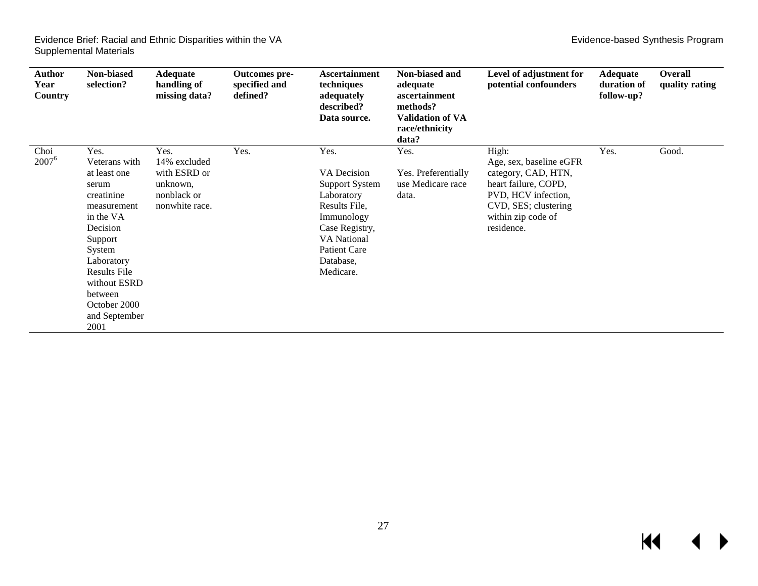| Author<br>Year<br><b>Country</b> | Non-biased<br>selection?                                                                                                                                                                                                           | <b>Adequate</b><br>handling of<br>missing data?                                   | Outcomes pre-<br>specified and<br>defined? | <b>Ascertainment</b><br>techniques<br>adequately<br>described?<br>Data source.                                                                                                     | Non-biased and<br>adequate<br>ascertainment<br>methods?<br><b>Validation of VA</b><br>race/ethnicity<br>data? | Level of adjustment for<br>potential confounders                                                                                                                   | <b>Adequate</b><br>duration of<br>follow-up? | <b>Overall</b><br>quality rating |
|----------------------------------|------------------------------------------------------------------------------------------------------------------------------------------------------------------------------------------------------------------------------------|-----------------------------------------------------------------------------------|--------------------------------------------|------------------------------------------------------------------------------------------------------------------------------------------------------------------------------------|---------------------------------------------------------------------------------------------------------------|--------------------------------------------------------------------------------------------------------------------------------------------------------------------|----------------------------------------------|----------------------------------|
| Choi<br>$2007^6$                 | Yes.<br>Veterans with<br>at least one<br>serum<br>creatinine<br>measurement<br>in the VA<br>Decision<br>Support<br>System<br>Laboratory<br><b>Results File</b><br>without ESRD<br>between<br>October 2000<br>and September<br>2001 | Yes.<br>14% excluded<br>with ESRD or<br>unknown,<br>nonblack or<br>nonwhite race. | Yes.                                       | Yes.<br>VA Decision<br><b>Support System</b><br>Laboratory<br>Results File,<br>Immunology<br>Case Registry,<br><b>VA</b> National<br><b>Patient Care</b><br>Database,<br>Medicare. | Yes.<br>Yes. Preferentially<br>use Medicare race<br>data.                                                     | High:<br>Age, sex, baseline eGFR<br>category, CAD, HTN,<br>heart failure, COPD,<br>PVD, HCV infection,<br>CVD, SES; clustering<br>within zip code of<br>residence. | Yes.                                         | Good.                            |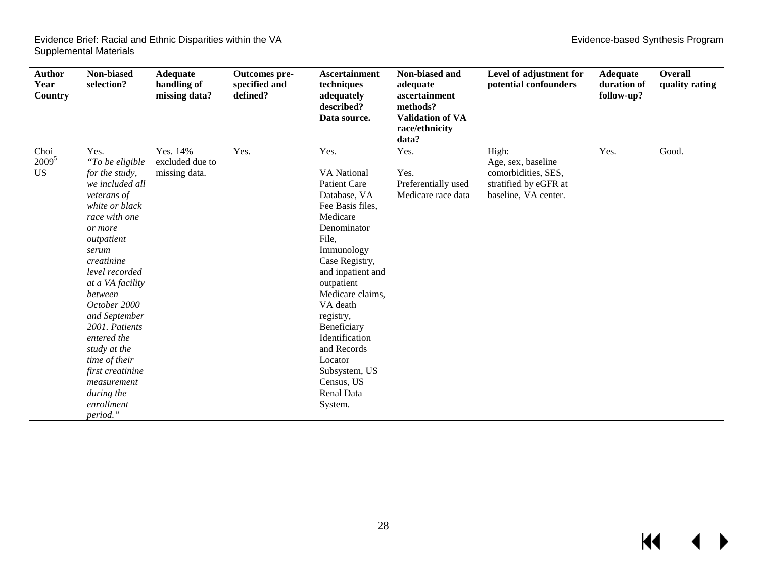| <b>Author</b><br>Year<br>Country | Non-biased<br>selection?                                                                                                                                                                                                                                                                                                                                                                      | <b>Adequate</b><br>handling of<br>missing data? | Outcomes pre-<br>specified and<br>defined? | <b>Ascertainment</b><br>techniques<br>adequately<br>described?<br>Data source.                                                                                                                                                                                                                                                                               | Non-biased and<br>adequate<br>ascertainment<br>methods?<br><b>Validation of VA</b><br>race/ethnicity<br>data? | Level of adjustment for<br>potential confounders                                                    | <b>Adequate</b><br>duration of<br>follow-up? | Overall<br>quality rating |
|----------------------------------|-----------------------------------------------------------------------------------------------------------------------------------------------------------------------------------------------------------------------------------------------------------------------------------------------------------------------------------------------------------------------------------------------|-------------------------------------------------|--------------------------------------------|--------------------------------------------------------------------------------------------------------------------------------------------------------------------------------------------------------------------------------------------------------------------------------------------------------------------------------------------------------------|---------------------------------------------------------------------------------------------------------------|-----------------------------------------------------------------------------------------------------|----------------------------------------------|---------------------------|
| Choi<br>$2009^5$<br><b>US</b>    | Yes.<br>"To be eligible<br>for the study,<br>we included all<br>veterans of<br>white or black<br>race with one<br>or more<br>outpatient<br>serum<br>creatinine<br>level recorded<br>at a VA facility<br>between<br>October 2000<br>and September<br>2001. Patients<br>entered the<br>study at the<br>time of their<br>first creatinine<br>measurement<br>during the<br>enrollment<br>period." | Yes. 14%<br>excluded due to<br>missing data.    | Yes.                                       | Yes.<br><b>VA</b> National<br><b>Patient Care</b><br>Database, VA<br>Fee Basis files,<br>Medicare<br>Denominator<br>File,<br>Immunology<br>Case Registry,<br>and inpatient and<br>outpatient<br>Medicare claims,<br>VA death<br>registry,<br>Beneficiary<br>Identification<br>and Records<br>Locator<br>Subsystem, US<br>Census, US<br>Renal Data<br>System. | Yes.<br>Yes.<br>Preferentially used<br>Medicare race data                                                     | High:<br>Age, sex, baseline<br>comorbidities, SES,<br>stratified by eGFR at<br>baseline, VA center. | Yes.                                         | Good.                     |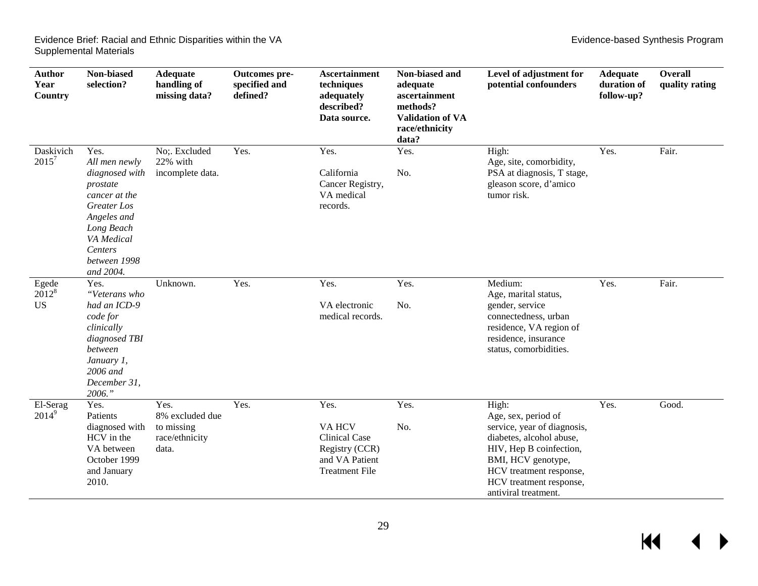$M$ 

 $\blacktriangleleft$ 

 $\blacktriangleright$ 

| Author<br>Year<br>Country      | Non-biased<br>selection?                                                                                                                                               | <b>Adequate</b><br>handling of<br>missing data?                  | Outcomes pre-<br>specified and<br>defined? | <b>Ascertainment</b><br>techniques<br>adequately<br>described?<br>Data source.                            | Non-biased and<br>adequate<br>ascertainment<br>methods?<br><b>Validation of VA</b><br>race/ethnicity<br>data? | Level of adjustment for<br>potential confounders                                                                                                                                                                       | <b>Adequate</b><br>duration of<br>follow-up? | Overall<br>quality rating |
|--------------------------------|------------------------------------------------------------------------------------------------------------------------------------------------------------------------|------------------------------------------------------------------|--------------------------------------------|-----------------------------------------------------------------------------------------------------------|---------------------------------------------------------------------------------------------------------------|------------------------------------------------------------------------------------------------------------------------------------------------------------------------------------------------------------------------|----------------------------------------------|---------------------------|
| Daskivich<br>$2015^7$          | Yes.<br>All men newly<br>diagnosed with<br>prostate<br>cancer at the<br>Greater Los<br>Angeles and<br>Long Beach<br>VA Medical<br>Centers<br>between 1998<br>and 2004. | No;. Excluded<br>22% with<br>incomplete data.                    | Yes.                                       | Yes.<br>California<br>Cancer Registry,<br>VA medical<br>records.                                          | Yes.<br>No.                                                                                                   | High:<br>Age, site, comorbidity,<br>PSA at diagnosis, T stage,<br>gleason score, d'amico<br>tumor risk.                                                                                                                | Yes.                                         | Fair.                     |
| Egede<br>$2012^8$<br><b>US</b> | Yes.<br>"Veterans who<br>had an ICD-9<br>code for<br>clinically<br>diagnosed TBI<br>between<br>January 1,<br>2006 and<br>December 31,<br>2006."                        | Unknown.                                                         | Yes.                                       | Yes.<br>VA electronic<br>medical records.                                                                 | Yes.<br>No.                                                                                                   | Medium:<br>Age, marital status,<br>gender, service<br>connectedness, urban<br>residence, VA region of<br>residence, insurance<br>status, comorbidities.                                                                | Yes.                                         | Fair.                     |
| El-Serag<br>$2014^9$           | Yes.<br>Patients<br>diagnosed with<br>HCV in the<br>VA between<br>October 1999<br>and January<br>2010.                                                                 | Yes.<br>8% excluded due<br>to missing<br>race/ethnicity<br>data. | Yes.                                       | Yes.<br><b>VAHCV</b><br><b>Clinical Case</b><br>Registry (CCR)<br>and VA Patient<br><b>Treatment File</b> | Yes.<br>No.                                                                                                   | High:<br>Age, sex, period of<br>service, year of diagnosis,<br>diabetes, alcohol abuse,<br>HIV, Hep B coinfection,<br>BMI, HCV genotype,<br>HCV treatment response,<br>HCV treatment response,<br>antiviral treatment. | Yes.                                         | Good.                     |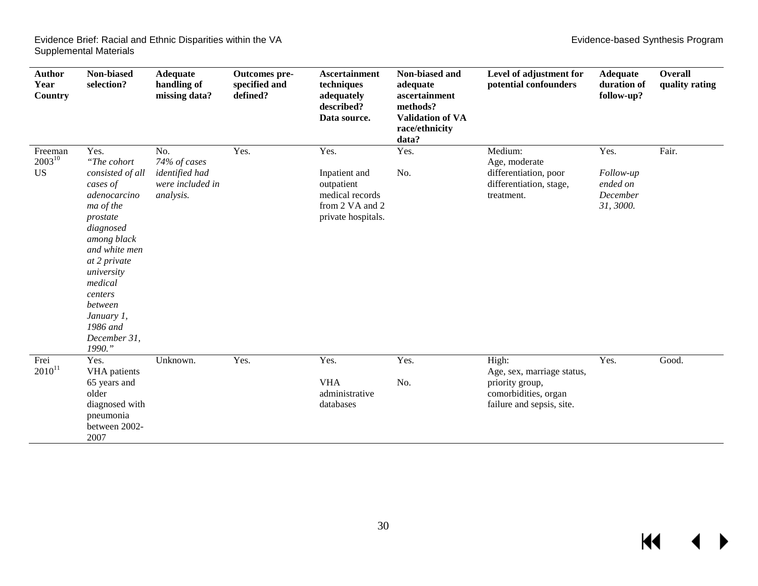| <b>Author</b><br>Year<br>Country    | Non-biased<br>selection?                                                                                                                                                                                                                                     | <b>Adequate</b><br>handling of<br>missing data?                        | Outcomes pre-<br>specified and<br>defined? | <b>Ascertainment</b><br>techniques<br>adequately<br>described?<br>Data source.                  | Non-biased and<br>adequate<br>ascertainment<br>methods?<br><b>Validation of VA</b><br>race/ethnicity<br>data? | Level of adjustment for<br>potential confounders                                                            | <b>Adequate</b><br>duration of<br>follow-up?           | Overall<br>quality rating |
|-------------------------------------|--------------------------------------------------------------------------------------------------------------------------------------------------------------------------------------------------------------------------------------------------------------|------------------------------------------------------------------------|--------------------------------------------|-------------------------------------------------------------------------------------------------|---------------------------------------------------------------------------------------------------------------|-------------------------------------------------------------------------------------------------------------|--------------------------------------------------------|---------------------------|
| Freeman<br>$2003^{10}$<br><b>US</b> | Yes.<br>"The cohort<br>consisted of all<br>cases of<br>adenocarcino<br>ma of the<br>prostate<br>diagnosed<br>among black<br>and white men<br>at 2 private<br>university<br>medical<br>centers<br>between<br>January 1,<br>1986 and<br>December 31,<br>1990." | No.<br>74% of cases<br>identified had<br>were included in<br>analysis. | Yes.                                       | Yes.<br>Inpatient and<br>outpatient<br>medical records<br>from 2 VA and 2<br>private hospitals. | Yes.<br>No.                                                                                                   | Medium:<br>Age, moderate<br>differentiation, poor<br>differentiation, stage,<br>treatment.                  | Yes.<br>Follow-up<br>ended on<br>December<br>31, 3000. | Fair.                     |
| Frei<br>$2010^{11}$                 | Yes.<br>VHA patients<br>65 years and<br>older<br>diagnosed with<br>pneumonia<br>between 2002-<br>2007                                                                                                                                                        | Unknown.                                                               | Yes.                                       | Yes.<br><b>VHA</b><br>administrative<br>databases                                               | Yes.<br>No.                                                                                                   | High:<br>Age, sex, marriage status,<br>priority group,<br>comorbidities, organ<br>failure and sepsis, site. | Yes.                                                   | Good.                     |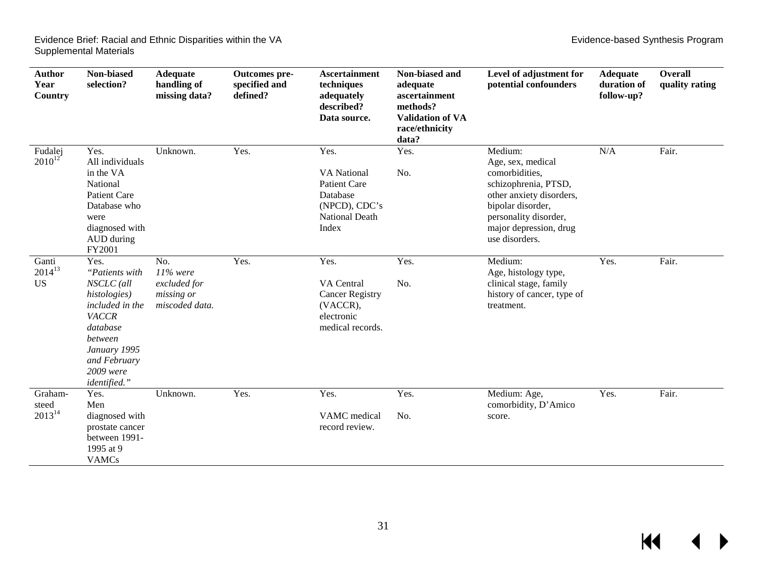| <b>Author</b><br>Year<br>Country  | Non-biased<br>selection?                                                                                                                                             | <b>Adequate</b><br>handling of<br>missing data?                                 | Outcomes pre-<br>specified and<br>defined? | <b>Ascertainment</b><br>techniques<br>adequately<br>described?<br>Data source.                                   | Non-biased and<br>adequate<br>ascertainment<br>methods?<br><b>Validation of VA</b><br>race/ethnicity<br>data? | Level of adjustment for<br>potential confounders                                                                                                                                             | <b>Adequate</b><br>duration of<br>follow-up? | Overall<br>quality rating |
|-----------------------------------|----------------------------------------------------------------------------------------------------------------------------------------------------------------------|---------------------------------------------------------------------------------|--------------------------------------------|------------------------------------------------------------------------------------------------------------------|---------------------------------------------------------------------------------------------------------------|----------------------------------------------------------------------------------------------------------------------------------------------------------------------------------------------|----------------------------------------------|---------------------------|
| Fudalej<br>$2010^{12}$            | Yes.<br>All individuals<br>in the VA<br>National<br><b>Patient Care</b><br>Database who<br>were<br>diagnosed with<br>AUD during<br>FY2001                            | Unknown.                                                                        | Yes.                                       | Yes.<br><b>VA</b> National<br><b>Patient Care</b><br>Database<br>(NPCD), CDC's<br><b>National Death</b><br>Index | Yes.<br>No.                                                                                                   | Medium:<br>Age, sex, medical<br>comorbidities,<br>schizophrenia, PTSD,<br>other anxiety disorders,<br>bipolar disorder,<br>personality disorder,<br>major depression, drug<br>use disorders. | N/A                                          | Fair.                     |
| Ganti<br>$2014^{13}$<br><b>US</b> | Yes.<br>"Patients with<br>NSCLC (all<br>histologies)<br>included in the<br>VACCR<br>database<br>between<br>January 1995<br>and February<br>2009 were<br>identified." | $\overline{No.}$<br>$11\%$ were<br>excluded for<br>missing or<br>miscoded data. | Yes.                                       | Yes.<br>VA Central<br><b>Cancer Registry</b><br>(VACCR),<br>electronic<br>medical records.                       | Yes.<br>No.                                                                                                   | Medium:<br>Age, histology type,<br>clinical stage, family<br>history of cancer, type of<br>treatment.                                                                                        | Yes.                                         | Fair.                     |
| Graham-<br>steed<br>$2013^{14}$   | Yes.<br>Men<br>diagnosed with<br>prostate cancer<br>between 1991-<br>1995 at 9<br><b>VAMCs</b>                                                                       | Unknown.                                                                        | Yes.                                       | Yes.<br>VAMC medical<br>record review.                                                                           | Yes.<br>No.                                                                                                   | Medium: Age,<br>comorbidity, D'Amico<br>score.                                                                                                                                               | Yes.                                         | Fair.                     |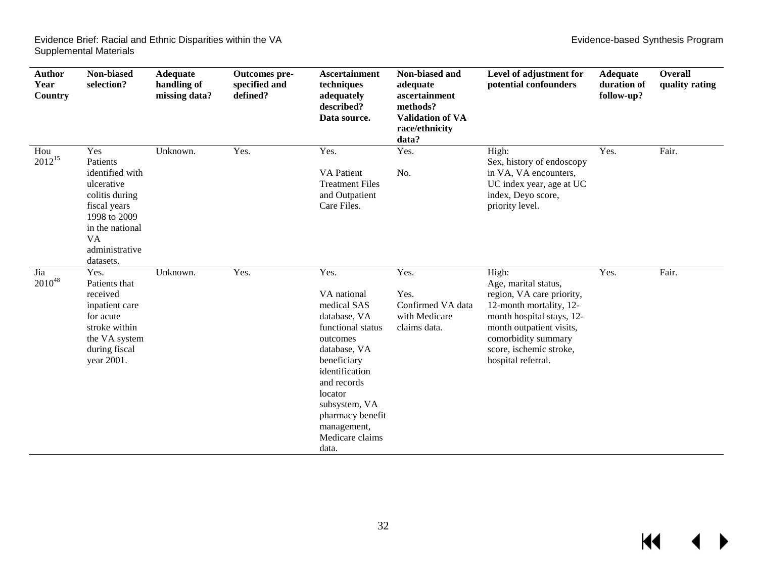$\blacksquare$ 

| Author<br>Year<br>Country | Non-biased<br>selection?                                                                                                                                          | <b>Adequate</b><br>handling of<br>missing data? | Outcomes pre-<br>specified and<br>defined? | <b>Ascertainment</b><br>techniques<br>adequately<br>described?<br>Data source.                                                                                                                                                                 | Non-biased and<br>adequate<br>ascertainment<br>methods?<br><b>Validation of VA</b><br>race/ethnicity<br>data? | Level of adjustment for<br>potential confounders                                                                                                                                                                       | <b>Adequate</b><br>duration of<br>follow-up? | <b>Overall</b><br>quality rating |
|---------------------------|-------------------------------------------------------------------------------------------------------------------------------------------------------------------|-------------------------------------------------|--------------------------------------------|------------------------------------------------------------------------------------------------------------------------------------------------------------------------------------------------------------------------------------------------|---------------------------------------------------------------------------------------------------------------|------------------------------------------------------------------------------------------------------------------------------------------------------------------------------------------------------------------------|----------------------------------------------|----------------------------------|
| Hou<br>$2012^{15}$        | Yes<br>Patients<br>identified with<br>ulcerative<br>colitis during<br>fiscal years<br>1998 to 2009<br>in the national<br><b>VA</b><br>administrative<br>datasets. | Unknown.                                        | Yes.                                       | Yes.<br><b>VA</b> Patient<br><b>Treatment Files</b><br>and Outpatient<br>Care Files.                                                                                                                                                           | Yes.<br>No.                                                                                                   | High:<br>Sex, history of endoscopy<br>in VA, VA encounters,<br>UC index year, age at UC<br>index, Deyo score,<br>priority level.                                                                                       | Yes.                                         | Fair.                            |
| Jia<br>$2010^{48}$        | Yes.<br>Patients that<br>received<br>inpatient care<br>for acute<br>stroke within<br>the VA system<br>during fiscal<br>year 2001.                                 | Unknown.                                        | Yes.                                       | Yes.<br>VA national<br>medical SAS<br>database, VA<br>functional status<br>outcomes<br>database, VA<br>beneficiary<br>identification<br>and records<br>locator<br>subsystem, VA<br>pharmacy benefit<br>management,<br>Medicare claims<br>data. | Yes.<br>Yes.<br>Confirmed VA data<br>with Medicare<br>claims data.                                            | High:<br>Age, marital status,<br>region, VA care priority,<br>12-month mortality, 12-<br>month hospital stays, 12-<br>month outpatient visits,<br>comorbidity summary<br>score, ischemic stroke,<br>hospital referral. | Yes.                                         | Fair.                            |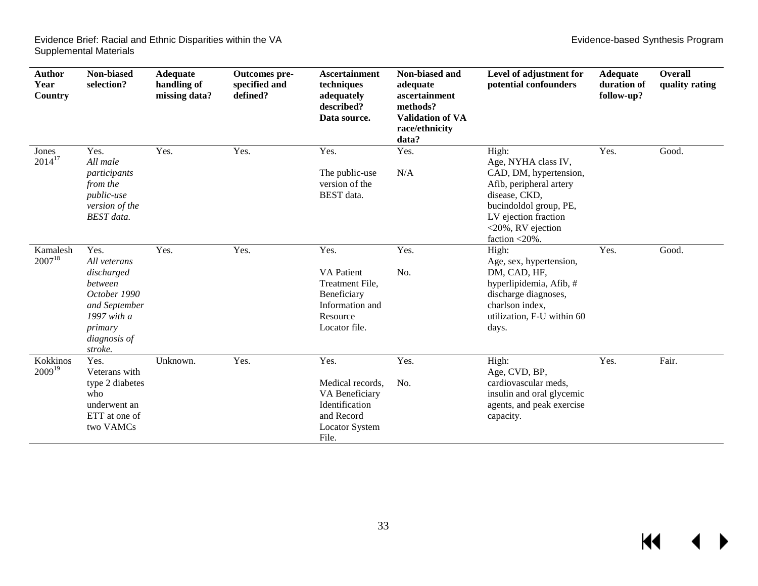| <b>Author</b><br>Year<br>Country | Non-biased<br>selection?                                                                                                            | Adequate<br>handling of<br>missing data? | Outcomes pre-<br>specified and<br>defined? | <b>Ascertainment</b><br>techniques<br>adequately<br>described?<br>Data source.                              | Non-biased and<br>adequate<br>ascertainment<br>methods?<br><b>Validation of VA</b><br>race/ethnicity<br>data? | Level of adjustment for<br>potential confounders                                                                                                              | <b>Adequate</b><br>duration of<br>follow-up? | <b>Overall</b><br>quality rating |
|----------------------------------|-------------------------------------------------------------------------------------------------------------------------------------|------------------------------------------|--------------------------------------------|-------------------------------------------------------------------------------------------------------------|---------------------------------------------------------------------------------------------------------------|---------------------------------------------------------------------------------------------------------------------------------------------------------------|----------------------------------------------|----------------------------------|
| Jones<br>$2014^{17}$             | Yes.<br>All male<br>participants<br>from the<br><i>public-use</i>                                                                   | Yes.                                     | Yes.                                       | Yes.<br>The public-use<br>version of the<br>BEST data.                                                      | Yes.<br>N/A                                                                                                   | High:<br>Age, NYHA class IV,<br>CAD, DM, hypertension,<br>Afib, peripheral artery<br>disease, CKD,                                                            | Yes.                                         | Good.                            |
|                                  | version of the<br><b>BEST</b> data.                                                                                                 |                                          |                                            |                                                                                                             |                                                                                                               | bucindoldol group, PE,<br>LV ejection fraction<br>$<$ 20%, RV ejection<br>faction $\langle 20\% \rangle$ .                                                    |                                              |                                  |
| Kamalesh<br>$2007^{18}$          | Yes.<br>All veterans<br>discharged<br>between<br>October 1990<br>and September<br>1997 with a<br>primary<br>diagnosis of<br>stroke. | Yes.                                     | Yes.                                       | Yes.<br><b>VA Patient</b><br>Treatment File,<br>Beneficiary<br>Information and<br>Resource<br>Locator file. | Yes.<br>No.                                                                                                   | High:<br>Age, sex, hypertension,<br>DM, CAD, HF,<br>hyperlipidemia, Afib, #<br>discharge diagnoses,<br>charlson index.<br>utilization, F-U within 60<br>days. | Yes.                                         | Good.                            |
| Kokkinos<br>$2009^{19}$          | Yes.<br>Veterans with<br>type 2 diabetes<br>who<br>underwent an<br>ETT at one of<br>two VAMCs                                       | Unknown.                                 | Yes.                                       | Yes.<br>Medical records,<br>VA Beneficiary<br>Identification<br>and Record<br>Locator System<br>File.       | Yes.<br>No.                                                                                                   | High:<br>Age, CVD, BP,<br>cardiovascular meds,<br>insulin and oral glycemic<br>agents, and peak exercise<br>capacity.                                         | Yes.                                         | Fair.                            |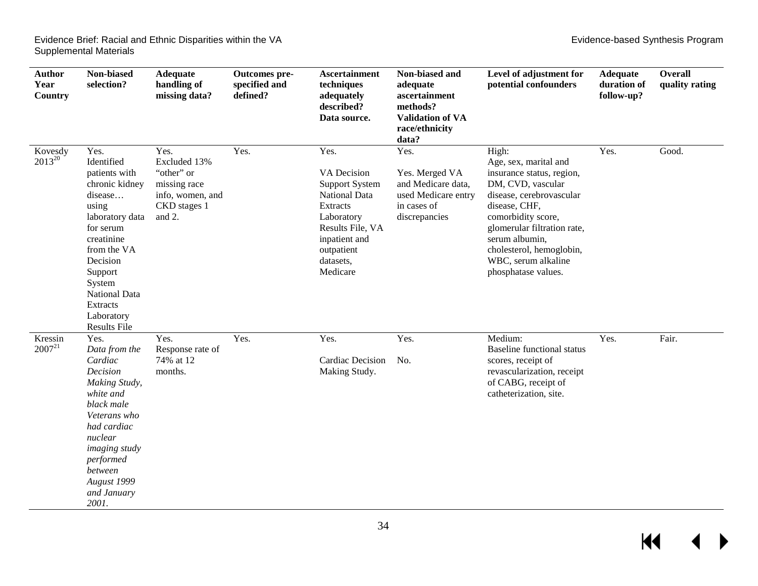| <b>Author</b><br>Year<br>Country | Non-biased<br>selection?                                                                                                                                                                                                                  | <b>Adequate</b><br>handling of<br>missing data?                                                  | Outcomes pre-<br>specified and<br>defined? | <b>Ascertainment</b><br>techniques<br>adequately<br>described?<br>Data source.                                                                                             | Non-biased and<br>adequate<br>ascertainment<br>methods?<br><b>Validation of VA</b><br>race/ethnicity<br>data? | Level of adjustment for<br>potential confounders                                                                                                                                                                                                                               | <b>Adequate</b><br>duration of<br>follow-up? | <b>Overall</b><br>quality rating |
|----------------------------------|-------------------------------------------------------------------------------------------------------------------------------------------------------------------------------------------------------------------------------------------|--------------------------------------------------------------------------------------------------|--------------------------------------------|----------------------------------------------------------------------------------------------------------------------------------------------------------------------------|---------------------------------------------------------------------------------------------------------------|--------------------------------------------------------------------------------------------------------------------------------------------------------------------------------------------------------------------------------------------------------------------------------|----------------------------------------------|----------------------------------|
| Kovesdy<br>$2013^{20}$           | Yes.<br>Identified<br>patients with<br>chronic kidney<br>disease<br>using<br>laboratory data<br>for serum<br>creatinine<br>from the VA<br>Decision<br>Support<br>System<br><b>National Data</b><br>Extracts<br>Laboratory<br>Results File | Yes.<br>Excluded 13%<br>"other" or<br>missing race<br>info, women, and<br>CKD stages 1<br>and 2. | Yes.                                       | Yes.<br>VA Decision<br><b>Support System</b><br><b>National Data</b><br>Extracts<br>Laboratory<br>Results File, VA<br>inpatient and<br>outpatient<br>datasets,<br>Medicare | Yes.<br>Yes. Merged VA<br>and Medicare data,<br>used Medicare entry<br>in cases of<br>discrepancies           | High:<br>Age, sex, marital and<br>insurance status, region,<br>DM, CVD, vascular<br>disease, cerebrovascular<br>disease, CHF,<br>comorbidity score,<br>glomerular filtration rate,<br>serum albumin,<br>cholesterol, hemoglobin,<br>WBC, serum alkaline<br>phosphatase values. | Yes.                                         | Good.                            |
| Kressin<br>$2007^{21}$           | Yes.<br>Data from the<br>Cardiac<br>Decision<br>Making Study,<br>white and<br>black male<br>Veterans who<br>had cardiac<br>nuclear<br><i>imaging study</i><br>performed<br>between<br>August 1999<br>and January<br>2001.                 | Yes.<br>Response rate of<br>74% at 12<br>months.                                                 | Yes.                                       | Yes.<br><b>Cardiac Decision</b><br>Making Study.                                                                                                                           | Yes.<br>No.                                                                                                   | Medium:<br><b>Baseline functional status</b><br>scores, receipt of<br>revascularization, receipt<br>of CABG, receipt of<br>catheterization, site.                                                                                                                              | Yes.                                         | Fair.                            |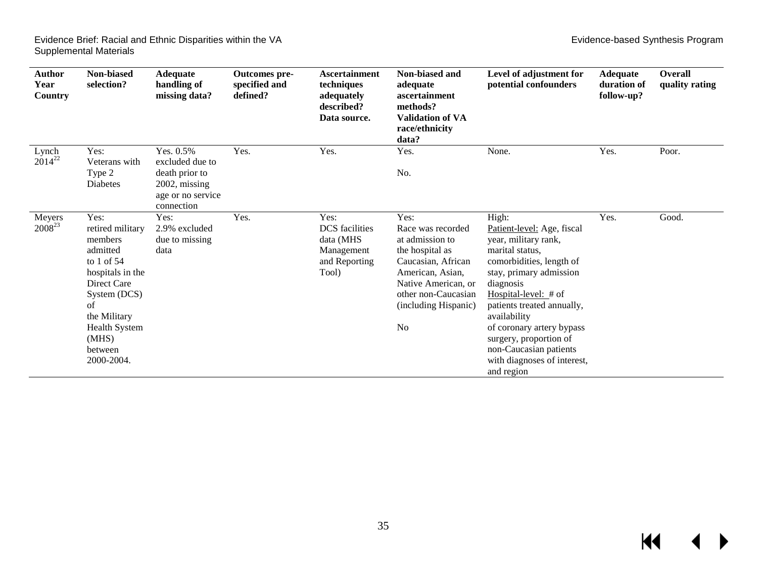$M \leftarrow \leftarrow$ 

| Author<br>Year<br>Country    | Non-biased<br>selection?                                                                                                                                                                           | <b>Adequate</b><br>handling of<br>missing data?                                                       | Outcomes pre-<br>specified and<br>defined? | <b>Ascertainment</b><br>techniques<br>adequately<br>described?<br>Data source.     | Non-biased and<br>adequate<br>ascertainment<br>methods?<br><b>Validation of VA</b><br>race/ethnicity<br>data?                                                                                     | Level of adjustment for<br>potential confounders                                                                                                                                                                                                                                                                                                         | <b>Adequate</b><br>duration of<br>follow-up? | Overall<br>quality rating |
|------------------------------|----------------------------------------------------------------------------------------------------------------------------------------------------------------------------------------------------|-------------------------------------------------------------------------------------------------------|--------------------------------------------|------------------------------------------------------------------------------------|---------------------------------------------------------------------------------------------------------------------------------------------------------------------------------------------------|----------------------------------------------------------------------------------------------------------------------------------------------------------------------------------------------------------------------------------------------------------------------------------------------------------------------------------------------------------|----------------------------------------------|---------------------------|
| Lynch<br>$2014^{22}$         | Yes:<br>Veterans with<br>Type 2<br>Diabetes                                                                                                                                                        | Yes. 0.5%<br>excluded due to<br>death prior to<br>$2002$ , missing<br>age or no service<br>connection | Yes.                                       | Yes.                                                                               | Yes.<br>No.                                                                                                                                                                                       | None.                                                                                                                                                                                                                                                                                                                                                    | Yes.                                         | Poor.                     |
| Meyers<br>2008 <sup>23</sup> | Yes:<br>retired military<br>members<br>admitted<br>to $1$ of 54<br>hospitals in the<br>Direct Care<br>System (DCS)<br>of<br>the Military<br><b>Health System</b><br>(MHS)<br>between<br>2000-2004. | Yes:<br>2.9% excluded<br>due to missing<br>data                                                       | Yes.                                       | Yes:<br><b>DCS</b> facilities<br>data (MHS<br>Management<br>and Reporting<br>Tool) | Yes:<br>Race was recorded<br>at admission to<br>the hospital as<br>Caucasian, African<br>American, Asian,<br>Native American, or<br>other non-Caucasian<br>(including Hispanic)<br>N <sub>0</sub> | High:<br>Patient-level: Age, fiscal<br>year, military rank,<br>marital status,<br>comorbidities, length of<br>stay, primary admission<br>diagnosis<br>Hospital-level: $#$ of<br>patients treated annually,<br>availability<br>of coronary artery bypass<br>surgery, proportion of<br>non-Caucasian patients<br>with diagnoses of interest,<br>and region | Yes.                                         | Good.                     |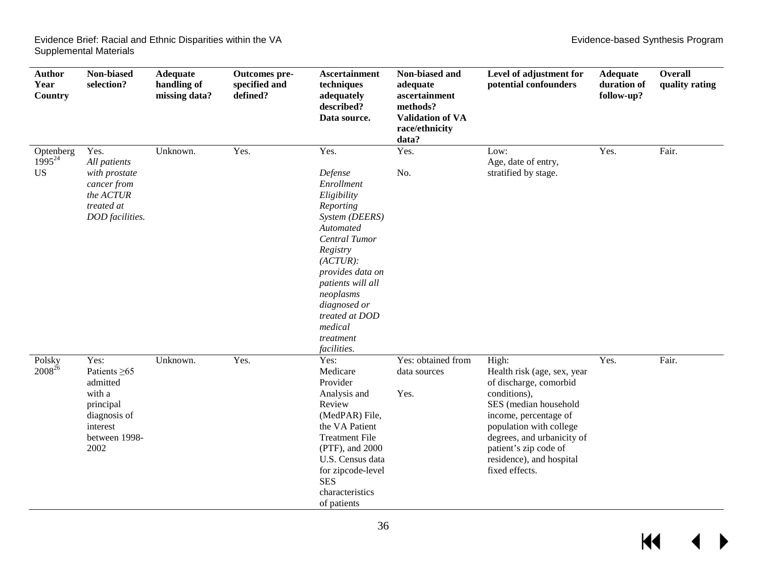| <b>Author</b><br>Year<br>Country      | Non-biased<br>selection?                                                                                           | Adequate<br>handling of<br>missing data? | Outcomes pre-<br>specified and<br>defined? | <b>Ascertainment</b><br>techniques<br>adequately<br>described?<br>Data source.                                                                                                                                                                                   | Non-biased and<br>adequate<br>ascertainment<br>methods?<br><b>Validation of VA</b><br>race/ethnicity<br>data? | Level of adjustment for<br>potential confounders                                                                                                                                                                                                                 | <b>Adequate</b><br>duration of<br>follow-up? | <b>Overall</b><br>quality rating |
|---------------------------------------|--------------------------------------------------------------------------------------------------------------------|------------------------------------------|--------------------------------------------|------------------------------------------------------------------------------------------------------------------------------------------------------------------------------------------------------------------------------------------------------------------|---------------------------------------------------------------------------------------------------------------|------------------------------------------------------------------------------------------------------------------------------------------------------------------------------------------------------------------------------------------------------------------|----------------------------------------------|----------------------------------|
| Optenberg<br>$1995^{24}$<br><b>US</b> | Yes.<br>All patients<br>with prostate<br>cancer from<br>the ACTUR<br>treated at<br>DOD facilities.                 | Unknown.                                 | Yes.                                       | Yes.<br>Defense<br>Enrollment<br>Eligibility<br>Reporting<br>System (DEERS)<br>Automated<br>Central Tumor<br>Registry<br>(ACTUR):<br>provides data on<br>patients will all<br>neoplasms<br>diagnosed or<br>treated at DOD<br>medical<br>treatment<br>facilities. | Yes.<br>No.                                                                                                   | Low:<br>Age, date of entry,<br>stratified by stage.                                                                                                                                                                                                              | Yes.                                         | Fair.                            |
| Polsky<br>$2008^{26}$                 | Yes:<br>Patients $\geq 65$<br>admitted<br>with a<br>principal<br>diagnosis of<br>interest<br>between 1998-<br>2002 | Unknown.                                 | Yes.                                       | Yes:<br>Medicare<br>Provider<br>Analysis and<br>Review<br>(MedPAR) File,<br>the VA Patient<br><b>Treatment File</b><br>(PTF), and 2000<br>U.S. Census data<br>for zipcode-level<br><b>SES</b><br>characteristics<br>of patients                                  | Yes: obtained from<br>data sources<br>Yes.                                                                    | High:<br>Health risk (age, sex, year<br>of discharge, comorbid<br>conditions),<br>SES (median household<br>income, percentage of<br>population with college<br>degrees, and urbanicity of<br>patient's zip code of<br>residence), and hospital<br>fixed effects. | Yes.                                         | Fair.                            |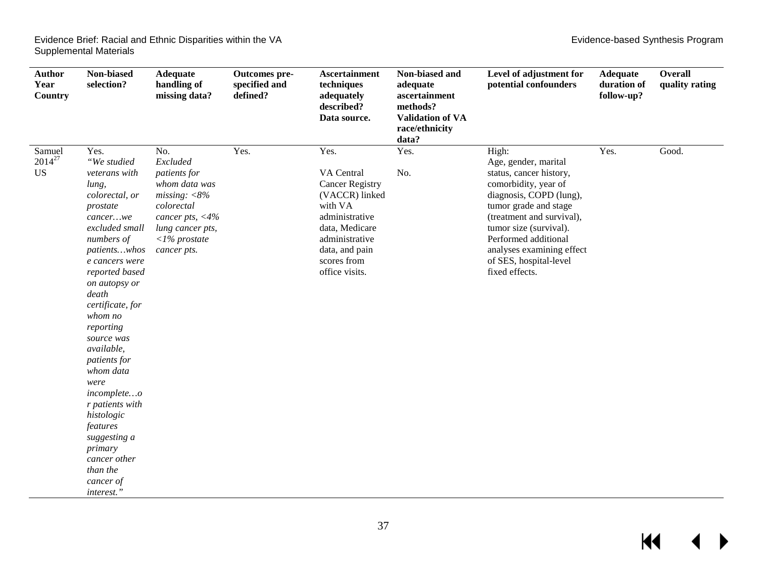| <b>Author</b><br>Year<br>Country   | Non-biased<br>selection?                                                                                                                                                                                                                                                                                                                                                                                                                                         | <b>Adequate</b><br>handling of<br>missing data?                                                                                                                    | Outcomes pre-<br>specified and<br>defined? | <b>Ascertainment</b><br>techniques<br>adequately<br>described?<br>Data source.                                                                                                     | Non-biased and<br>adequate<br>ascertainment<br>methods?<br><b>Validation of VA</b><br>race/ethnicity<br>data? | Level of adjustment for<br>potential confounders                                                                                                                                                                                                                                             | <b>Adequate</b><br>duration of<br>follow-up? | <b>Overall</b><br>quality rating |
|------------------------------------|------------------------------------------------------------------------------------------------------------------------------------------------------------------------------------------------------------------------------------------------------------------------------------------------------------------------------------------------------------------------------------------------------------------------------------------------------------------|--------------------------------------------------------------------------------------------------------------------------------------------------------------------|--------------------------------------------|------------------------------------------------------------------------------------------------------------------------------------------------------------------------------------|---------------------------------------------------------------------------------------------------------------|----------------------------------------------------------------------------------------------------------------------------------------------------------------------------------------------------------------------------------------------------------------------------------------------|----------------------------------------------|----------------------------------|
| Samuel<br>$2014^{27}$<br><b>US</b> | Yes.<br>"We studied<br>veterans with<br>lung,<br>colorectal, or<br>prostate<br>cancerwe<br>excluded small<br>numbers of<br>patientswhos<br>e cancers were<br>reported based<br>on autopsy or<br>death<br>certificate, for<br>whom no<br>reporting<br>source was<br>available,<br>patients for<br>whom data<br>were<br>incompleteo<br>r patients with<br>histologic<br>features<br>suggesting a<br>primary<br>cancer other<br>than the<br>cancer of<br>interest." | No.<br>Excluded<br>patients for<br>whom data was<br>missing: $<8%$<br>colorectal<br>cancer pts, $<$ 4%<br>lung cancer pts,<br>$\langle$ 1% prostate<br>cancer pts. | Yes.                                       | Yes.<br>VA Central<br><b>Cancer Registry</b><br>(VACCR) linked<br>with VA<br>administrative<br>data, Medicare<br>administrative<br>data, and pain<br>scores from<br>office visits. | Yes.<br>No.                                                                                                   | High:<br>Age, gender, marital<br>status, cancer history,<br>comorbidity, year of<br>diagnosis, COPD (lung),<br>tumor grade and stage<br>(treatment and survival),<br>tumor size (survival).<br>Performed additional<br>analyses examining effect<br>of SES, hospital-level<br>fixed effects. | Yes.                                         | Good.                            |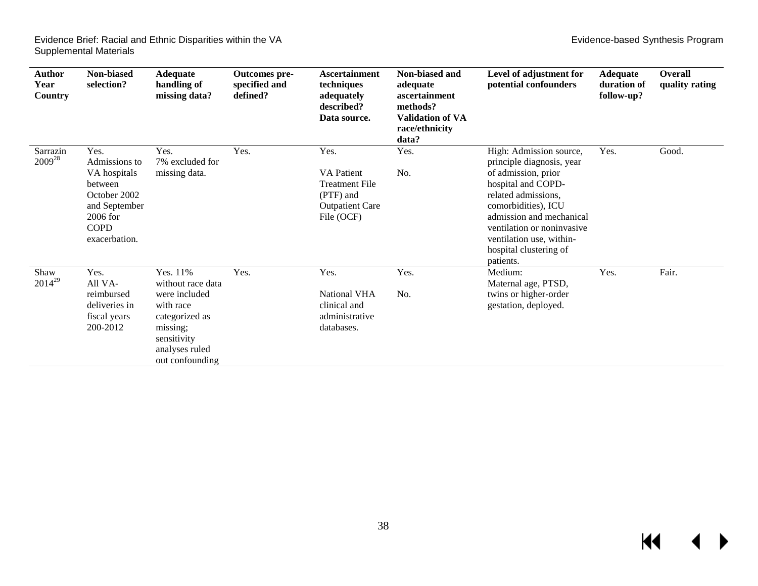| <b>Author</b><br>Year<br><b>Country</b> | Non-biased<br>selection?                                                                                                        | <b>Adequate</b><br>handling of<br>missing data?                                                                                               | Outcomes pre-<br>specified and<br>defined? | <b>Ascertainment</b><br>techniques<br>adequately<br>described?<br>Data source.                          | Non-biased and<br>adequate<br>ascertainment<br>methods?<br><b>Validation of VA</b><br>race/ethnicity<br>data? | Level of adjustment for<br>potential confounders                                                                                                                                                                                                                             | <b>Adequate</b><br>duration of<br>follow-up? | Overall<br>quality rating |
|-----------------------------------------|---------------------------------------------------------------------------------------------------------------------------------|-----------------------------------------------------------------------------------------------------------------------------------------------|--------------------------------------------|---------------------------------------------------------------------------------------------------------|---------------------------------------------------------------------------------------------------------------|------------------------------------------------------------------------------------------------------------------------------------------------------------------------------------------------------------------------------------------------------------------------------|----------------------------------------------|---------------------------|
| Sarrazin<br>$2009^{28}$                 | Yes.<br>Admissions to<br>VA hospitals<br>between<br>October 2002<br>and September<br>$2006$ for<br><b>COPD</b><br>exacerbation. | Yes.<br>7% excluded for<br>missing data.                                                                                                      | Yes.                                       | Yes.<br><b>VA</b> Patient<br><b>Treatment File</b><br>(PTF) and<br><b>Outpatient Care</b><br>File (OCF) | Yes.<br>No.                                                                                                   | High: Admission source,<br>principle diagnosis, year<br>of admission, prior<br>hospital and COPD-<br>related admissions,<br>comorbidities), ICU<br>admission and mechanical<br>ventilation or noninvasive<br>ventilation use, within-<br>hospital clustering of<br>patients. | Yes.                                         | Good.                     |
| Shaw<br>$2014^{29}$                     | Yes.<br>All VA-<br>reimbursed<br>deliveries in<br>fiscal years<br>200-2012                                                      | Yes. 11%<br>without race data<br>were included<br>with race<br>categorized as<br>missing;<br>sensitivity<br>analyses ruled<br>out confounding | Yes.                                       | Yes.<br><b>National VHA</b><br>clinical and<br>administrative<br>databases.                             | Yes.<br>No.                                                                                                   | Medium:<br>Maternal age, PTSD,<br>twins or higher-order<br>gestation, deployed.                                                                                                                                                                                              | Yes.                                         | Fair.                     |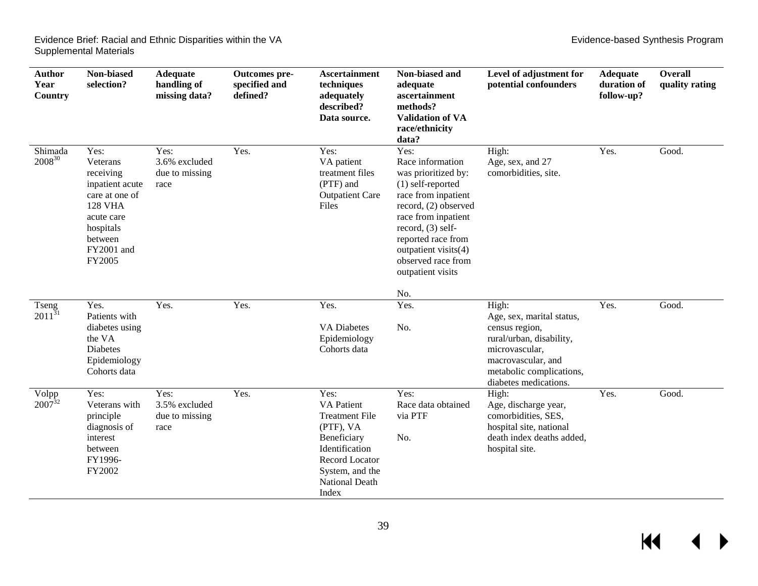| <b>Author</b><br>Year<br><b>Country</b> | Non-biased<br>selection?                                                                                                                           | Adequate<br>handling of<br>missing data?        | Outcomes pre-<br>specified and<br>defined? | <b>Ascertainment</b><br>techniques<br>adequately<br>described?<br>Data source.                                                                                   | Non-biased and<br>adequate<br>ascertainment<br>methods?<br><b>Validation of VA</b><br>race/ethnicity<br>data?                                                                                                                                                     | Level of adjustment for<br>potential confounders                                                                                                                              | <b>Adequate</b><br>duration of<br>follow-up? | <b>Overall</b><br>quality rating |
|-----------------------------------------|----------------------------------------------------------------------------------------------------------------------------------------------------|-------------------------------------------------|--------------------------------------------|------------------------------------------------------------------------------------------------------------------------------------------------------------------|-------------------------------------------------------------------------------------------------------------------------------------------------------------------------------------------------------------------------------------------------------------------|-------------------------------------------------------------------------------------------------------------------------------------------------------------------------------|----------------------------------------------|----------------------------------|
| Shimada<br>200830                       | Yes:<br>Veterans<br>receiving<br>inpatient acute<br>care at one of<br><b>128 VHA</b><br>acute care<br>hospitals<br>between<br>FY2001 and<br>FY2005 | Yes:<br>3.6% excluded<br>due to missing<br>race | Yes.                                       | Yes:<br>VA patient<br>treatment files<br>(PTF) and<br><b>Outpatient Care</b><br>Files                                                                            | Yes:<br>Race information<br>was prioritized by:<br>(1) self-reported<br>race from inpatient<br>record, (2) observed<br>race from inpatient<br>record, $(3)$ self-<br>reported race from<br>outpatient visits(4)<br>observed race from<br>outpatient visits<br>No. | High:<br>Age, sex, and 27<br>comorbidities, site.                                                                                                                             | Yes.                                         | Good.                            |
| Tseng<br>$2011^{31}$                    | Yes.<br>Patients with<br>diabetes using<br>the VA<br><b>Diabetes</b><br>Epidemiology<br>Cohorts data                                               | Yes.                                            | Yes.                                       | Yes.<br><b>VA Diabetes</b><br>Epidemiology<br>Cohorts data                                                                                                       | Yes.<br>No.                                                                                                                                                                                                                                                       | High:<br>Age, sex, marital status,<br>census region,<br>rural/urban, disability,<br>microvascular,<br>macrovascular, and<br>metabolic complications,<br>diabetes medications. | Yes.                                         | Good.                            |
| Volpp $2007^{32}$                       | Yes:<br>Veterans with<br>principle<br>diagnosis of<br>interest<br>between<br>FY1996-<br>FY2002                                                     | Yes:<br>3.5% excluded<br>due to missing<br>race | Yes.                                       | Yes:<br><b>VA</b> Patient<br><b>Treatment File</b><br>(PTF), VA<br>Beneficiary<br>Identification<br>Record Locator<br>System, and the<br>National Death<br>Index | Yes:<br>Race data obtained<br>via PTF<br>No.                                                                                                                                                                                                                      | High:<br>Age, discharge year,<br>comorbidities, SES,<br>hospital site, national<br>death index deaths added,<br>hospital site.                                                | Yes.                                         | Good.                            |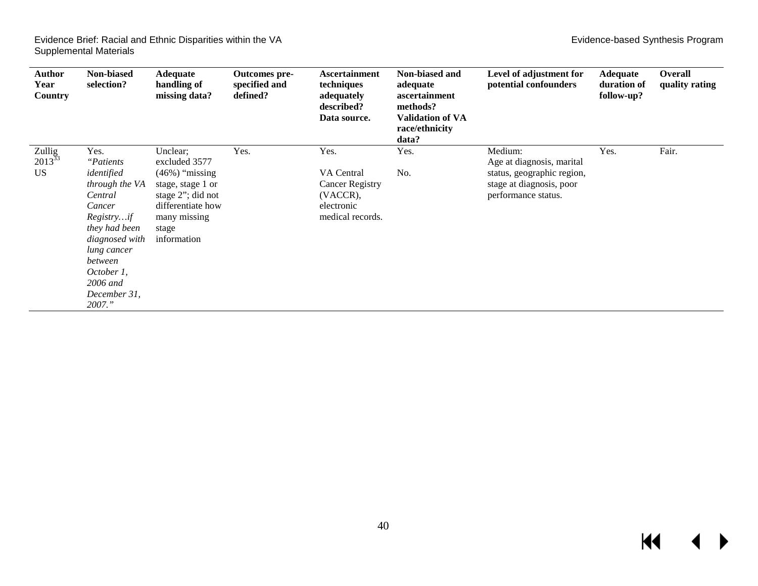| Author<br>Year<br><b>Country</b>   | Non-biased<br>selection?                                                                                                                                                                                      | <b>Adequate</b><br>handling of<br>missing data?                                                                                                        | Outcomes pre-<br>specified and<br>defined? | <b>Ascertainment</b><br>techniques<br>adequately<br>described?<br>Data source.             | Non-biased and<br>adequate<br>ascertainment<br>methods?<br><b>Validation of VA</b><br>race/ethnicity<br>data? | Level of adjustment for<br>potential confounders                                                                      | <b>Adequate</b><br>duration of<br>follow-up? | Overall<br>quality rating |
|------------------------------------|---------------------------------------------------------------------------------------------------------------------------------------------------------------------------------------------------------------|--------------------------------------------------------------------------------------------------------------------------------------------------------|--------------------------------------------|--------------------------------------------------------------------------------------------|---------------------------------------------------------------------------------------------------------------|-----------------------------------------------------------------------------------------------------------------------|----------------------------------------------|---------------------------|
| Zullig<br>$2013^{33}$<br><b>US</b> | Yes.<br><i>"Patients"</i><br>identified<br>through the VA<br>Central<br>Cancer<br>Registryif<br>they had been<br>diagnosed with<br>lung cancer<br>between<br>October 1.<br>2006 and<br>December 31,<br>2007." | Unclear;<br>excluded 3577<br>$(46\%)$ "missing"<br>stage, stage 1 or<br>stage 2"; did not<br>differentiate how<br>many missing<br>stage<br>information | Yes.                                       | Yes.<br>VA Central<br><b>Cancer Registry</b><br>(VACCR),<br>electronic<br>medical records. | Yes.<br>No.                                                                                                   | Medium:<br>Age at diagnosis, marital<br>status, geographic region,<br>stage at diagnosis, poor<br>performance status. | Yes.                                         | Fair.                     |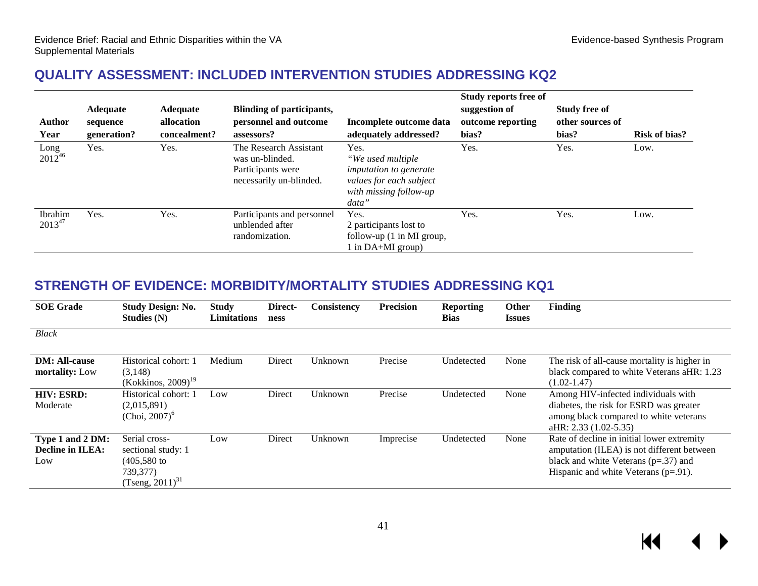#### **QUALITY ASSESSMENT: INCLUDED INTERVENTION STUDIES ADDRESSING KQ2**

|                        |                 |                 |                                                                                           |                                                                                                                   | Study reports free of |                      |                      |
|------------------------|-----------------|-----------------|-------------------------------------------------------------------------------------------|-------------------------------------------------------------------------------------------------------------------|-----------------------|----------------------|----------------------|
|                        | <b>Adequate</b> | <b>Adequate</b> | Blinding of participants,                                                                 |                                                                                                                   | suggestion of         | <b>Study free of</b> |                      |
| <b>Author</b>          | sequence        | allocation      | personnel and outcome                                                                     | Incomplete outcome data                                                                                           | outcome reporting     | other sources of     |                      |
| Year                   | generation?     | concealment?    | assessors?                                                                                | adequately addressed?                                                                                             | bias?                 | bias?                | <b>Risk of bias?</b> |
| Long<br>$2012^{46}$    | Yes.            | Yes.            | The Research Assistant<br>was un-blinded.<br>Participants were<br>necessarily un-blinded. | Yes.<br>"We used multiple<br>imputation to generate<br>values for each subject<br>with missing follow-up<br>data" | Yes.                  | Yes.                 | Low.                 |
| Ibrahim<br>$2013^{47}$ | Yes.            | Yes.            | Participants and personnel<br>unblended after<br>randomization.                           | Yes.<br>2 participants lost to<br>follow-up $(1 \text{ in MI group},$<br>l in $DA+MI$ group)                      | Yes.                  | Yes.                 | Low.                 |

#### <span id="page-42-0"></span>**STRENGTH OF EVIDENCE: MORBIDITY/MORTALITY STUDIES ADDRESSING KQ1**

<span id="page-42-1"></span>

| <b>SOE</b> Grade                                   | <b>Study Design: No.</b><br>Studies (N)                                                   | <b>Study</b><br>Limitations | Direct-<br>ness | Consistency | <b>Precision</b> | <b>Reporting</b><br><b>Bias</b> | Other<br><b>Issues</b> | <b>Finding</b>                                                                                                                                                                 |
|----------------------------------------------------|-------------------------------------------------------------------------------------------|-----------------------------|-----------------|-------------|------------------|---------------------------------|------------------------|--------------------------------------------------------------------------------------------------------------------------------------------------------------------------------|
| <b>Black</b>                                       |                                                                                           |                             |                 |             |                  |                                 |                        |                                                                                                                                                                                |
| <b>DM: All-cause</b><br>mortality: Low             | Historical cohort: 1<br>(3,148)<br>$(Kokkinos, 2009)^{19}$                                | Medium                      | Direct          | Unknown     | Precise          | Undetected                      | None                   | The risk of all-cause mortality is higher in<br>black compared to white Veterans aHR: 1.23<br>$(1.02 - 1.47)$                                                                  |
| <b>HIV: ESRD:</b><br>Moderate                      | Historical cohort: 1<br>(2,015,891)<br>(Choi, $2007$ ) <sup>6</sup>                       | Low                         | Direct          | Unknown     | Precise          | Undetected                      | None                   | Among HIV-infected individuals with<br>diabetes, the risk for ESRD was greater<br>among black compared to white veterans<br>aHR: 2.33 (1.02-5.35)                              |
| Type 1 and 2 DM:<br><b>Decline in ILEA:</b><br>Low | Serial cross-<br>sectional study: 1<br>$(405,580)$ to<br>739,377)<br>$(Tseng, 2011)^{31}$ | Low                         | Direct          | Unknown     | Imprecise        | Undetected                      | None                   | Rate of decline in initial lower extremity<br>amputation (ILEA) is not different between<br>black and white Veterans ( $p=.37$ ) and<br>Hispanic and white Veterans $(p=91)$ . |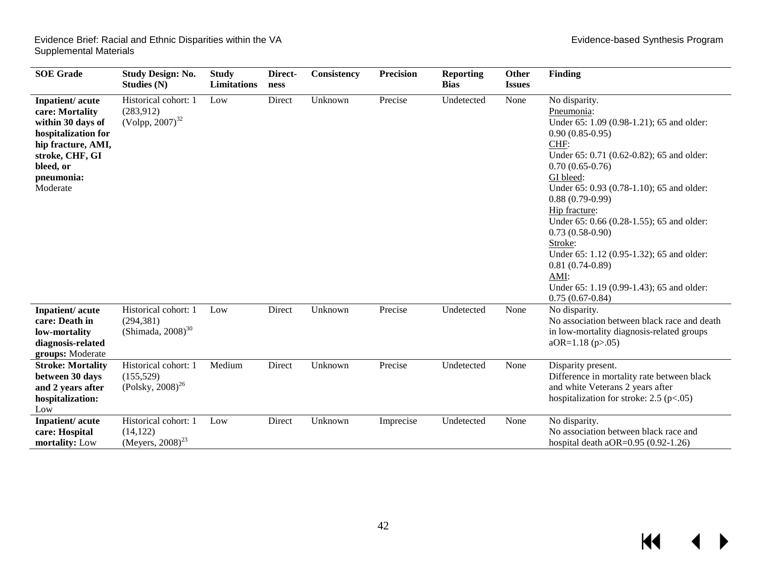| <b>SOE</b> Grade                                                                                                                                               | <b>Study Design: No.</b><br><b>Studies (N)</b>                         | <b>Study</b><br><b>Limitations</b> | Direct-<br>ness | <b>Consistency</b> | <b>Precision</b> | <b>Reporting</b><br><b>Bias</b> | Other<br><b>Issues</b> | <b>Finding</b>                                                                                                                                                                                                                                                                                                                                                                                                                                                                                   |
|----------------------------------------------------------------------------------------------------------------------------------------------------------------|------------------------------------------------------------------------|------------------------------------|-----------------|--------------------|------------------|---------------------------------|------------------------|--------------------------------------------------------------------------------------------------------------------------------------------------------------------------------------------------------------------------------------------------------------------------------------------------------------------------------------------------------------------------------------------------------------------------------------------------------------------------------------------------|
| Inpatient/acute<br>care: Mortality<br>within 30 days of<br>hospitalization for<br>hip fracture, AMI,<br>stroke, CHF, GI<br>bleed, or<br>pneumonia:<br>Moderate | Historical cohort: 1<br>(283,912)<br>$(Volpp, 2007)^{32}$              | Low                                | Direct          | Unknown            | Precise          | Undetected                      | None                   | No disparity.<br>Pneumonia:<br>Under 65: 1.09 (0.98-1.21); 65 and older:<br>$0.90(0.85-0.95)$<br>CHF:<br>Under 65: 0.71 (0.62-0.82); 65 and older:<br>$0.70(0.65-0.76)$<br>GI bleed:<br>Under 65: 0.93 (0.78-1.10); 65 and older:<br>$0.88(0.79-0.99)$<br>Hip fracture:<br>Under 65: 0.66 (0.28-1.55); 65 and older:<br>$0.73(0.58-0.90)$<br>Stroke:<br>Under 65: 1.12 (0.95-1.32); 65 and older:<br>$0.81(0.74-0.89)$<br>AMI:<br>Under 65: 1.19 (0.99-1.43); 65 and older:<br>$0.75(0.67-0.84)$ |
| Inpatient/acute<br>care: Death in<br>low-mortality<br>diagnosis-related<br>groups: Moderate                                                                    | Historical cohort: 1<br>(294, 381)<br>(Shimada, $2008$ ) <sup>30</sup> | Low                                | Direct          | Unknown            | Precise          | Undetected                      | None                   | No disparity.<br>No association between black race and death<br>in low-mortality diagnosis-related groups<br>$aOR=1.18$ (p>.05)                                                                                                                                                                                                                                                                                                                                                                  |
| <b>Stroke: Mortality</b><br>between 30 days<br>and 2 years after<br>hospitalization:<br>Low                                                                    | Historical cohort: 1<br>(155, 529)<br>$(Polsky, 2008)^{26}$            | Medium                             | Direct          | Unknown            | Precise          | Undetected                      | None                   | Disparity present.<br>Difference in mortality rate between black<br>and white Veterans 2 years after<br>hospitalization for stroke: $2.5$ (p<.05)                                                                                                                                                                                                                                                                                                                                                |
| Inpatient/acute<br>care: Hospital<br>mortality: Low                                                                                                            | Historical cohort: 1<br>(14, 122)<br>(Meyers, $2008)^{23}$             | Low                                | Direct          | Unknown            | Imprecise        | Undetected                      | None                   | No disparity.<br>No association between black race and<br>hospital death aOR= $0.95(0.92-1.26)$                                                                                                                                                                                                                                                                                                                                                                                                  |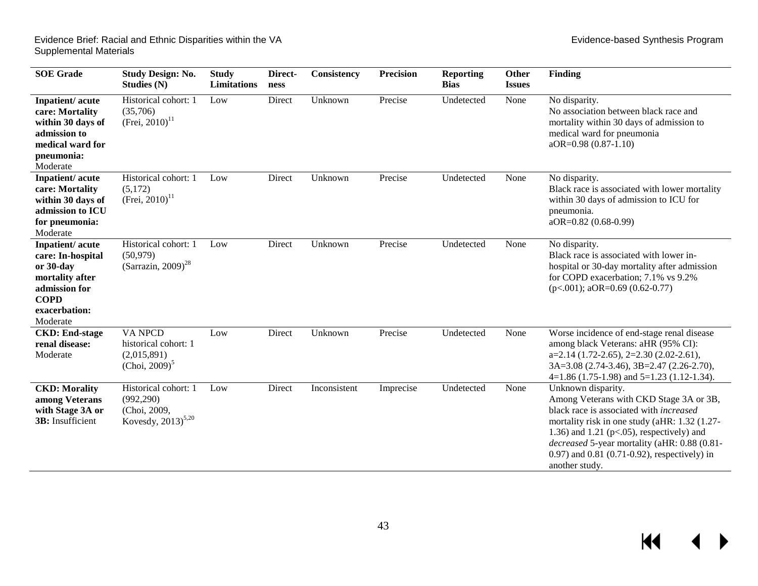▶

| <b>SOE</b> Grade                                                                                                                  | <b>Study Design: No.</b><br><b>Studies (N)</b>                                        | <b>Study</b><br>Limitations | Direct-<br>ness | Consistency  | <b>Precision</b> | <b>Reporting</b><br><b>Bias</b> | Other<br><b>Issues</b> | <b>Finding</b>                                                                                                                                                                                                                                                                                                                       |
|-----------------------------------------------------------------------------------------------------------------------------------|---------------------------------------------------------------------------------------|-----------------------------|-----------------|--------------|------------------|---------------------------------|------------------------|--------------------------------------------------------------------------------------------------------------------------------------------------------------------------------------------------------------------------------------------------------------------------------------------------------------------------------------|
| Inpatient/acute<br>care: Mortality<br>within 30 days of<br>admission to<br>medical ward for<br>pneumonia:<br>Moderate             | Historical cohort: 1<br>(35,706)<br>(Frei, $2010$ ) <sup>11</sup>                     | Low                         | Direct          | Unknown      | Precise          | Undetected                      | None                   | No disparity.<br>No association between black race and<br>mortality within 30 days of admission to<br>medical ward for pneumonia<br>aOR=0.98 (0.87-1.10)                                                                                                                                                                             |
| Inpatient/acute<br>care: Mortality<br>within 30 days of<br>admission to ICU<br>for pneumonia:<br>Moderate                         | Historical cohort: 1<br>(5,172)<br>(Frei, $2010$ ) <sup>11</sup>                      | Low                         | Direct          | Unknown      | Precise          | Undetected                      | None                   | No disparity.<br>Black race is associated with lower mortality<br>within 30 days of admission to ICU for<br>pneumonia.<br>$aOR = 0.82$ (0.68-0.99)                                                                                                                                                                                   |
| Inpatient/acute<br>care: In-hospital<br>or 30-day<br>mortality after<br>admission for<br><b>COPD</b><br>exacerbation:<br>Moderate | Historical cohort: 1<br>(50, 979)<br>(Sarrazin, 2009) <sup>28</sup>                   | Low                         | Direct          | Unknown      | Precise          | Undetected                      | None                   | No disparity.<br>Black race is associated with lower in-<br>hospital or 30-day mortality after admission<br>for COPD exacerbation; 7.1% vs 9.2%<br>$(p<.001)$ ; aOR=0.69 (0.62-0.77)                                                                                                                                                 |
| <b>CKD: End-stage</b><br>renal disease:<br>Moderate                                                                               | <b>VA NPCD</b><br>historical cohort: 1<br>(2,015,891)<br>(Choi, $2009$ ) <sup>5</sup> | Low                         | Direct          | Unknown      | Precise          | Undetected                      | None                   | Worse incidence of end-stage renal disease<br>among black Veterans: aHR (95% CI):<br>$a=2.14(1.72-2.65), 2=2.30(2.02-2.61),$<br>$3A=3.08$ (2.74-3.46), $3B=2.47$ (2.26-2.70),<br>$4=1.86(1.75-1.98)$ and $5=1.23(1.12-1.34)$ .                                                                                                       |
| <b>CKD: Morality</b><br>among Veterans<br>with Stage 3A or<br><b>3B</b> : Insufficient                                            | Historical cohort: 1<br>(992, 290)<br>(Choi, 2009,<br>Kovesdy, $2013)^{5,20}$         | Low                         | Direct          | Inconsistent | Imprecise        | Undetected                      | None                   | Unknown disparity.<br>Among Veterans with CKD Stage 3A or 3B,<br>black race is associated with <i>increased</i><br>mortality risk in one study (aHR: 1.32 (1.27-<br>1.36) and 1.21 ( $p<0.05$ ), respectively) and<br>decreased 5-year mortality (aHR: 0.88 (0.81-<br>0.97) and 0.81 (0.71-0.92), respectively) in<br>another study. |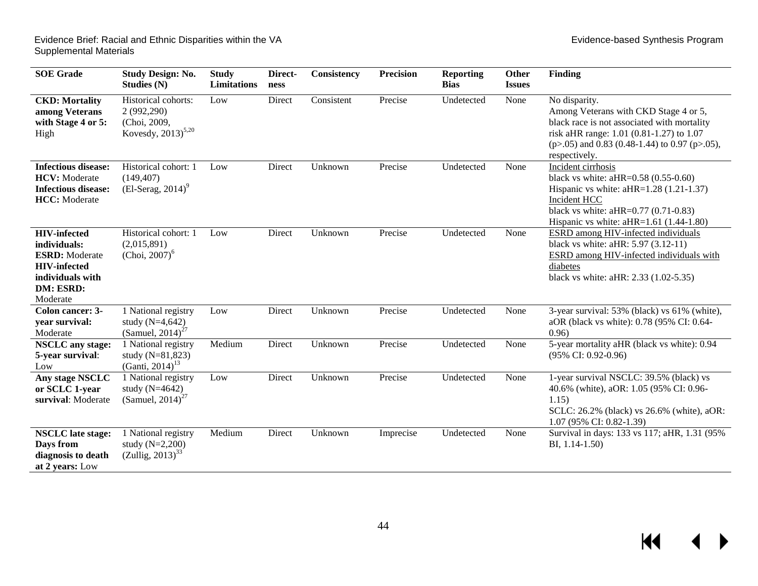▶

| <b>SOE</b> Grade                                                                                                                 | <b>Study Design: No.</b><br><b>Studies (N)</b>                                | <b>Study</b><br><b>Limitations</b> | Direct-<br>ness | Consistency | <b>Precision</b> | <b>Reporting</b><br><b>Bias</b> | Other<br><b>Issues</b> | <b>Finding</b>                                                                                                                                                                                                          |
|----------------------------------------------------------------------------------------------------------------------------------|-------------------------------------------------------------------------------|------------------------------------|-----------------|-------------|------------------|---------------------------------|------------------------|-------------------------------------------------------------------------------------------------------------------------------------------------------------------------------------------------------------------------|
| <b>CKD: Mortality</b><br>among Veterans<br>with Stage 4 or 5:<br>High                                                            | Historical cohorts:<br>2 (992,290)<br>(Choi, 2009,<br>Kovesdy, $2013)^{5,20}$ | Low                                | Direct          | Consistent  | Precise          | Undetected                      | None                   | No disparity.<br>Among Veterans with CKD Stage 4 or 5,<br>black race is not associated with mortality<br>risk aHR range: 1.01 (0.81-1.27) to 1.07<br>$(p>0.05)$ and 0.83 (0.48-1.44) to 0.97 (p>0.05),<br>respectively. |
| <b>Infectious disease:</b><br><b>HCV:</b> Moderate<br><b>Infectious disease:</b><br><b>HCC</b> : Moderate                        | Historical cohort: 1<br>(149, 407)<br>$(El-Serag, 2014)^9$                    | Low                                | Direct          | Unknown     | Precise          | Undetected                      | None                   | Incident cirrhosis<br>black vs white: $aHR=0.58(0.55-0.60)$<br>Hispanic vs white: $aHR=1.28(1.21-1.37)$<br>Incident HCC<br>black vs white: $aHR=0.77$ (0.71-0.83)<br>Hispanic vs white: $aHR=1.61$ (1.44-1.80)          |
| <b>HIV-infected</b><br>individuals:<br><b>ESRD:</b> Moderate<br><b>HIV-infected</b><br>individuals with<br>DM: ESRD:<br>Moderate | Historical cohort: 1<br>(2,015,891)<br>$(Choi, 2007)^6$                       | Low                                | Direct          | Unknown     | Precise          | Undetected                      | None                   | ESRD among HIV-infected individuals<br>black vs white: $aHR: 5.97 (3.12-11)$<br>ESRD among HIV-infected individuals with<br>diabetes<br>black vs white: aHR: 2.33 (1.02-5.35)                                           |
| Colon cancer: 3-<br>year survival:<br>Moderate                                                                                   | 1 National registry<br>study $(N=4, 642)$<br>(Samuel, $2014$ ) <sup>27</sup>  | Low                                | Direct          | Unknown     | Precise          | Undetected                      | None                   | 3-year survival: 53% (black) vs 61% (white),<br>aOR (black vs white): 0.78 (95% CI: 0.64-<br>0.96                                                                                                                       |
| <b>NSCLC</b> any stage:<br>5-year survival:<br>Low                                                                               | 1 National registry<br>study (N=81,823)<br>(Ganti, 2014) <sup>13</sup>        | Medium                             | Direct          | Unknown     | Precise          | Undetected                      | None                   | 5-year mortality aHR (black vs white): 0.94<br>$(95\% \text{ CI: } 0.92 - 0.96)$                                                                                                                                        |
| Any stage NSCLC<br>or SCLC 1-year<br>survival: Moderate                                                                          | 1 National registry<br>study $(N=4642)$<br>(Samuel, $2014$ ) <sup>27</sup>    | Low                                | Direct          | Unknown     | Precise          | Undetected                      | None                   | 1-year survival NSCLC: 39.5% (black) vs<br>40.6% (white), aOR: 1.05 (95% CI: 0.96-<br>1.15)<br>SCLC: 26.2% (black) vs 26.6% (white), aOR:<br>1.07 (95% CI: 0.82-1.39)                                                   |
| <b>NSCLC</b> late stage:<br>Days from<br>diagnosis to death<br>at 2 years: Low                                                   | 1 National registry<br>study $(N=2,200)$<br>$(Zullig, 2013)^{33}$             | Medium                             | Direct          | Unknown     | Imprecise        | Undetected                      | None                   | Survival in days: 133 vs 117; aHR, 1.31 (95%)<br>BI, 1.14-1.50)                                                                                                                                                         |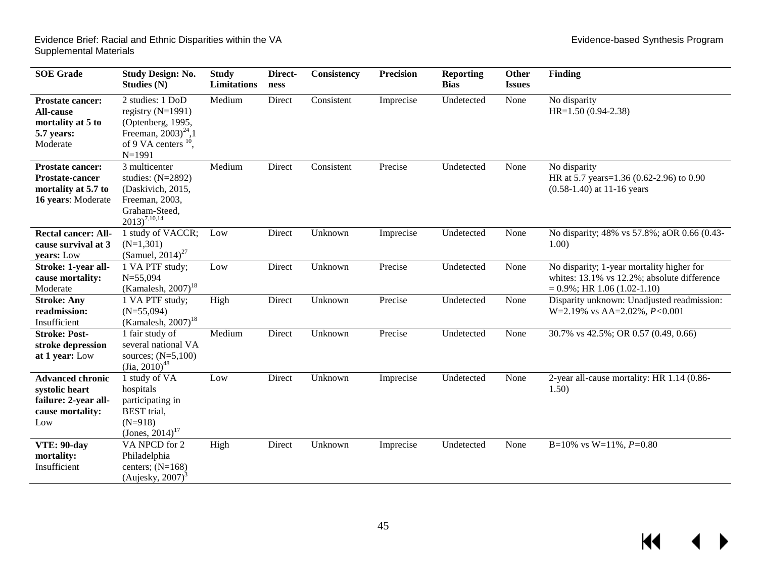$\overline{\mathcal{A}}$ 

 $\blacktriangleright$ 

| <b>SOE</b> Grade                                                                               | <b>Study Design: No.</b><br>Studies (N)                                                                                                    | <b>Study</b><br><b>Limitations</b> | Direct-<br>ness | Consistency | <b>Precision</b> | <b>Reporting</b><br><b>Bias</b> | Other<br><b>Issues</b> | <b>Finding</b>                                                                                                              |
|------------------------------------------------------------------------------------------------|--------------------------------------------------------------------------------------------------------------------------------------------|------------------------------------|-----------------|-------------|------------------|---------------------------------|------------------------|-----------------------------------------------------------------------------------------------------------------------------|
| <b>Prostate cancer:</b><br><b>All-cause</b><br>mortality at 5 to<br>5.7 years:<br>Moderate     | 2 studies: 1 DoD<br>registry $(N=1991)$<br>(Optenberg, 1995,<br>Freeman, $2003)^{24}$ , 1<br>of 9 VA centers <sup>10</sup> ,<br>$N = 1991$ | Medium                             | Direct          | Consistent  | Imprecise        | Undetected                      | None                   | No disparity<br>$HR=1.50(0.94-2.38)$                                                                                        |
| <b>Prostate cancer:</b><br><b>Prostate-cancer</b><br>mortality at 5.7 to<br>16 years: Moderate | 3 multicenter<br>studies: $(N=2892)$<br>(Daskivich, 2015,<br>Freeman, 2003,<br>Graham-Steed,<br>$2013)^{7,10,14}$                          | Medium                             | Direct          | Consistent  | Precise          | Undetected                      | None                   | No disparity<br>HR at 5.7 years=1.36 (0.62-2.96) to 0.90<br>$(0.58-1.40)$ at 11-16 years                                    |
| <b>Rectal cancer: All-</b><br>cause survival at 3<br>years: Low                                | 1 study of VACCR;<br>$(N=1,301)$<br>(Samuel, $2014$ ) <sup>27</sup>                                                                        | Low                                | Direct          | Unknown     | Imprecise        | Undetected                      | None                   | No disparity; 48% vs 57.8%; aOR 0.66 (0.43-<br>1.00)                                                                        |
| Stroke: 1-year all-<br>cause mortality:<br>Moderate                                            | 1 VA PTF study;<br>$N = 55,094$<br>(Kamalesh, $2007$ ) <sup>18</sup>                                                                       | Low                                | Direct          | Unknown     | Precise          | Undetected                      | None                   | No disparity; 1-year mortality higher for<br>whites: 13.1% vs 12.2%; absolute difference<br>$= 0.9\%$ ; HR 1.06 (1.02-1.10) |
| <b>Stroke: Any</b><br>readmission:<br>Insufficient                                             | 1 VA PTF study;<br>$(N=55,094)$<br>(Kamalesh, $2007$ ) <sup>18</sup>                                                                       | High                               | Direct          | Unknown     | Precise          | Undetected                      | None                   | Disparity unknown: Unadjusted readmission:<br>W=2.19% vs AA=2.02%, $P<0.001$                                                |
| <b>Stroke: Post-</b><br>stroke depression<br>at 1 year: Low                                    | 1 fair study of<br>several national VA<br>sources; $(N=5,100)$<br>$(Jia, 2010)^{48}$                                                       | Medium                             | Direct          | Unknown     | Precise          | Undetected                      | None                   | 30.7% vs 42.5%; OR 0.57 (0.49, 0.66)                                                                                        |
| <b>Advanced chronic</b><br>systolic heart<br>failure: 2-year all-<br>cause mortality:<br>Low   | 1 study of VA<br>hospitals<br>participating in<br>BEST trial,<br>$(N=918)$<br>(Jones, 2014) <sup>17</sup>                                  | Low                                | Direct          | Unknown     | Imprecise        | Undetected                      | None                   | 2-year all-cause mortality: HR 1.14 (0.86-<br>1.50)                                                                         |
| VTE: 90-day<br>mortality:<br>Insufficient                                                      | VA NPCD for 2<br>Philadelphia<br>centers; $(N=168)$<br>(Aujesky, $2007$ ) <sup>3</sup>                                                     | High                               | Direct          | Unknown     | Imprecise        | Undetected                      | None                   | B=10% vs W=11%, $P=0.80$                                                                                                    |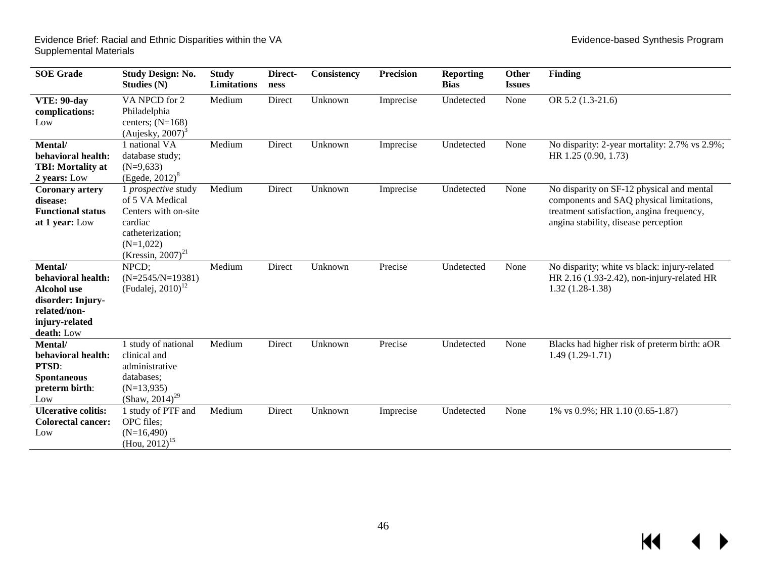$M \qquad 4$ 

 $\blacktriangleright$ 

| <b>SOE</b> Grade                                                                                                         | <b>Study Design: No.</b><br>Studies $(N)$                                                                                                     | <b>Study</b><br>Limitations | Direct-<br>ness | Consistency | <b>Precision</b> | <b>Reporting</b><br><b>Bias</b> | Other<br><b>Issues</b> | <b>Finding</b>                                                                                                                                                             |
|--------------------------------------------------------------------------------------------------------------------------|-----------------------------------------------------------------------------------------------------------------------------------------------|-----------------------------|-----------------|-------------|------------------|---------------------------------|------------------------|----------------------------------------------------------------------------------------------------------------------------------------------------------------------------|
| VTE: 90-day<br>complications:<br>Low                                                                                     | VA NPCD for 2<br>Philadelphia<br>centers; $(N=168)$<br>(Aujesky, $2007$ ) <sup>3</sup>                                                        | Medium                      | Direct          | Unknown     | Imprecise        | Undetected                      | None                   | OR 5.2 (1.3-21.6)                                                                                                                                                          |
| Mental/<br>behavioral health:<br><b>TBI: Mortality at</b><br>2 years: Low                                                | 1 national VA<br>database study;<br>$(N=9,633)$<br>(Egede, $2012)^8$                                                                          | Medium                      | Direct          | Unknown     | Imprecise        | Undetected                      | None                   | No disparity: 2-year mortality: 2.7% vs 2.9%;<br>HR 1.25 (0.90, 1.73)                                                                                                      |
| <b>Coronary artery</b><br>disease:<br><b>Functional status</b><br>at 1 year: Low                                         | 1 prospective study<br>of 5 VA Medical<br>Centers with on-site<br>cardiac<br>catheterization;<br>$(N=1,022)$<br>(Kressin, 2007) <sup>21</sup> | Medium                      | Direct          | Unknown     | Imprecise        | Undetected                      | None                   | No disparity on SF-12 physical and mental<br>components and SAQ physical limitations,<br>treatment satisfaction, angina frequency,<br>angina stability, disease perception |
| Mental/<br>behavioral health:<br><b>Alcohol</b> use<br>disorder: Injury-<br>related/non-<br>injury-related<br>death: Low | NPCD;<br>$(N=2545/N=19381)$<br>(Fudalej, 2010) <sup>12</sup>                                                                                  | Medium                      | Direct          | Unknown     | Precise          | Undetected                      | None                   | No disparity; white vs black: injury-related<br>HR 2.16 (1.93-2.42), non-injury-related HR<br>$1.32(1.28-1.38)$                                                            |
| Mental/<br>behavioral health:<br>PTSD:<br><b>Spontaneous</b><br>preterm birth:<br>Low                                    | 1 study of national<br>clinical and<br>administrative<br>databases;<br>$(N=13,935)$<br>(Shaw, 2014) <sup>29</sup>                             | Medium                      | Direct          | Unknown     | Precise          | Undetected                      | None                   | Blacks had higher risk of preterm birth: aOR<br>$1.49(1.29-1.71)$                                                                                                          |
| <b>Ulcerative colitis:</b><br><b>Colorectal cancer:</b><br>Low                                                           | 1 study of PTF and<br>OPC files;<br>$(N=16,490)$<br>$(Hou, 2012)^{15}$                                                                        | Medium                      | Direct          | Unknown     | Imprecise        | Undetected                      | None                   | 1% vs 0.9%; HR 1.10 (0.65-1.87)                                                                                                                                            |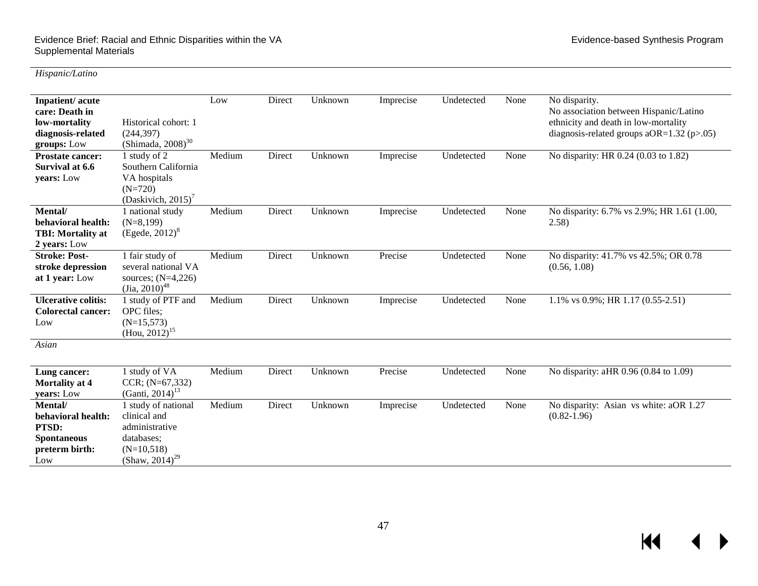$M$ 

*Hispanic/Latino*

| Inpatient/acute<br>care: Death in<br>low-mortality<br>diagnosis-related<br>groups: Low | Historical cohort: 1<br>(244, 397)<br>(Shimada, $2008$ ) <sup>30</sup>                                            | Low    | Direct | Unknown | Imprecise | Undetected | None | No disparity.<br>No association between Hispanic/Latino<br>ethnicity and death in low-mortality<br>diagnosis-related groups a $OR=1.32$ (p>.05) |
|----------------------------------------------------------------------------------------|-------------------------------------------------------------------------------------------------------------------|--------|--------|---------|-----------|------------|------|-------------------------------------------------------------------------------------------------------------------------------------------------|
| <b>Prostate cancer:</b><br>Survival at 6.6<br>years: Low                               | 1 study of 2<br>Southern California<br>VA hospitals<br>$(N=720)$<br>(Daskivich, 2015) <sup>7</sup>                | Medium | Direct | Unknown | Imprecise | Undetected | None | No disparity: HR 0.24 (0.03 to 1.82)                                                                                                            |
| Mental/<br>behavioral health:<br><b>TBI:</b> Mortality at<br>2 years: Low              | 1 national study<br>$(N=8,199)$<br>$(Egede, 2012)^8$                                                              | Medium | Direct | Unknown | Imprecise | Undetected | None | No disparity: 6.7% vs 2.9%; HR 1.61 (1.00,<br>(2.58)                                                                                            |
| <b>Stroke: Post-</b><br>stroke depression<br>at 1 year: Low                            | 1 fair study of<br>several national VA<br>sources; $(N=4,226)$<br>$\left(\text{Jia}, 2010\right)^{48}$            | Medium | Direct | Unknown | Precise   | Undetected | None | No disparity: 41.7% vs 42.5%; OR 0.78<br>(0.56, 1.08)                                                                                           |
| <b>Ulcerative colitis:</b><br><b>Colorectal cancer:</b><br>Low                         | 1 study of PTF and<br>OPC files;<br>$(N=15,573)$<br>$(Hou, 2012)^{15}$                                            | Medium | Direct | Unknown | Imprecise | Undetected | None | 1.1% vs $0.9\%$ ; HR 1.17 $(0.55-2.51)$                                                                                                         |
| Asian                                                                                  |                                                                                                                   |        |        |         |           |            |      |                                                                                                                                                 |
| Lung cancer:<br>Mortality at 4<br>years: Low                                           | 1 study of VA<br>$CCR; (N=67,332)$<br>(Ganti, 2014) <sup>13</sup>                                                 | Medium | Direct | Unknown | Precise   | Undetected | None | No disparity: aHR 0.96 (0.84 to 1.09)                                                                                                           |
| Mental/<br>behavioral health:<br>PTSD:<br><b>Spontaneous</b><br>preterm birth:<br>Low  | 1 study of national<br>clinical and<br>administrative<br>databases;<br>$(N=10,518)$<br>(Shaw, 2014) <sup>29</sup> | Medium | Direct | Unknown | Imprecise | Undetected | None | No disparity: Asian vs white: aOR 1.27<br>$(0.82 - 1.96)$                                                                                       |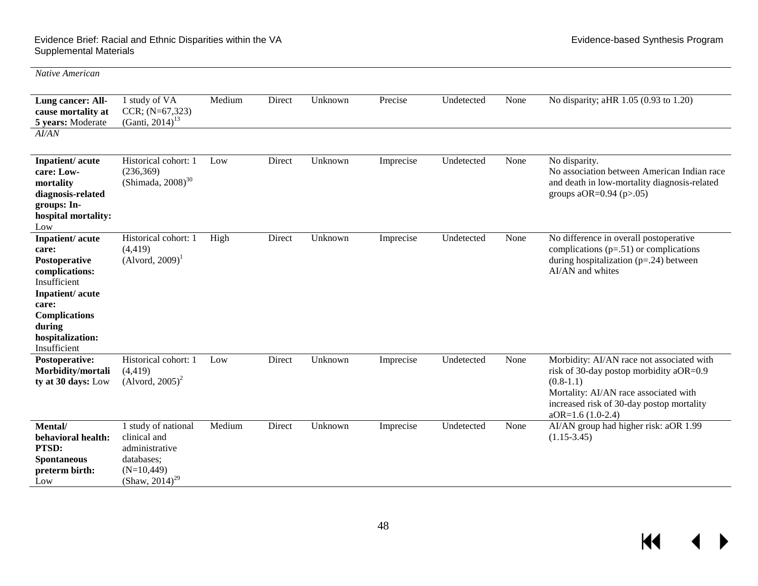#### Evidence Brief: Racial and Ethnic Disparities within the VA Evidence-based Synthesis Program Supplemental Materials

 $\blacktriangleleft$ 

| Native American                                                                                                                                                               |                                                                                                                    |        |        |         |           |            |      |                                                                                                                                                                                                                 |
|-------------------------------------------------------------------------------------------------------------------------------------------------------------------------------|--------------------------------------------------------------------------------------------------------------------|--------|--------|---------|-----------|------------|------|-----------------------------------------------------------------------------------------------------------------------------------------------------------------------------------------------------------------|
| Lung cancer: All-<br>cause mortality at<br>5 years: Moderate<br>AI/AN                                                                                                         | 1 study of VA<br>$CCR; (N=67,323)$<br>(Ganti, 2014) <sup>13</sup>                                                  | Medium | Direct | Unknown | Precise   | Undetected | None | No disparity; aHR 1.05 (0.93 to 1.20)                                                                                                                                                                           |
| Inpatient/acute<br>care: Low-<br>mortality<br>diagnosis-related<br>groups: In-<br>hospital mortality:<br>Low                                                                  | Historical cohort: 1<br>(236, 369)<br>$(Shimada, 2008)^{30}$                                                       | Low    | Direct | Unknown | Imprecise | Undetected | None | No disparity.<br>No association between American Indian race<br>and death in low-mortality diagnosis-related<br>groups aOR= $0.94$ (p $>0.05$ )                                                                 |
| Inpatient/acute<br>care:<br>Postoperative<br>complications:<br>Insufficient<br>Inpatient/acute<br>care:<br><b>Complications</b><br>during<br>hospitalization:<br>Insufficient | Historical cohort: 1<br>(4, 419)<br>$(Alvord, 2009)^T$                                                             | High   | Direct | Unknown | Imprecise | Undetected | None | No difference in overall postoperative<br>complications $(p=.51)$ or complications<br>during hospitalization $(p=.24)$ between<br>AI/AN and whites                                                              |
| Postoperative:<br>Morbidity/mortali<br>ty at 30 days: Low                                                                                                                     | Historical cohort: 1<br>(4, 419)<br>$(Alvord, 2005)^2$                                                             | Low    | Direct | Unknown | Imprecise | Undetected | None | Morbidity: AI/AN race not associated with<br>risk of 30-day postop morbidity aOR=0.9<br>$(0.8-1.1)$<br>Mortality: AI/AN race associated with<br>increased risk of 30-day postop mortality<br>$aOR=1.6(1.0-2.4)$ |
| Mental/<br>behavioral health:<br>PTSD:<br><b>Spontaneous</b><br>preterm birth:<br>Low                                                                                         | 1 study of national<br>clinical and<br>administrative<br>databases;<br>$(N=10, 449)$<br>(Shaw, 2014) <sup>29</sup> | Medium | Direct | Unknown | Imprecise | Undetected | None | AI/AN group had higher risk: aOR 1.99<br>$(1.15-3.45)$                                                                                                                                                          |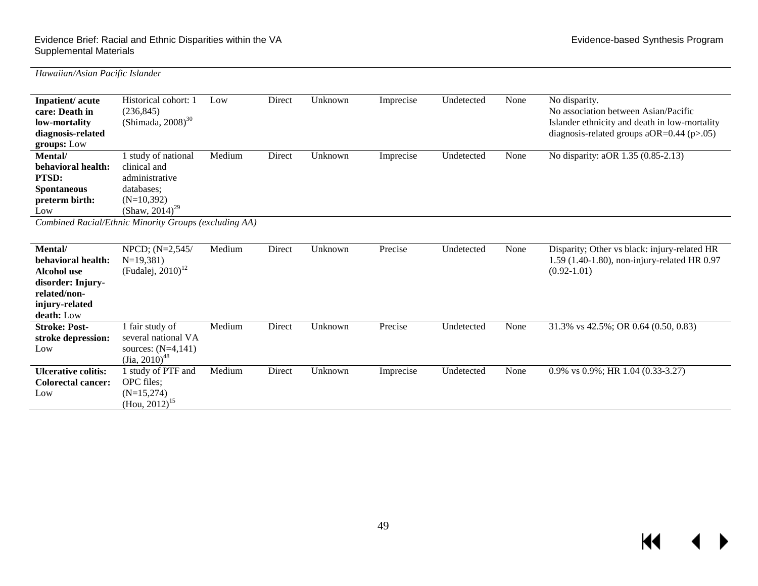| Inpatient/acute<br>care: Death in<br>low-mortality<br>diagnosis-related<br>groups: Low                            | Historical cohort: 1<br>(236, 845)<br>(Shimada, $2008$ ) <sup>30</sup>                                            | Low    | Direct | Unknown | Imprecise | Undetected | None | No disparity.<br>No association between Asian/Pacific<br>Islander ethnicity and death in low-mortality<br>diagnosis-related groups aOR= $0.44$ (p $>0.05$ ) |
|-------------------------------------------------------------------------------------------------------------------|-------------------------------------------------------------------------------------------------------------------|--------|--------|---------|-----------|------------|------|-------------------------------------------------------------------------------------------------------------------------------------------------------------|
| Mental/<br>behavioral health:<br>PTSD:<br><b>Spontaneous</b><br>preterm birth:<br>Low                             | 1 study of national<br>clinical and<br>administrative<br>databases:<br>$(N=10,392)$<br>(Shaw, 2014) <sup>29</sup> | Medium | Direct | Unknown | Imprecise | Undetected | None | No disparity: aOR 1.35 (0.85-2.13)                                                                                                                          |
|                                                                                                                   | Combined Racial/Ethnic Minority Groups (excluding AA)                                                             |        |        |         |           |            |      |                                                                                                                                                             |
| Mental/<br>behavioral health:<br>Alcohol use<br>disorder: Injury-<br>related/non-<br>injury-related<br>death: Low | NPCD; (N=2,545/<br>$N=19,381$<br>(Fudalej, $2010$ ) <sup>12</sup>                                                 | Medium | Direct | Unknown | Precise   | Undetected | None | Disparity; Other vs black: injury-related HR<br>1.59 (1.40-1.80), non-injury-related HR 0.97<br>$(0.92 - 1.01)$                                             |
| <b>Stroke: Post-</b><br>stroke depression:<br>Low                                                                 | 1 fair study of<br>several national VA<br>sources: $(N=4,141)$<br>$\left(\text{Jia}, 2010\right)^{48}$            | Medium | Direct | Unknown | Precise   | Undetected | None | 31.3% vs 42.5%; OR 0.64 (0.50, 0.83)                                                                                                                        |
| <b>Ulcerative colitis:</b><br><b>Colorectal cancer:</b><br>Low                                                    | 1 study of PTF and<br>OPC files;<br>$(N=15,274)$<br>$(Hou, 2012)^{15}$                                            | Medium | Direct | Unknown | Imprecise | Undetected | None | 0.9% vs $0.9\%$ ; HR 1.04 $(0.33-3.27)$                                                                                                                     |

*Hawaiian/Asian Pacific Islander*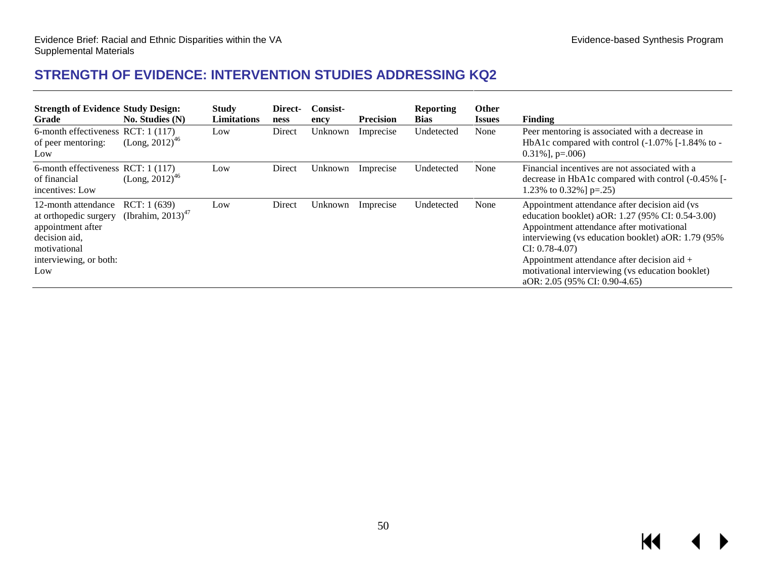## **STRENGTH OF EVIDENCE: INTERVENTION STUDIES ADDRESSING KQ2**

<span id="page-51-0"></span>

| <b>Strength of Evidence Study Design:</b><br>Grade                                                                                  | No. Studies (N)                                 | <b>Study</b><br><b>Limitations</b> | Direct-<br>ness | <b>Consist-</b><br>ency | <b>Precision</b> | <b>Reporting</b><br><b>Bias</b> | <b>Other</b><br><i><u><b>Issues</b></u></i> | Finding                                                                                                                                                                                                                                                                                                                                                        |
|-------------------------------------------------------------------------------------------------------------------------------------|-------------------------------------------------|------------------------------------|-----------------|-------------------------|------------------|---------------------------------|---------------------------------------------|----------------------------------------------------------------------------------------------------------------------------------------------------------------------------------------------------------------------------------------------------------------------------------------------------------------------------------------------------------------|
| 6-month effectiveness RCT: 1 (117)<br>of peer mentoring:<br>Low                                                                     | $(Long, 2012)^{46}$                             | Low                                | Direct          | Unknown                 | Imprecise        | Undetected                      | None                                        | Peer mentoring is associated with a decrease in<br>HbA1c compared with control (-1.07% [-1.84% to -<br>$0.31\%$ ], p=.006)                                                                                                                                                                                                                                     |
| 6-month effectiveness RCT: 1 (117)<br>of financial<br>incentives: Low                                                               | $(Long, 2012)^{46}$                             | Low                                | Direct          | Unknown                 | Imprecise        | Undetected                      | None                                        | Financial incentives are not associated with a<br>decrease in HbA1c compared with control $(-0.45\%$ [ $-$ ]<br>1.23% to 0.32%   $p=.25$ )                                                                                                                                                                                                                     |
| 12-month attendance<br>at orthopedic surgery<br>appointment after<br>decision aid,<br>motivational<br>interviewing, or both:<br>Low | RCT: 1(639)<br>(Ibrahim, $2013$ ) <sup>47</sup> | Low                                | Direct          | Unknown                 | Imprecise        | Undetected                      | None                                        | Appointment attendance after decision aid (vs<br>education booklet) aOR: 1.27 (95% CI: 0.54-3.00)<br>Appointment attendance after motivational<br>interviewing (vs education booklet) aOR: 1.79 (95%)<br>$CI: 0.78-4.07$<br>Appointment attendance after decision aid $+$<br>motivational interviewing (vs education booklet)<br>aOR: 2.05 (95% CI: 0.90-4.65) |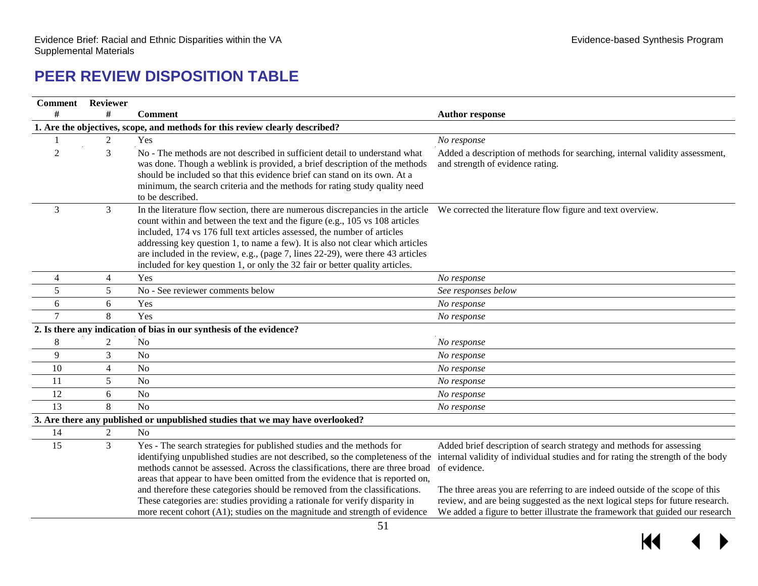# **PEER REVIEW DISPOSITION TABLE**

<span id="page-52-0"></span>

| <b>Comment</b> Reviewer |                |                                                                                                                                                                                                                                                                                                                                                                                                                                                                                                                                                                     |                                                                                                                                                                                                                                                                                                                                                                                                                            |
|-------------------------|----------------|---------------------------------------------------------------------------------------------------------------------------------------------------------------------------------------------------------------------------------------------------------------------------------------------------------------------------------------------------------------------------------------------------------------------------------------------------------------------------------------------------------------------------------------------------------------------|----------------------------------------------------------------------------------------------------------------------------------------------------------------------------------------------------------------------------------------------------------------------------------------------------------------------------------------------------------------------------------------------------------------------------|
| #                       | #              | <b>Comment</b>                                                                                                                                                                                                                                                                                                                                                                                                                                                                                                                                                      | <b>Author response</b>                                                                                                                                                                                                                                                                                                                                                                                                     |
|                         |                | 1. Are the objectives, scope, and methods for this review clearly described?                                                                                                                                                                                                                                                                                                                                                                                                                                                                                        |                                                                                                                                                                                                                                                                                                                                                                                                                            |
|                         | $\overline{c}$ | Yes                                                                                                                                                                                                                                                                                                                                                                                                                                                                                                                                                                 | No response                                                                                                                                                                                                                                                                                                                                                                                                                |
| $\overline{2}$          | 3              | No - The methods are not described in sufficient detail to understand what<br>was done. Though a weblink is provided, a brief description of the methods<br>should be included so that this evidence brief can stand on its own. At a<br>minimum, the search criteria and the methods for rating study quality need<br>to be described.                                                                                                                                                                                                                             | Added a description of methods for searching, internal validity assessment,<br>and strength of evidence rating.                                                                                                                                                                                                                                                                                                            |
| 3                       | 3              | In the literature flow section, there are numerous discrepancies in the article We corrected the literature flow figure and text overview.<br>count within and between the text and the figure (e.g., 105 vs 108 articles<br>included, 174 vs 176 full text articles assessed, the number of articles<br>addressing key question 1, to name a few). It is also not clear which articles<br>are included in the review, e.g., (page 7, lines 22-29), were there 43 articles<br>included for key question 1, or only the 32 fair or better quality articles.          |                                                                                                                                                                                                                                                                                                                                                                                                                            |
| 4                       | 4              | Yes                                                                                                                                                                                                                                                                                                                                                                                                                                                                                                                                                                 | No response                                                                                                                                                                                                                                                                                                                                                                                                                |
| 5                       | 5              | No - See reviewer comments below                                                                                                                                                                                                                                                                                                                                                                                                                                                                                                                                    | See responses below                                                                                                                                                                                                                                                                                                                                                                                                        |
| 6                       | 6              | Yes                                                                                                                                                                                                                                                                                                                                                                                                                                                                                                                                                                 | No response                                                                                                                                                                                                                                                                                                                                                                                                                |
| $\tau$                  | 8              | Yes                                                                                                                                                                                                                                                                                                                                                                                                                                                                                                                                                                 | No response                                                                                                                                                                                                                                                                                                                                                                                                                |
|                         |                | 2. Is there any indication of bias in our synthesis of the evidence?                                                                                                                                                                                                                                                                                                                                                                                                                                                                                                |                                                                                                                                                                                                                                                                                                                                                                                                                            |
| $\,8$                   | $\overline{2}$ | N <sub>o</sub>                                                                                                                                                                                                                                                                                                                                                                                                                                                                                                                                                      | No response                                                                                                                                                                                                                                                                                                                                                                                                                |
| 9                       | 3              | N <sub>o</sub>                                                                                                                                                                                                                                                                                                                                                                                                                                                                                                                                                      | No response                                                                                                                                                                                                                                                                                                                                                                                                                |
| 10                      | 4              | N <sub>o</sub>                                                                                                                                                                                                                                                                                                                                                                                                                                                                                                                                                      | No response                                                                                                                                                                                                                                                                                                                                                                                                                |
| 11                      | 5              | N <sub>o</sub>                                                                                                                                                                                                                                                                                                                                                                                                                                                                                                                                                      | No response                                                                                                                                                                                                                                                                                                                                                                                                                |
| 12                      | 6              | No                                                                                                                                                                                                                                                                                                                                                                                                                                                                                                                                                                  | No response                                                                                                                                                                                                                                                                                                                                                                                                                |
| 13                      | 8              | N <sub>o</sub>                                                                                                                                                                                                                                                                                                                                                                                                                                                                                                                                                      | No response                                                                                                                                                                                                                                                                                                                                                                                                                |
|                         |                | 3. Are there any published or unpublished studies that we may have overlooked?                                                                                                                                                                                                                                                                                                                                                                                                                                                                                      |                                                                                                                                                                                                                                                                                                                                                                                                                            |
| 14                      | 2              | N <sub>o</sub>                                                                                                                                                                                                                                                                                                                                                                                                                                                                                                                                                      |                                                                                                                                                                                                                                                                                                                                                                                                                            |
| 15                      | 3              | Yes - The search strategies for published studies and the methods for<br>identifying unpublished studies are not described, so the completeness of the<br>methods cannot be assessed. Across the classifications, there are three broad<br>areas that appear to have been omitted from the evidence that is reported on,<br>and therefore these categories should be removed from the classifications.<br>These categories are: studies providing a rationale for verify disparity in<br>more recent cohort (A1); studies on the magnitude and strength of evidence | Added brief description of search strategy and methods for assessing<br>internal validity of individual studies and for rating the strength of the body<br>of evidence.<br>The three areas you are referring to are indeed outside of the scope of this<br>review, and are being suggested as the next logical steps for future research.<br>We added a figure to better illustrate the framework that guided our research |

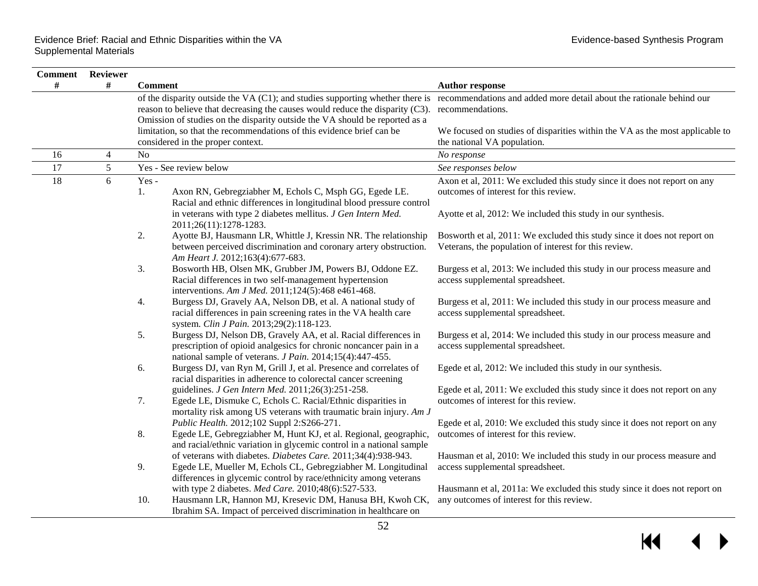| <b>Comment</b> Reviewer |   |                                                                                                                                                                                                                                                                                                                    |                                                                                                            |
|-------------------------|---|--------------------------------------------------------------------------------------------------------------------------------------------------------------------------------------------------------------------------------------------------------------------------------------------------------------------|------------------------------------------------------------------------------------------------------------|
| #                       | # | <b>Comment</b>                                                                                                                                                                                                                                                                                                     | <b>Author response</b>                                                                                     |
|                         |   | of the disparity outside the VA (C1); and studies supporting whether there is recommendations and added more detail about the rationale behind our<br>reason to believe that decreasing the causes would reduce the disparity (C3).<br>Omission of studies on the disparity outside the VA should be reported as a | recommendations.                                                                                           |
|                         |   | limitation, so that the recommendations of this evidence brief can be                                                                                                                                                                                                                                              | We focused on studies of disparities within the VA as the most applicable to                               |
|                         |   | considered in the proper context.                                                                                                                                                                                                                                                                                  | the national VA population.                                                                                |
| 16                      | 4 | No                                                                                                                                                                                                                                                                                                                 | No response                                                                                                |
| 17                      | 5 | Yes - See review below                                                                                                                                                                                                                                                                                             | See responses below                                                                                        |
| 18                      | 6 | Yes-                                                                                                                                                                                                                                                                                                               | Axon et al, 2011: We excluded this study since it does not report on any                                   |
|                         |   | Axon RN, Gebregziabher M, Echols C, Msph GG, Egede LE.<br>1.                                                                                                                                                                                                                                                       | outcomes of interest for this review.                                                                      |
|                         |   | Racial and ethnic differences in longitudinal blood pressure control                                                                                                                                                                                                                                               |                                                                                                            |
|                         |   | in veterans with type 2 diabetes mellitus. J Gen Intern Med.<br>2011;26(11):1278-1283.                                                                                                                                                                                                                             | Ayotte et al, 2012: We included this study in our synthesis.                                               |
|                         |   | 2.<br>Ayotte BJ, Hausmann LR, Whittle J, Kressin NR. The relationship                                                                                                                                                                                                                                              | Bosworth et al, 2011: We excluded this study since it does not report on                                   |
|                         |   | between perceived discrimination and coronary artery obstruction.<br>Am Heart J. 2012;163(4):677-683.                                                                                                                                                                                                              | Veterans, the population of interest for this review.                                                      |
|                         |   | 3.<br>Bosworth HB, Olsen MK, Grubber JM, Powers BJ, Oddone EZ.<br>Racial differences in two self-management hypertension<br>interventions. Am J Med. 2011;124(5):468 e461-468.                                                                                                                                     | Burgess et al, 2013: We included this study in our process measure and<br>access supplemental spreadsheet. |
|                         |   | Burgess DJ, Gravely AA, Nelson DB, et al. A national study of<br>4.<br>racial differences in pain screening rates in the VA health care<br>system. Clin J Pain. 2013;29(2):118-123.                                                                                                                                | Burgess et al, 2011: We included this study in our process measure and<br>access supplemental spreadsheet. |
|                         |   | 5.<br>Burgess DJ, Nelson DB, Gravely AA, et al. Racial differences in<br>prescription of opioid analgesics for chronic noncancer pain in a<br>national sample of veterans. J Pain. 2014;15(4):447-455.                                                                                                             | Burgess et al, 2014: We included this study in our process measure and<br>access supplemental spreadsheet. |
|                         |   | 6.<br>Burgess DJ, van Ryn M, Grill J, et al. Presence and correlates of<br>racial disparities in adherence to colorectal cancer screening                                                                                                                                                                          | Egede et al, 2012: We included this study in our synthesis.                                                |
|                         |   | guidelines. J Gen Intern Med. 2011;26(3):251-258.                                                                                                                                                                                                                                                                  | Egede et al, 2011: We excluded this study since it does not report on any                                  |
|                         |   | 7.<br>Egede LE, Dismuke C, Echols C. Racial/Ethnic disparities in<br>mortality risk among US veterans with traumatic brain injury. Am J                                                                                                                                                                            | outcomes of interest for this review.                                                                      |
|                         |   | Public Health. 2012;102 Suppl 2:S266-271.                                                                                                                                                                                                                                                                          | Egede et al, 2010: We excluded this study since it does not report on any                                  |
|                         |   | 8.<br>Egede LE, Gebregziabher M, Hunt KJ, et al. Regional, geographic,                                                                                                                                                                                                                                             | outcomes of interest for this review.                                                                      |
|                         |   | and racial/ethnic variation in glycemic control in a national sample                                                                                                                                                                                                                                               |                                                                                                            |
|                         |   | of veterans with diabetes. Diabetes Care. 2011;34(4):938-943.                                                                                                                                                                                                                                                      | Hausman et al, 2010: We included this study in our process measure and                                     |
|                         |   | 9.<br>Egede LE, Mueller M, Echols CL, Gebregziabher M. Longitudinal                                                                                                                                                                                                                                                | access supplemental spreadsheet.                                                                           |
|                         |   | differences in glycemic control by race/ethnicity among veterans                                                                                                                                                                                                                                                   |                                                                                                            |
|                         |   | with type 2 diabetes. Med Care. 2010;48(6):527-533.                                                                                                                                                                                                                                                                | Hausmann et al, 2011a: We excluded this study since it does not report on                                  |
|                         |   | Hausmann LR, Hannon MJ, Kresevic DM, Hanusa BH, Kwoh CK,<br>10.<br>Ibrahim SA. Impact of perceived discrimination in healthcare on                                                                                                                                                                                 | any outcomes of interest for this review.                                                                  |
|                         |   |                                                                                                                                                                                                                                                                                                                    |                                                                                                            |

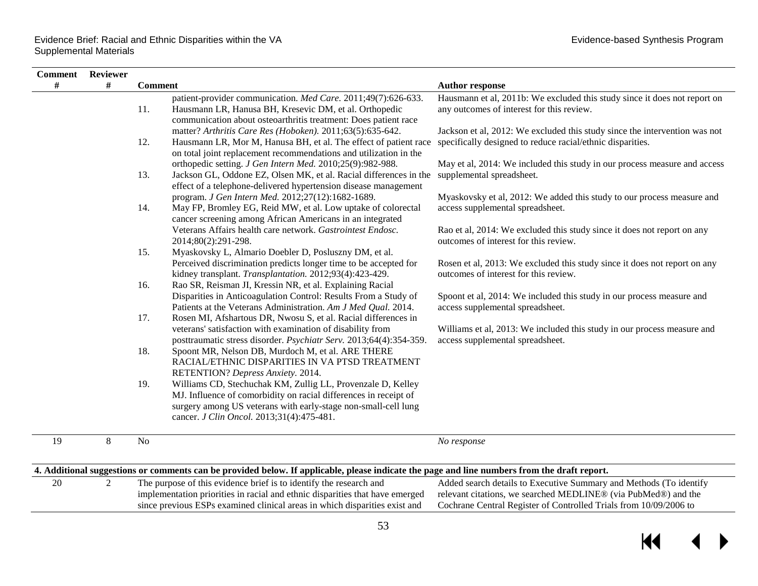$\blacksquare$ 

 $\blacktriangleleft$ 

ь

 $\overline{\phantom{0}}$ 

| <b>Comment</b> | Reviewer |                |                                                                                                                                                                                                                                                |                                                                                                                                                                                                           |
|----------------|----------|----------------|------------------------------------------------------------------------------------------------------------------------------------------------------------------------------------------------------------------------------------------------|-----------------------------------------------------------------------------------------------------------------------------------------------------------------------------------------------------------|
| #              | #        | <b>Comment</b> |                                                                                                                                                                                                                                                | <b>Author response</b>                                                                                                                                                                                    |
|                |          | 11.            | patient-provider communication. Med Care. 2011;49(7):626-633.<br>Hausmann LR, Hanusa BH, Kresevic DM, et al. Orthopedic<br>communication about osteoarthritis treatment: Does patient race                                                     | Hausmann et al, 2011b: We excluded this study since it does not report on<br>any outcomes of interest for this review.                                                                                    |
|                |          | 12.            | matter? Arthritis Care Res (Hoboken). 2011;63(5):635-642.<br>Hausmann LR, Mor M, Hanusa BH, et al. The effect of patient race<br>on total joint replacement recommendations and utilization in the                                             | Jackson et al, 2012: We excluded this study since the intervention was not<br>specifically designed to reduce racial/ethnic disparities.                                                                  |
|                |          | 13.            | orthopedic setting. J Gen Intern Med. 2010;25(9):982-988.<br>Jackson GL, Oddone EZ, Olsen MK, et al. Racial differences in the<br>effect of a telephone-delivered hypertension disease management                                              | May et al, 2014: We included this study in our process measure and access<br>supplemental spreadsheet.                                                                                                    |
|                |          | 14.            | program. J Gen Intern Med. 2012;27(12):1682-1689.<br>May FP, Bromley EG, Reid MW, et al. Low uptake of colorectal<br>cancer screening among African Americans in an integrated                                                                 | Myaskovsky et al, 2012: We added this study to our process measure and<br>access supplemental spreadsheet.                                                                                                |
|                |          | 15.            | Veterans Affairs health care network. Gastrointest Endosc.<br>2014;80(2):291-298.<br>Myaskovsky L, Almario Doebler D, Posluszny DM, et al.                                                                                                     | Rao et al, 2014: We excluded this study since it does not report on any<br>outcomes of interest for this review.                                                                                          |
|                |          | 16.            | Perceived discrimination predicts longer time to be accepted for<br>kidney transplant. Transplantation. 2012;93(4):423-429.<br>Rao SR, Reisman JI, Kressin NR, et al. Explaining Racial                                                        | Rosen et al, 2013: We excluded this study since it does not report on any<br>outcomes of interest for this review.                                                                                        |
|                |          | 17.            | Disparities in Anticoagulation Control: Results From a Study of<br>Patients at the Veterans Administration. Am J Med Qual. 2014.<br>Rosen MI, Afshartous DR, Nwosu S, et al. Racial differences in                                             | Spoont et al, 2014: We included this study in our process measure and<br>access supplemental spreadsheet.                                                                                                 |
|                |          |                | veterans' satisfaction with examination of disability from<br>posttraumatic stress disorder. Psychiatr Serv. 2013;64(4):354-359.                                                                                                               | Williams et al, 2013: We included this study in our process measure and<br>access supplemental spreadsheet.                                                                                               |
|                |          | 18.            | Spoont MR, Nelson DB, Murdoch M, et al. ARE THERE<br>RACIAL/ETHNIC DISPARITIES IN VA PTSD TREATMENT<br>RETENTION? Depress Anxiety. 2014.                                                                                                       |                                                                                                                                                                                                           |
|                |          | 19.            | Williams CD, Stechuchak KM, Zullig LL, Provenzale D, Kelley<br>MJ. Influence of comorbidity on racial differences in receipt of<br>surgery among US veterans with early-stage non-small-cell lung<br>cancer. J Clin Oncol. 2013;31(4):475-481. |                                                                                                                                                                                                           |
| 19             | 8        | N <sub>o</sub> |                                                                                                                                                                                                                                                | No response                                                                                                                                                                                               |
|                |          |                | 4. Additional suggestions or comments can be provided below. If applicable, please indicate the page and line numbers from the draft report.                                                                                                   |                                                                                                                                                                                                           |
| 20             | 2        |                | The purpose of this evidence brief is to identify the research and<br>implementation priorities in racial and ethnic disparities that have emerged<br>since previous ESPs examined clinical areas in which disparities exist and               | Added search details to Executive Summary and Methods (To identify<br>relevant citations, we searched MEDLINE® (via PubMed®) and the<br>Cochrane Central Register of Controlled Trials from 10/09/2006 to |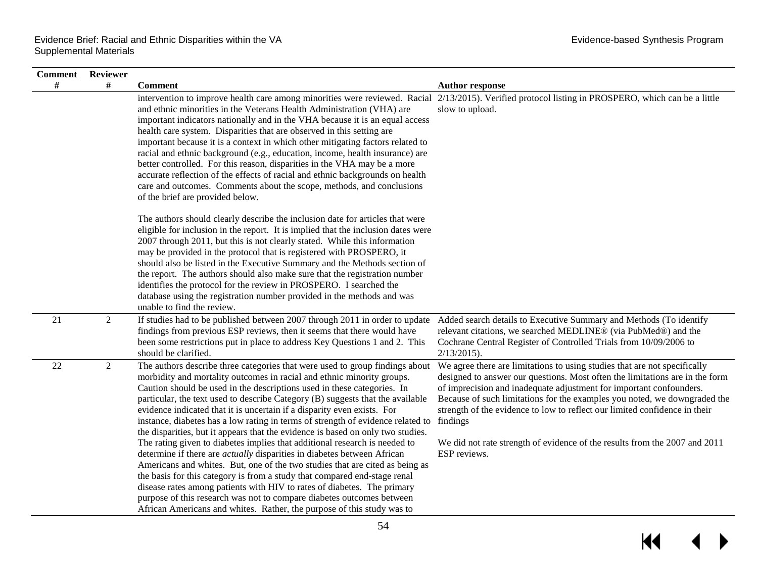| <b>Comment</b> Reviewer |                |                                                                                                                                                                                                                                                                                                                                                                                                                                                                                                                                                                                                                                                                                                                                                                                                                                   |                                                                                                                                                                                                                                                                                                                                                                                                                                                                           |
|-------------------------|----------------|-----------------------------------------------------------------------------------------------------------------------------------------------------------------------------------------------------------------------------------------------------------------------------------------------------------------------------------------------------------------------------------------------------------------------------------------------------------------------------------------------------------------------------------------------------------------------------------------------------------------------------------------------------------------------------------------------------------------------------------------------------------------------------------------------------------------------------------|---------------------------------------------------------------------------------------------------------------------------------------------------------------------------------------------------------------------------------------------------------------------------------------------------------------------------------------------------------------------------------------------------------------------------------------------------------------------------|
| #                       | #              | <b>Comment</b>                                                                                                                                                                                                                                                                                                                                                                                                                                                                                                                                                                                                                                                                                                                                                                                                                    | <b>Author response</b>                                                                                                                                                                                                                                                                                                                                                                                                                                                    |
|                         |                | intervention to improve health care among minorities were reviewed. Racial 2/13/2015). Verified protocol listing in PROSPERO, which can be a little<br>and ethnic minorities in the Veterans Health Administration (VHA) are<br>important indicators nationally and in the VHA because it is an equal access<br>health care system. Disparities that are observed in this setting are<br>important because it is a context in which other mitigating factors related to<br>racial and ethnic background (e.g., education, income, health insurance) are<br>better controlled. For this reason, disparities in the VHA may be a more<br>accurate reflection of the effects of racial and ethnic backgrounds on health<br>care and outcomes. Comments about the scope, methods, and conclusions<br>of the brief are provided below. | slow to upload.                                                                                                                                                                                                                                                                                                                                                                                                                                                           |
|                         |                | The authors should clearly describe the inclusion date for articles that were<br>eligible for inclusion in the report. It is implied that the inclusion dates were<br>2007 through 2011, but this is not clearly stated. While this information<br>may be provided in the protocol that is registered with PROSPERO, it<br>should also be listed in the Executive Summary and the Methods section of<br>the report. The authors should also make sure that the registration number<br>identifies the protocol for the review in PROSPERO. I searched the<br>database using the registration number provided in the methods and was<br>unable to find the review.                                                                                                                                                                  |                                                                                                                                                                                                                                                                                                                                                                                                                                                                           |
| 21                      | $\overline{2}$ | If studies had to be published between 2007 through 2011 in order to update<br>findings from previous ESP reviews, then it seems that there would have<br>been some restrictions put in place to address Key Questions 1 and 2. This<br>should be clarified.                                                                                                                                                                                                                                                                                                                                                                                                                                                                                                                                                                      | Added search details to Executive Summary and Methods (To identify<br>relevant citations, we searched MEDLINE® (via PubMed®) and the<br>Cochrane Central Register of Controlled Trials from 10/09/2006 to<br>$2/13/2015$ ).                                                                                                                                                                                                                                               |
| $22\,$                  | $\overline{2}$ | The authors describe three categories that were used to group findings about<br>morbidity and mortality outcomes in racial and ethnic minority groups.<br>Caution should be used in the descriptions used in these categories. In<br>particular, the text used to describe Category (B) suggests that the available<br>evidence indicated that it is uncertain if a disparity even exists. For<br>instance, diabetes has a low rating in terms of strength of evidence related to findings<br>the disparities, but it appears that the evidence is based on only two studies.<br>The rating given to diabetes implies that additional research is needed to                                                                                                                                                                       | We agree there are limitations to using studies that are not specifically<br>designed to answer our questions. Most often the limitations are in the form<br>of imprecision and inadequate adjustment for important confounders.<br>Because of such limitations for the examples you noted, we downgraded the<br>strength of the evidence to low to reflect our limited confidence in their<br>We did not rate strength of evidence of the results from the 2007 and 2011 |
|                         |                | determine if there are <i>actually</i> disparities in diabetes between African<br>Americans and whites. But, one of the two studies that are cited as being as<br>the basis for this category is from a study that compared end-stage renal<br>disease rates among patients with HIV to rates of diabetes. The primary<br>purpose of this research was not to compare diabetes outcomes between<br>African Americans and whites. Rather, the purpose of this study was to                                                                                                                                                                                                                                                                                                                                                         | ESP reviews.                                                                                                                                                                                                                                                                                                                                                                                                                                                              |

 $\overline{\mathbf{M}}$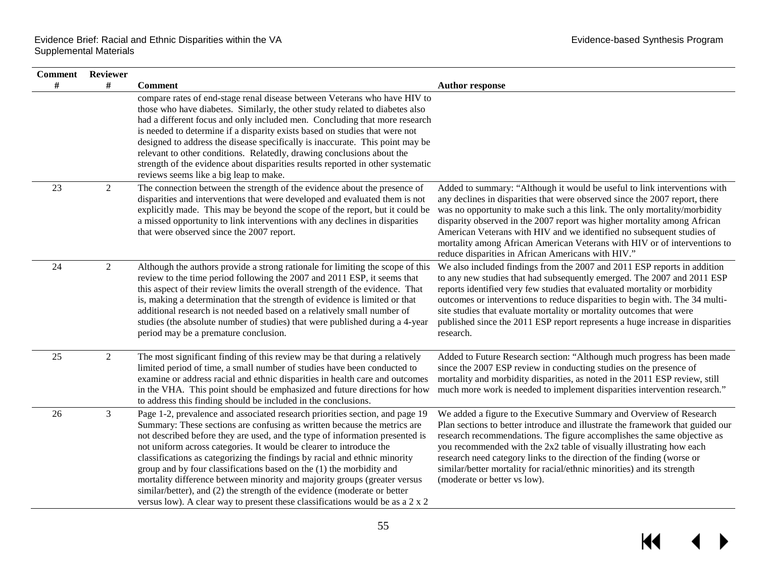$\blacktriangleright$ 

| <b>Comment</b> Reviewer |                |                                                                                                                                                                                                                                                                                                                                                                                                                                                                                                                                                                                                                                                                                                                  |                                                                                                                                                                                                                                                                                                                                                                                                                                                                                                                               |
|-------------------------|----------------|------------------------------------------------------------------------------------------------------------------------------------------------------------------------------------------------------------------------------------------------------------------------------------------------------------------------------------------------------------------------------------------------------------------------------------------------------------------------------------------------------------------------------------------------------------------------------------------------------------------------------------------------------------------------------------------------------------------|-------------------------------------------------------------------------------------------------------------------------------------------------------------------------------------------------------------------------------------------------------------------------------------------------------------------------------------------------------------------------------------------------------------------------------------------------------------------------------------------------------------------------------|
| #                       | #              | <b>Comment</b>                                                                                                                                                                                                                                                                                                                                                                                                                                                                                                                                                                                                                                                                                                   | <b>Author response</b>                                                                                                                                                                                                                                                                                                                                                                                                                                                                                                        |
|                         |                | compare rates of end-stage renal disease between Veterans who have HIV to<br>those who have diabetes. Similarly, the other study related to diabetes also<br>had a different focus and only included men. Concluding that more research<br>is needed to determine if a disparity exists based on studies that were not<br>designed to address the disease specifically is inaccurate. This point may be<br>relevant to other conditions. Relatedly, drawing conclusions about the<br>strength of the evidence about disparities results reported in other systematic<br>reviews seems like a big leap to make.                                                                                                   |                                                                                                                                                                                                                                                                                                                                                                                                                                                                                                                               |
| 23                      | 2              | The connection between the strength of the evidence about the presence of<br>disparities and interventions that were developed and evaluated them is not<br>explicitly made. This may be beyond the scope of the report, but it could be<br>a missed opportunity to link interventions with any declines in disparities<br>that were observed since the 2007 report.                                                                                                                                                                                                                                                                                                                                             | Added to summary: "Although it would be useful to link interventions with<br>any declines in disparities that were observed since the 2007 report, there<br>was no opportunity to make such a this link. The only mortality/morbidity<br>disparity observed in the 2007 report was higher mortality among African<br>American Veterans with HIV and we identified no subsequent studies of<br>mortality among African American Veterans with HIV or of interventions to<br>reduce disparities in African Americans with HIV." |
| 24                      | 2              | Although the authors provide a strong rationale for limiting the scope of this<br>review to the time period following the 2007 and 2011 ESP, it seems that<br>this aspect of their review limits the overall strength of the evidence. That<br>is, making a determination that the strength of evidence is limited or that<br>additional research is not needed based on a relatively small number of<br>studies (the absolute number of studies) that were published during a 4-year<br>period may be a premature conclusion.                                                                                                                                                                                   | We also included findings from the 2007 and 2011 ESP reports in addition<br>to any new studies that had subsequently emerged. The 2007 and 2011 ESP<br>reports identified very few studies that evaluated mortality or morbidity<br>outcomes or interventions to reduce disparities to begin with. The 34 multi-<br>site studies that evaluate mortality or mortality outcomes that were<br>published since the 2011 ESP report represents a huge increase in disparities<br>research.                                        |
| 25                      | $\overline{2}$ | The most significant finding of this review may be that during a relatively<br>limited period of time, a small number of studies have been conducted to<br>examine or address racial and ethnic disparities in health care and outcomes<br>in the VHA. This point should be emphasized and future directions for how<br>to address this finding should be included in the conclusions.                                                                                                                                                                                                                                                                                                                           | Added to Future Research section: "Although much progress has been made<br>since the 2007 ESP review in conducting studies on the presence of<br>mortality and morbidity disparities, as noted in the 2011 ESP review, still<br>much more work is needed to implement disparities intervention research."                                                                                                                                                                                                                     |
| 26                      | $\mathfrak{Z}$ | Page 1-2, prevalence and associated research priorities section, and page 19<br>Summary: These sections are confusing as written because the metrics are<br>not described before they are used, and the type of information presented is<br>not uniform across categories. It would be clearer to introduce the<br>classifications as categorizing the findings by racial and ethnic minority<br>group and by four classifications based on the (1) the morbidity and<br>mortality difference between minority and majority groups (greater versus<br>similar/better), and (2) the strength of the evidence (moderate or better<br>versus low). A clear way to present these classifications would be as a 2 x 2 | We added a figure to the Executive Summary and Overview of Research<br>Plan sections to better introduce and illustrate the framework that guided our<br>research recommendations. The figure accomplishes the same objective as<br>you recommended with the 2x2 table of visually illustrating how each<br>research need category links to the direction of the finding (worse or<br>similar/better mortality for racial/ethnic minorities) and its strength<br>(moderate or better vs low).                                 |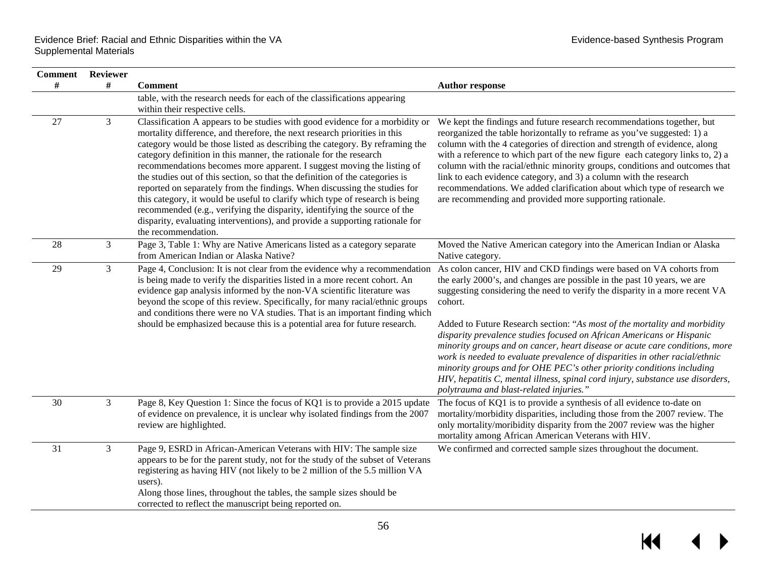$\blacktriangleright$ 

| Comment | <b>Reviewer</b> |                                                                                                                                                                                                                                                                                                                                                                                                                                                                                                                                                                                                                                                                                                                                                                                                                           |                                                                                                                                                                                                                                                                                                                                                                                                                                                                                                                                                                                                                                                                                                                         |
|---------|-----------------|---------------------------------------------------------------------------------------------------------------------------------------------------------------------------------------------------------------------------------------------------------------------------------------------------------------------------------------------------------------------------------------------------------------------------------------------------------------------------------------------------------------------------------------------------------------------------------------------------------------------------------------------------------------------------------------------------------------------------------------------------------------------------------------------------------------------------|-------------------------------------------------------------------------------------------------------------------------------------------------------------------------------------------------------------------------------------------------------------------------------------------------------------------------------------------------------------------------------------------------------------------------------------------------------------------------------------------------------------------------------------------------------------------------------------------------------------------------------------------------------------------------------------------------------------------------|
| #       | #               | <b>Comment</b>                                                                                                                                                                                                                                                                                                                                                                                                                                                                                                                                                                                                                                                                                                                                                                                                            | <b>Author response</b>                                                                                                                                                                                                                                                                                                                                                                                                                                                                                                                                                                                                                                                                                                  |
|         |                 | table, with the research needs for each of the classifications appearing<br>within their respective cells.                                                                                                                                                                                                                                                                                                                                                                                                                                                                                                                                                                                                                                                                                                                |                                                                                                                                                                                                                                                                                                                                                                                                                                                                                                                                                                                                                                                                                                                         |
| 27      | $\mathfrak{Z}$  | Classification A appears to be studies with good evidence for a morbidity or<br>mortality difference, and therefore, the next research priorities in this<br>category would be those listed as describing the category. By reframing the<br>category definition in this manner, the rationale for the research<br>recommendations becomes more apparent. I suggest moving the listing of<br>the studies out of this section, so that the definition of the categories is<br>reported on separately from the findings. When discussing the studies for<br>this category, it would be useful to clarify which type of research is being<br>recommended (e.g., verifying the disparity, identifying the source of the<br>disparity, evaluating interventions), and provide a supporting rationale for<br>the recommendation. | We kept the findings and future research recommendations together, but<br>reorganized the table horizontally to reframe as you've suggested: 1) a<br>column with the 4 categories of direction and strength of evidence, along<br>with a reference to which part of the new figure each category links to, 2) a<br>column with the racial/ethnic minority groups, conditions and outcomes that<br>link to each evidence category, and 3) a column with the research<br>recommendations. We added clarification about which type of research we<br>are recommending and provided more supporting rationale.                                                                                                              |
| 28      | 3               | Page 3, Table 1: Why are Native Americans listed as a category separate<br>from American Indian or Alaska Native?                                                                                                                                                                                                                                                                                                                                                                                                                                                                                                                                                                                                                                                                                                         | Moved the Native American category into the American Indian or Alaska<br>Native category.                                                                                                                                                                                                                                                                                                                                                                                                                                                                                                                                                                                                                               |
| 29      | 3               | Page 4, Conclusion: It is not clear from the evidence why a recommendation<br>is being made to verify the disparities listed in a more recent cohort. An<br>evidence gap analysis informed by the non-VA scientific literature was<br>beyond the scope of this review. Specifically, for many racial/ethnic groups<br>and conditions there were no VA studies. That is an important finding which<br>should be emphasized because this is a potential area for future research.                                                                                                                                                                                                                                                                                                                                           | As colon cancer, HIV and CKD findings were based on VA cohorts from<br>the early 2000's, and changes are possible in the past 10 years, we are<br>suggesting considering the need to verify the disparity in a more recent VA<br>cohort.<br>Added to Future Research section: "As most of the mortality and morbidity<br>disparity prevalence studies focused on African Americans or Hispanic<br>minority groups and on cancer, heart disease or acute care conditions, more<br>work is needed to evaluate prevalence of disparities in other racial/ethnic<br>minority groups and for OHE PEC's other priority conditions including<br>HIV, hepatitis C, mental illness, spinal cord injury, substance use disorders, |
| 30      | 3               | Page 8, Key Question 1: Since the focus of KQ1 is to provide a 2015 update                                                                                                                                                                                                                                                                                                                                                                                                                                                                                                                                                                                                                                                                                                                                                | polytrauma and blast-related injuries."<br>The focus of KQ1 is to provide a synthesis of all evidence to-date on                                                                                                                                                                                                                                                                                                                                                                                                                                                                                                                                                                                                        |
|         |                 | of evidence on prevalence, it is unclear why isolated findings from the 2007<br>review are highlighted.                                                                                                                                                                                                                                                                                                                                                                                                                                                                                                                                                                                                                                                                                                                   | mortality/morbidity disparities, including those from the 2007 review. The<br>only mortality/moribidity disparity from the 2007 review was the higher<br>mortality among African American Veterans with HIV.                                                                                                                                                                                                                                                                                                                                                                                                                                                                                                            |
| 31      | $\mathfrak{Z}$  | Page 9, ESRD in African-American Veterans with HIV: The sample size<br>appears to be for the parent study, not for the study of the subset of Veterans<br>registering as having HIV (not likely to be 2 million of the 5.5 million VA<br>users).<br>Along those lines, throughout the tables, the sample sizes should be<br>corrected to reflect the manuscript being reported on.                                                                                                                                                                                                                                                                                                                                                                                                                                        | We confirmed and corrected sample sizes throughout the document.                                                                                                                                                                                                                                                                                                                                                                                                                                                                                                                                                                                                                                                        |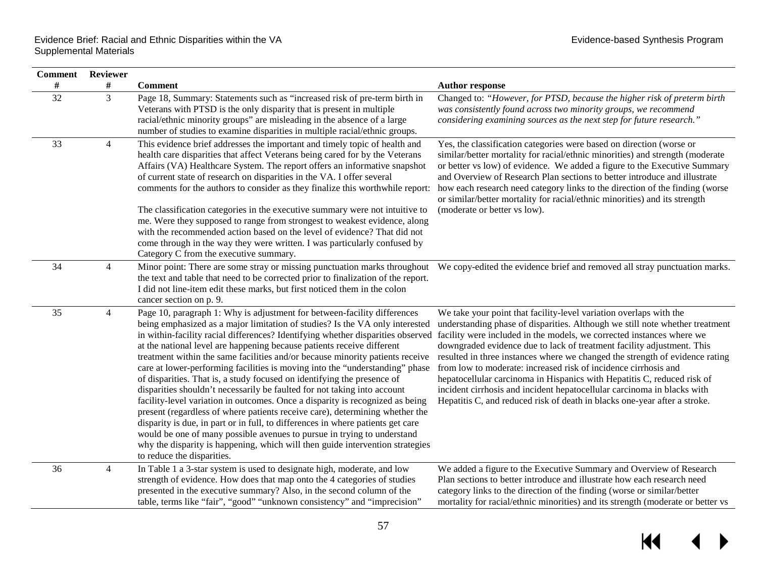| <b>Comment</b> Reviewer |                |                                                                                                                                                                                                                                                                                                                                                                                                                                                                                                                                                                                                                                                                                                                                                                                                                                                                                                                                                                                                                                                                                             |                                                                                                                                                                                                                                                                                                                                                                                                                                                                                                                                                                                                                                                                                             |
|-------------------------|----------------|---------------------------------------------------------------------------------------------------------------------------------------------------------------------------------------------------------------------------------------------------------------------------------------------------------------------------------------------------------------------------------------------------------------------------------------------------------------------------------------------------------------------------------------------------------------------------------------------------------------------------------------------------------------------------------------------------------------------------------------------------------------------------------------------------------------------------------------------------------------------------------------------------------------------------------------------------------------------------------------------------------------------------------------------------------------------------------------------|---------------------------------------------------------------------------------------------------------------------------------------------------------------------------------------------------------------------------------------------------------------------------------------------------------------------------------------------------------------------------------------------------------------------------------------------------------------------------------------------------------------------------------------------------------------------------------------------------------------------------------------------------------------------------------------------|
| $\#$                    | #              | <b>Comment</b>                                                                                                                                                                                                                                                                                                                                                                                                                                                                                                                                                                                                                                                                                                                                                                                                                                                                                                                                                                                                                                                                              | <b>Author response</b>                                                                                                                                                                                                                                                                                                                                                                                                                                                                                                                                                                                                                                                                      |
| 32                      | $\overline{3}$ | Page 18, Summary: Statements such as "increased risk of pre-term birth in<br>Veterans with PTSD is the only disparity that is present in multiple<br>racial/ethnic minority groups" are misleading in the absence of a large<br>number of studies to examine disparities in multiple racial/ethnic groups.                                                                                                                                                                                                                                                                                                                                                                                                                                                                                                                                                                                                                                                                                                                                                                                  | Changed to: "However, for PTSD, because the higher risk of preterm birth<br>was consistently found across two minority groups, we recommend<br>considering examining sources as the next step for future research."                                                                                                                                                                                                                                                                                                                                                                                                                                                                         |
| 33                      | $\overline{4}$ | This evidence brief addresses the important and timely topic of health and<br>health care disparities that affect Veterans being cared for by the Veterans<br>Affairs (VA) Healthcare System. The report offers an informative snapshot<br>of current state of research on disparities in the VA. I offer several<br>comments for the authors to consider as they finalize this worthwhile report:<br>The classification categories in the executive summary were not intuitive to<br>me. Were they supposed to range from strongest to weakest evidence, along<br>with the recommended action based on the level of evidence? That did not<br>come through in the way they were written. I was particularly confused by<br>Category C from the executive summary.                                                                                                                                                                                                                                                                                                                          | Yes, the classification categories were based on direction (worse or<br>similar/better mortality for racial/ethnic minorities) and strength (moderate<br>or better vs low) of evidence. We added a figure to the Executive Summary<br>and Overview of Research Plan sections to better introduce and illustrate<br>how each research need category links to the direction of the finding (worse<br>or similar/better mortality for racial/ethnic minorities) and its strength<br>(moderate or better vs low).                                                                                                                                                                               |
| 34                      | 4              | the text and table that need to be corrected prior to finalization of the report.<br>I did not line-item edit these marks, but first noticed them in the colon<br>cancer section on p. 9.                                                                                                                                                                                                                                                                                                                                                                                                                                                                                                                                                                                                                                                                                                                                                                                                                                                                                                   | Minor point: There are some stray or missing punctuation marks throughout We copy-edited the evidence brief and removed all stray punctuation marks.                                                                                                                                                                                                                                                                                                                                                                                                                                                                                                                                        |
| 35                      | $\overline{4}$ | Page 10, paragraph 1: Why is adjustment for between-facility differences<br>being emphasized as a major limitation of studies? Is the VA only interested<br>in within-facility racial differences? Identifying whether disparities observed<br>at the national level are happening because patients receive different<br>treatment within the same facilities and/or because minority patients receive<br>care at lower-performing facilities is moving into the "understanding" phase<br>of disparities. That is, a study focused on identifying the presence of<br>disparities shouldn't necessarily be faulted for not taking into account<br>facility-level variation in outcomes. Once a disparity is recognized as being<br>present (regardless of where patients receive care), determining whether the<br>disparity is due, in part or in full, to differences in where patients get care<br>would be one of many possible avenues to pursue in trying to understand<br>why the disparity is happening, which will then guide intervention strategies<br>to reduce the disparities. | We take your point that facility-level variation overlaps with the<br>understanding phase of disparities. Although we still note whether treatment<br>facility were included in the models, we corrected instances where we<br>downgraded evidence due to lack of treatment facility adjustment. This<br>resulted in three instances where we changed the strength of evidence rating<br>from low to moderate: increased risk of incidence cirrhosis and<br>hepatocellular carcinoma in Hispanics with Hepatitis C, reduced risk of<br>incident cirrhosis and incident hepatocellular carcinoma in blacks with<br>Hepatitis C, and reduced risk of death in blacks one-year after a stroke. |
| 36                      | $\overline{4}$ | In Table 1 a 3-star system is used to designate high, moderate, and low<br>strength of evidence. How does that map onto the 4 categories of studies<br>presented in the executive summary? Also, in the second column of the<br>table, terms like "fair", "good" "unknown consistency" and "imprecision"                                                                                                                                                                                                                                                                                                                                                                                                                                                                                                                                                                                                                                                                                                                                                                                    | We added a figure to the Executive Summary and Overview of Research<br>Plan sections to better introduce and illustrate how each research need<br>category links to the direction of the finding (worse or similar/better<br>mortality for racial/ethnic minorities) and its strength (moderate or better vs                                                                                                                                                                                                                                                                                                                                                                                |

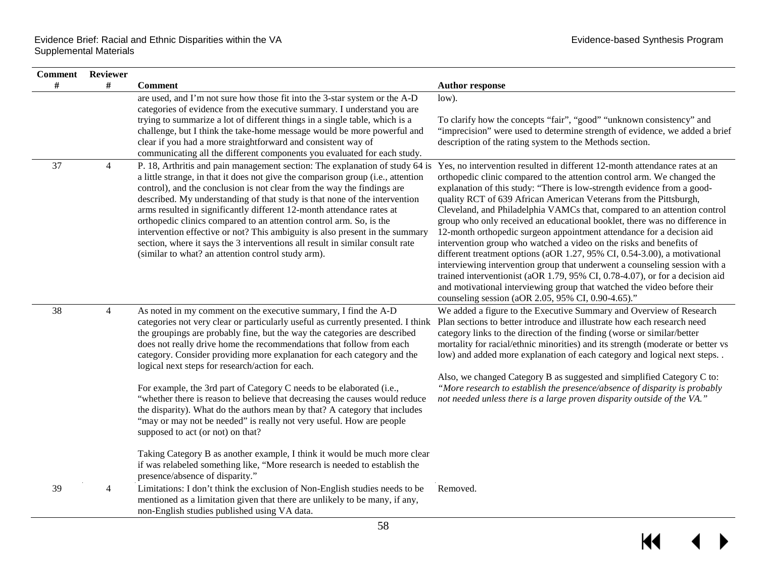| <b>Comment</b> | Reviewer       |                                                                                                                                                                                                                                                                                                                                                                                                                                                                                                                                                                                                                                                                                                                                                                                                                                                                                                                                                                                          |                                                                                                                                                                                                                                                                                                                                                                                                                                                                                                                                                                                                                                                                                                                                                                                                                                                                                                               |
|----------------|----------------|------------------------------------------------------------------------------------------------------------------------------------------------------------------------------------------------------------------------------------------------------------------------------------------------------------------------------------------------------------------------------------------------------------------------------------------------------------------------------------------------------------------------------------------------------------------------------------------------------------------------------------------------------------------------------------------------------------------------------------------------------------------------------------------------------------------------------------------------------------------------------------------------------------------------------------------------------------------------------------------|---------------------------------------------------------------------------------------------------------------------------------------------------------------------------------------------------------------------------------------------------------------------------------------------------------------------------------------------------------------------------------------------------------------------------------------------------------------------------------------------------------------------------------------------------------------------------------------------------------------------------------------------------------------------------------------------------------------------------------------------------------------------------------------------------------------------------------------------------------------------------------------------------------------|
| #              | #              | <b>Comment</b>                                                                                                                                                                                                                                                                                                                                                                                                                                                                                                                                                                                                                                                                                                                                                                                                                                                                                                                                                                           | <b>Author response</b>                                                                                                                                                                                                                                                                                                                                                                                                                                                                                                                                                                                                                                                                                                                                                                                                                                                                                        |
|                |                | are used, and I'm not sure how those fit into the 3-star system or the A-D<br>categories of evidence from the executive summary. I understand you are<br>trying to summarize a lot of different things in a single table, which is a<br>challenge, but I think the take-home message would be more powerful and<br>clear if you had a more straightforward and consistent way of<br>communicating all the different components you evaluated for each study.                                                                                                                                                                                                                                                                                                                                                                                                                                                                                                                             | low).<br>To clarify how the concepts "fair", "good" "unknown consistency" and<br>"imprecision" were used to determine strength of evidence, we added a brief<br>description of the rating system to the Methods section.                                                                                                                                                                                                                                                                                                                                                                                                                                                                                                                                                                                                                                                                                      |
| 37             | $\overline{4}$ | P. 18, Arthritis and pain management section: The explanation of study 64 is Yes, no intervention resulted in different 12-month attendance rates at an<br>a little strange, in that it does not give the comparison group (i.e., attention<br>control), and the conclusion is not clear from the way the findings are<br>described. My understanding of that study is that none of the intervention<br>arms resulted in significantly different 12-month attendance rates at<br>orthopedic clinics compared to an attention control arm. So, is the<br>intervention effective or not? This ambiguity is also present in the summary<br>section, where it says the 3 interventions all result in similar consult rate<br>(similar to what? an attention control study arm).                                                                                                                                                                                                              | orthopedic clinic compared to the attention control arm. We changed the<br>explanation of this study: "There is low-strength evidence from a good-<br>quality RCT of 639 African American Veterans from the Pittsburgh,<br>Cleveland, and Philadelphia VAMCs that, compared to an attention control<br>group who only received an educational booklet, there was no difference in<br>12-month orthopedic surgeon appointment attendance for a decision aid<br>intervention group who watched a video on the risks and benefits of<br>different treatment options (aOR 1.27, 95% CI, 0.54-3.00), a motivational<br>interviewing intervention group that underwent a counseling session with a<br>trained interventionist (aOR 1.79, 95% CI, 0.78-4.07), or for a decision aid<br>and motivational interviewing group that watched the video before their<br>counseling session (aOR 2.05, 95% CI, 0.90-4.65)." |
| 38             | $\overline{4}$ | As noted in my comment on the executive summary, I find the A-D<br>categories not very clear or particularly useful as currently presented. I think<br>the groupings are probably fine, but the way the categories are described<br>does not really drive home the recommendations that follow from each<br>category. Consider providing more explanation for each category and the<br>logical next steps for research/action for each.<br>For example, the 3rd part of Category C needs to be elaborated (i.e.,<br>"whether there is reason to believe that decreasing the causes would reduce<br>the disparity). What do the authors mean by that? A category that includes<br>"may or may not be needed" is really not very useful. How are people<br>supposed to act (or not) on that?<br>Taking Category B as another example, I think it would be much more clear<br>if was relabeled something like, "More research is needed to establish the<br>presence/absence of disparity." | We added a figure to the Executive Summary and Overview of Research<br>Plan sections to better introduce and illustrate how each research need<br>category links to the direction of the finding (worse or similar/better<br>mortality for racial/ethnic minorities) and its strength (moderate or better vs<br>low) and added more explanation of each category and logical next steps. .<br>Also, we changed Category B as suggested and simplified Category C to:<br>"More research to establish the presence/absence of disparity is probably<br>not needed unless there is a large proven disparity outside of the VA."                                                                                                                                                                                                                                                                                  |
| 39             | $\overline{4}$ | Limitations: I don't think the exclusion of Non-English studies needs to be<br>mentioned as a limitation given that there are unlikely to be many, if any,<br>non-English studies published using VA data.                                                                                                                                                                                                                                                                                                                                                                                                                                                                                                                                                                                                                                                                                                                                                                               | Removed.                                                                                                                                                                                                                                                                                                                                                                                                                                                                                                                                                                                                                                                                                                                                                                                                                                                                                                      |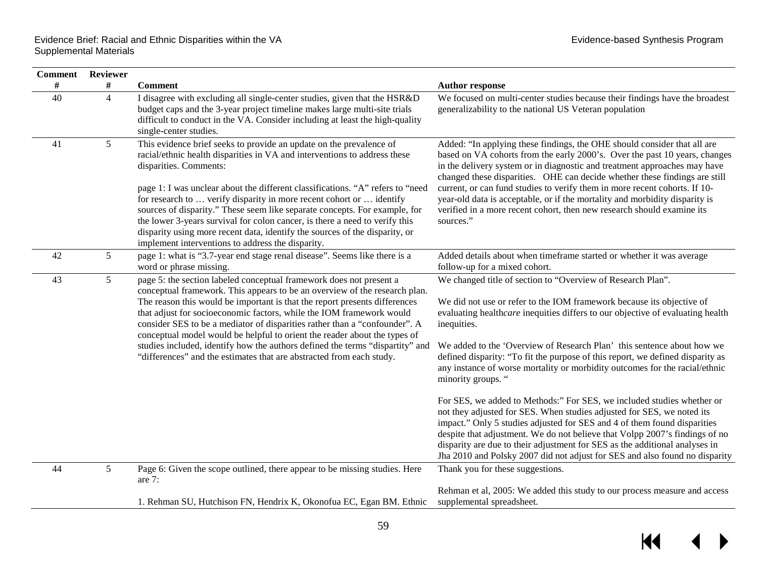$\overline{\mathbf{M}}$ 

| Comment | <b>Reviewer</b> |                                                                                                                                                                                                                                                                                                                                                                                                                                                                                                                                                                                                                                       |                                                                                                                                                                                                                                                                                                                                                                                                                                                                                                                                                                                                                                                                                                                                                                                                                                                                                                                                                                                     |
|---------|-----------------|---------------------------------------------------------------------------------------------------------------------------------------------------------------------------------------------------------------------------------------------------------------------------------------------------------------------------------------------------------------------------------------------------------------------------------------------------------------------------------------------------------------------------------------------------------------------------------------------------------------------------------------|-------------------------------------------------------------------------------------------------------------------------------------------------------------------------------------------------------------------------------------------------------------------------------------------------------------------------------------------------------------------------------------------------------------------------------------------------------------------------------------------------------------------------------------------------------------------------------------------------------------------------------------------------------------------------------------------------------------------------------------------------------------------------------------------------------------------------------------------------------------------------------------------------------------------------------------------------------------------------------------|
| $\#$    | #               | <b>Comment</b>                                                                                                                                                                                                                                                                                                                                                                                                                                                                                                                                                                                                                        | <b>Author response</b>                                                                                                                                                                                                                                                                                                                                                                                                                                                                                                                                                                                                                                                                                                                                                                                                                                                                                                                                                              |
| 40      | $\overline{4}$  | I disagree with excluding all single-center studies, given that the HSR&D<br>budget caps and the 3-year project timeline makes large multi-site trials<br>difficult to conduct in the VA. Consider including at least the high-quality<br>single-center studies.                                                                                                                                                                                                                                                                                                                                                                      | We focused on multi-center studies because their findings have the broadest<br>generalizability to the national US Veteran population                                                                                                                                                                                                                                                                                                                                                                                                                                                                                                                                                                                                                                                                                                                                                                                                                                               |
| 41      | 5               | This evidence brief seeks to provide an update on the prevalence of<br>racial/ethnic health disparities in VA and interventions to address these<br>disparities. Comments:<br>page 1: I was unclear about the different classifications. "A" refers to "need<br>for research to  verify disparity in more recent cohort or  identify<br>sources of disparity." These seem like separate concepts. For example, for<br>the lower 3-years survival for colon cancer, is there a need to verify this<br>disparity using more recent data, identify the sources of the disparity, or<br>implement interventions to address the disparity. | Added: "In applying these findings, the OHE should consider that all are<br>based on VA cohorts from the early 2000's. Over the past 10 years, changes<br>in the delivery system or in diagnostic and treatment approaches may have<br>changed these disparities. OHE can decide whether these findings are still<br>current, or can fund studies to verify them in more recent cohorts. If 10-<br>year-old data is acceptable, or if the mortality and morbidity disparity is<br>verified in a more recent cohort, then new research should examine its<br>sources."                                                                                                                                                                                                                                                                                                                                                                                                               |
| 42      | 5               | page 1: what is "3.7-year end stage renal disease". Seems like there is a<br>word or phrase missing.                                                                                                                                                                                                                                                                                                                                                                                                                                                                                                                                  | Added details about when timeframe started or whether it was average<br>follow-up for a mixed cohort.                                                                                                                                                                                                                                                                                                                                                                                                                                                                                                                                                                                                                                                                                                                                                                                                                                                                               |
| 43      | 5               | page 5: the section labeled conceptual framework does not present a<br>conceptual framework. This appears to be an overview of the research plan.<br>The reason this would be important is that the report presents differences<br>that adjust for socioeconomic factors, while the IOM framework would<br>consider SES to be a mediator of disparities rather than a "confounder". A<br>conceptual model would be helpful to orient the reader about the types of<br>studies included, identify how the authors defined the terms "dispartity" and<br>"differences" and the estimates that are abstracted from each study.           | We changed title of section to "Overview of Research Plan".<br>We did not use or refer to the IOM framework because its objective of<br>evaluating healthcare inequities differs to our objective of evaluating health<br>inequities.<br>We added to the 'Overview of Research Plan' this sentence about how we<br>defined disparity: "To fit the purpose of this report, we defined disparity as<br>any instance of worse mortality or morbidity outcomes for the racial/ethnic<br>minority groups. "<br>For SES, we added to Methods:" For SES, we included studies whether or<br>not they adjusted for SES. When studies adjusted for SES, we noted its<br>impact." Only 5 studies adjusted for SES and 4 of them found disparities<br>despite that adjustment. We do not believe that Volpp 2007's findings of no<br>disparity are due to their adjustment for SES as the additional analyses in<br>Jha 2010 and Polsky 2007 did not adjust for SES and also found no disparity |
| 44      | 5               | Page 6: Given the scope outlined, there appear to be missing studies. Here<br>are 7:                                                                                                                                                                                                                                                                                                                                                                                                                                                                                                                                                  | Thank you for these suggestions.                                                                                                                                                                                                                                                                                                                                                                                                                                                                                                                                                                                                                                                                                                                                                                                                                                                                                                                                                    |
|         |                 | 1. Rehman SU, Hutchison FN, Hendrix K, Okonofua EC, Egan BM. Ethnic                                                                                                                                                                                                                                                                                                                                                                                                                                                                                                                                                                   | Rehman et al, 2005: We added this study to our process measure and access<br>supplemental spreadsheet.                                                                                                                                                                                                                                                                                                                                                                                                                                                                                                                                                                                                                                                                                                                                                                                                                                                                              |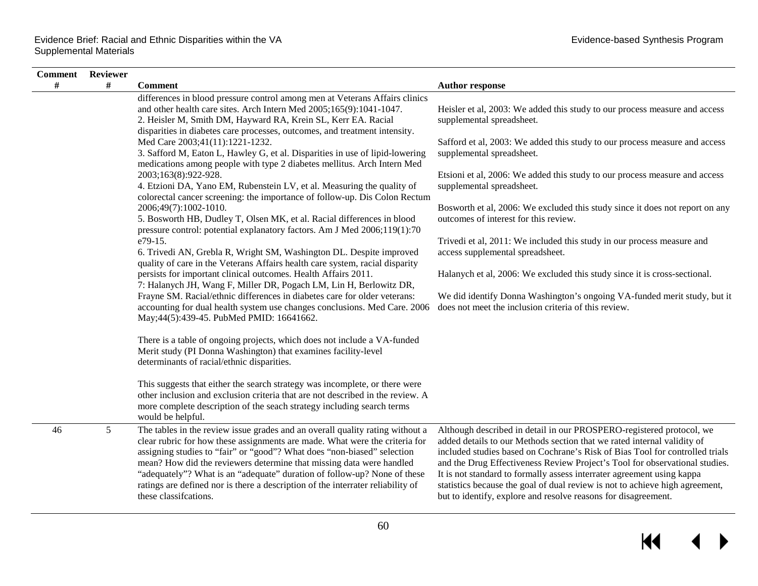| <b>Comment</b> Reviewer |   |                                                                                                                                                                                                                                                                                                                                                                                                                                                                                                          |                                                                                                                                                                                                                                                                                                                                                                                                                                                                                                                                            |
|-------------------------|---|----------------------------------------------------------------------------------------------------------------------------------------------------------------------------------------------------------------------------------------------------------------------------------------------------------------------------------------------------------------------------------------------------------------------------------------------------------------------------------------------------------|--------------------------------------------------------------------------------------------------------------------------------------------------------------------------------------------------------------------------------------------------------------------------------------------------------------------------------------------------------------------------------------------------------------------------------------------------------------------------------------------------------------------------------------------|
| $\#$                    | # | <b>Comment</b>                                                                                                                                                                                                                                                                                                                                                                                                                                                                                           | <b>Author response</b>                                                                                                                                                                                                                                                                                                                                                                                                                                                                                                                     |
|                         |   | differences in blood pressure control among men at Veterans Affairs clinics<br>and other health care sites. Arch Intern Med 2005;165(9):1041-1047.<br>2. Heisler M, Smith DM, Hayward RA, Krein SL, Kerr EA. Racial<br>disparities in diabetes care processes, outcomes, and treatment intensity.                                                                                                                                                                                                        | Heisler et al, 2003: We added this study to our process measure and access<br>supplemental spreadsheet.                                                                                                                                                                                                                                                                                                                                                                                                                                    |
|                         |   | Med Care 2003;41(11):1221-1232.<br>3. Safford M, Eaton L, Hawley G, et al. Disparities in use of lipid-lowering<br>medications among people with type 2 diabetes mellitus. Arch Intern Med                                                                                                                                                                                                                                                                                                               | Safford et al, 2003: We added this study to our process measure and access<br>supplemental spreadsheet.                                                                                                                                                                                                                                                                                                                                                                                                                                    |
|                         |   | 2003;163(8):922-928.<br>4. Etzioni DA, Yano EM, Rubenstein LV, et al. Measuring the quality of<br>colorectal cancer screening: the importance of follow-up. Dis Colon Rectum                                                                                                                                                                                                                                                                                                                             | Etsioni et al, 2006: We added this study to our process measure and access<br>supplemental spreadsheet.                                                                                                                                                                                                                                                                                                                                                                                                                                    |
|                         |   | 2006;49(7):1002-1010.<br>5. Bosworth HB, Dudley T, Olsen MK, et al. Racial differences in blood<br>pressure control: potential explanatory factors. Am J Med 2006;119(1):70                                                                                                                                                                                                                                                                                                                              | Bosworth et al, 2006: We excluded this study since it does not report on any<br>outcomes of interest for this review.                                                                                                                                                                                                                                                                                                                                                                                                                      |
|                         |   | e79-15.<br>6. Trivedi AN, Grebla R, Wright SM, Washington DL. Despite improved<br>quality of care in the Veterans Affairs health care system, racial disparity                                                                                                                                                                                                                                                                                                                                           | Trivedi et al, 2011: We included this study in our process measure and<br>access supplemental spreadsheet.                                                                                                                                                                                                                                                                                                                                                                                                                                 |
|                         |   | persists for important clinical outcomes. Health Affairs 2011.<br>7: Halanych JH, Wang F, Miller DR, Pogach LM, Lin H, Berlowitz DR,<br>Frayne SM. Racial/ethnic differences in diabetes care for older veterans:                                                                                                                                                                                                                                                                                        | Halanych et al, 2006: We excluded this study since it is cross-sectional.<br>We did identify Donna Washington's ongoing VA-funded merit study, but it                                                                                                                                                                                                                                                                                                                                                                                      |
|                         |   | accounting for dual health system use changes conclusions. Med Care. 2006<br>May; 44(5): 439-45. PubMed PMID: 16641662.                                                                                                                                                                                                                                                                                                                                                                                  | does not meet the inclusion criteria of this review.                                                                                                                                                                                                                                                                                                                                                                                                                                                                                       |
|                         |   | There is a table of ongoing projects, which does not include a VA-funded<br>Merit study (PI Donna Washington) that examines facility-level<br>determinants of racial/ethnic disparities.                                                                                                                                                                                                                                                                                                                 |                                                                                                                                                                                                                                                                                                                                                                                                                                                                                                                                            |
|                         |   | This suggests that either the search strategy was incomplete, or there were<br>other inclusion and exclusion criteria that are not described in the review. A<br>more complete description of the seach strategy including search terms<br>would be helpful.                                                                                                                                                                                                                                             |                                                                                                                                                                                                                                                                                                                                                                                                                                                                                                                                            |
| 46                      | 5 | The tables in the review issue grades and an overall quality rating without a<br>clear rubric for how these assignments are made. What were the criteria for<br>assigning studies to "fair" or "good"? What does "non-biased" selection<br>mean? How did the reviewers determine that missing data were handled<br>"adequately"? What is an "adequate" duration of follow-up? None of these<br>ratings are defined nor is there a description of the interrater reliability of<br>these classifications. | Although described in detail in our PROSPERO-registered protocol, we<br>added details to our Methods section that we rated internal validity of<br>included studies based on Cochrane's Risk of Bias Tool for controlled trials<br>and the Drug Effectiveness Review Project's Tool for observational studies.<br>It is not standard to formally assess interrater agreement using kappa<br>statistics because the goal of dual review is not to achieve high agreement,<br>but to identify, explore and resolve reasons for disagreement. |

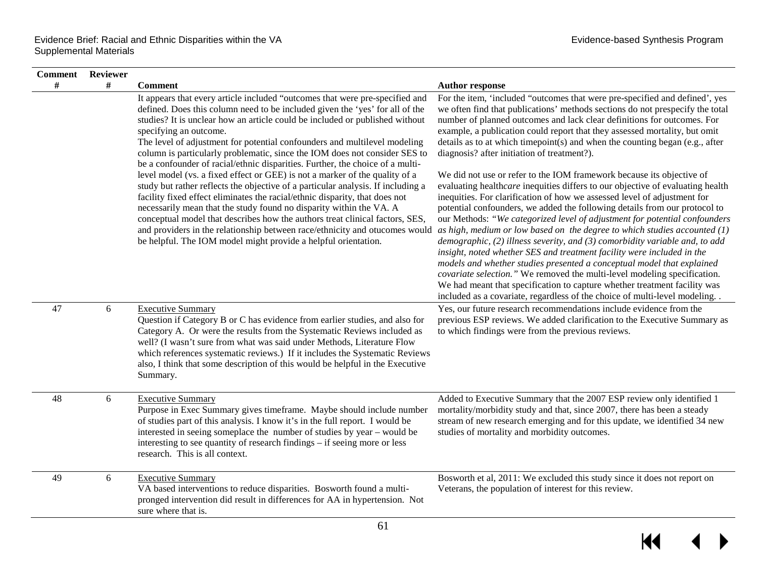| <b>Comment</b> | Reviewer |                                                                                                                                                                                                                                                                                                                                                                                                                                                                                                                                                                                                   |                                                                                                                                                                                                                                                                                                                                                                                                                                                                                                                                                                                                                                                                                                                                                                                                                                                                                       |
|----------------|----------|---------------------------------------------------------------------------------------------------------------------------------------------------------------------------------------------------------------------------------------------------------------------------------------------------------------------------------------------------------------------------------------------------------------------------------------------------------------------------------------------------------------------------------------------------------------------------------------------------|---------------------------------------------------------------------------------------------------------------------------------------------------------------------------------------------------------------------------------------------------------------------------------------------------------------------------------------------------------------------------------------------------------------------------------------------------------------------------------------------------------------------------------------------------------------------------------------------------------------------------------------------------------------------------------------------------------------------------------------------------------------------------------------------------------------------------------------------------------------------------------------|
| #              | #        | <b>Comment</b>                                                                                                                                                                                                                                                                                                                                                                                                                                                                                                                                                                                    | <b>Author response</b>                                                                                                                                                                                                                                                                                                                                                                                                                                                                                                                                                                                                                                                                                                                                                                                                                                                                |
|                |          | It appears that every article included "outcomes that were pre-specified and<br>defined. Does this column need to be included given the 'yes' for all of the<br>studies? It is unclear how an article could be included or published without<br>specifying an outcome.<br>The level of adjustment for potential confounders and multilevel modeling<br>column is particularly problematic, since the IOM does not consider SES to<br>be a confounder of racial/ethnic disparities. Further, the choice of a multi-<br>level model (vs. a fixed effect or GEE) is not a marker of the quality of a | For the item, 'included "outcomes that were pre-specified and defined', yes<br>we often find that publications' methods sections do not prespecify the total<br>number of planned outcomes and lack clear definitions for outcomes. For<br>example, a publication could report that they assessed mortality, but omit<br>details as to at which timepoint(s) and when the counting began (e.g., after<br>diagnosis? after initiation of treatment?).<br>We did not use or refer to the IOM framework because its objective of                                                                                                                                                                                                                                                                                                                                                         |
|                |          | study but rather reflects the objective of a particular analysis. If including a<br>facility fixed effect eliminates the racial/ethnic disparity, that does not<br>necessarily mean that the study found no disparity within the VA. A<br>conceptual model that describes how the authors treat clinical factors, SES,<br>and providers in the relationship between race/ethnicity and otucomes would<br>be helpful. The IOM model might provide a helpful orientation.                                                                                                                           | evaluating healthcare inequities differs to our objective of evaluating health<br>inequities. For clarification of how we assessed level of adjustment for<br>potential confounders, we added the following details from our protocol to<br>our Methods: "We categorized level of adjustment for potential confounders<br>as high, medium or low based on the degree to which studies accounted $(1)$<br>demographic, $(2)$ illness severity, and $(3)$ comorbidity variable and, to add<br>insight, noted whether SES and treatment facility were included in the<br>models and whether studies presented a conceptual model that explained<br>covariate selection." We removed the multi-level modeling specification.<br>We had meant that specification to capture whether treatment facility was<br>included as a covariate, regardless of the choice of multi-level modeling. . |
| 47             | 6        | <b>Executive Summary</b><br>Question if Category B or C has evidence from earlier studies, and also for<br>Category A. Or were the results from the Systematic Reviews included as<br>well? (I wasn't sure from what was said under Methods, Literature Flow<br>which references systematic reviews.) If it includes the Systematic Reviews<br>also, I think that some description of this would be helpful in the Executive<br>Summary.                                                                                                                                                          | Yes, our future research recommendations include evidence from the<br>previous ESP reviews. We added clarification to the Executive Summary as<br>to which findings were from the previous reviews.                                                                                                                                                                                                                                                                                                                                                                                                                                                                                                                                                                                                                                                                                   |
| 48             | 6        | <b>Executive Summary</b><br>Purpose in Exec Summary gives timeframe. Maybe should include number<br>of studies part of this analysis. I know it's in the full report. I would be<br>interested in seeing someplace the number of studies by year – would be<br>interesting to see quantity of research findings – if seeing more or less<br>research. This is all context.                                                                                                                                                                                                                        | Added to Executive Summary that the 2007 ESP review only identified 1<br>mortality/morbidity study and that, since 2007, there has been a steady<br>stream of new research emerging and for this update, we identified 34 new<br>studies of mortality and morbidity outcomes.                                                                                                                                                                                                                                                                                                                                                                                                                                                                                                                                                                                                         |
| 49             | 6        | <b>Executive Summary</b><br>VA based interventions to reduce disparities. Bosworth found a multi-<br>pronged intervention did result in differences for AA in hypertension. Not<br>sure where that is.                                                                                                                                                                                                                                                                                                                                                                                            | Bosworth et al, 2011: We excluded this study since it does not report on<br>Veterans, the population of interest for this review.                                                                                                                                                                                                                                                                                                                                                                                                                                                                                                                                                                                                                                                                                                                                                     |

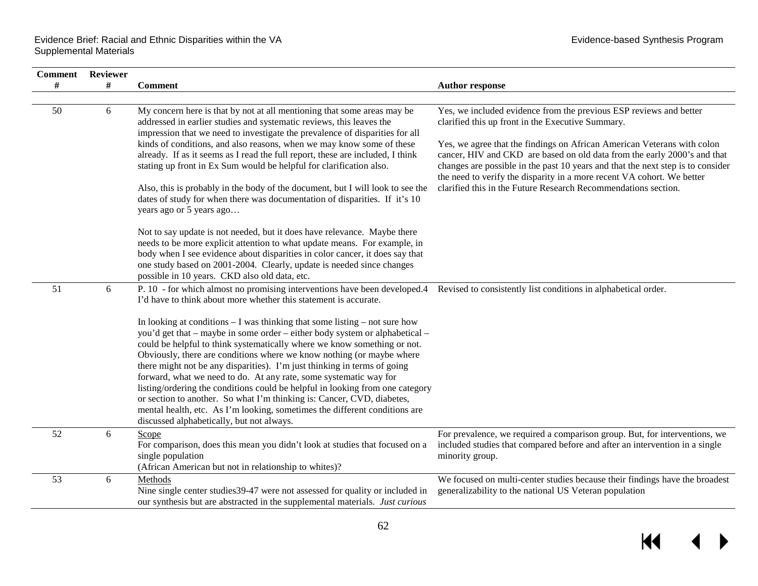| <b>Comment</b> | Reviewer |                                                                                                                                                                                                                                                                                                                                                                                                                                                                                                                                                                                                                                                                                                                                                          |                                                                                                                                                                                                                                        |
|----------------|----------|----------------------------------------------------------------------------------------------------------------------------------------------------------------------------------------------------------------------------------------------------------------------------------------------------------------------------------------------------------------------------------------------------------------------------------------------------------------------------------------------------------------------------------------------------------------------------------------------------------------------------------------------------------------------------------------------------------------------------------------------------------|----------------------------------------------------------------------------------------------------------------------------------------------------------------------------------------------------------------------------------------|
| #              | #        | <b>Comment</b>                                                                                                                                                                                                                                                                                                                                                                                                                                                                                                                                                                                                                                                                                                                                           | <b>Author response</b>                                                                                                                                                                                                                 |
| 50             | 6        | My concern here is that by not at all mentioning that some areas may be<br>addressed in earlier studies and systematic reviews, this leaves the<br>impression that we need to investigate the prevalence of disparities for all                                                                                                                                                                                                                                                                                                                                                                                                                                                                                                                          | Yes, we included evidence from the previous ESP reviews and better<br>clarified this up front in the Executive Summary.                                                                                                                |
|                |          | kinds of conditions, and also reasons, when we may know some of these<br>already. If as it seems as I read the full report, these are included, I think<br>stating up front in Ex Sum would be helpful for clarification also.                                                                                                                                                                                                                                                                                                                                                                                                                                                                                                                           | Yes, we agree that the findings on African American Veterans with colon<br>cancer, HIV and CKD are based on old data from the early 2000's and that<br>changes are possible in the past 10 years and that the next step is to consider |
|                |          | Also, this is probably in the body of the document, but I will look to see the<br>dates of study for when there was documentation of disparities. If it's 10<br>years ago or 5 years ago                                                                                                                                                                                                                                                                                                                                                                                                                                                                                                                                                                 | the need to verify the disparity in a more recent VA cohort. We better<br>clarified this in the Future Research Recommendations section.                                                                                               |
|                |          | Not to say update is not needed, but it does have relevance. Maybe there<br>needs to be more explicit attention to what update means. For example, in<br>body when I see evidence about disparities in color cancer, it does say that<br>one study based on 2001-2004. Clearly, update is needed since changes<br>possible in 10 years. CKD also old data, etc.                                                                                                                                                                                                                                                                                                                                                                                          |                                                                                                                                                                                                                                        |
| 51             | 6        | P. 10 - for which almost no promising interventions have been developed.4 Revised to consistently list conditions in alphabetical order.<br>I'd have to think about more whether this statement is accurate.                                                                                                                                                                                                                                                                                                                                                                                                                                                                                                                                             |                                                                                                                                                                                                                                        |
|                |          | In looking at conditions $-1$ was thinking that some listing $-$ not sure how<br>you'd get that – maybe in some order – either body system or alphabetical –<br>could be helpful to think systematically where we know something or not.<br>Obviously, there are conditions where we know nothing (or maybe where<br>there might not be any disparities). I'm just thinking in terms of going<br>forward, what we need to do. At any rate, some systematic way for<br>listing/ordering the conditions could be helpful in looking from one category<br>or section to another. So what I'm thinking is: Cancer, CVD, diabetes,<br>mental health, etc. As I'm looking, sometimes the different conditions are<br>discussed alphabetically, but not always. |                                                                                                                                                                                                                                        |
| 52             | 6        | Scope<br>For comparison, does this mean you didn't look at studies that focused on a<br>single population<br>(African American but not in relationship to whites)?                                                                                                                                                                                                                                                                                                                                                                                                                                                                                                                                                                                       | For prevalence, we required a comparison group. But, for interventions, we<br>included studies that compared before and after an intervention in a single<br>minority group.                                                           |
| 53             | 6        | Methods<br>Nine single center studies 39-47 were not assessed for quality or included in<br>our synthesis but are abstracted in the supplemental materials. Just curious                                                                                                                                                                                                                                                                                                                                                                                                                                                                                                                                                                                 | We focused on multi-center studies because their findings have the broadest<br>generalizability to the national US Veteran population                                                                                                  |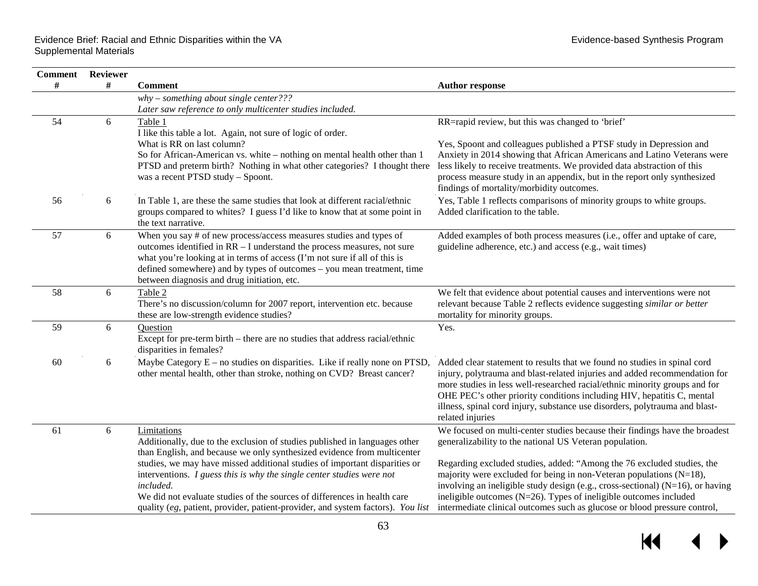| <b>Comment</b> | Reviewer |                                                                                                                                                                                                                                                                                                                                                                                                                                                                                                           |                                                                                                                                                                                                                                                                                                                                                                                                                                                                                                                                    |
|----------------|----------|-----------------------------------------------------------------------------------------------------------------------------------------------------------------------------------------------------------------------------------------------------------------------------------------------------------------------------------------------------------------------------------------------------------------------------------------------------------------------------------------------------------|------------------------------------------------------------------------------------------------------------------------------------------------------------------------------------------------------------------------------------------------------------------------------------------------------------------------------------------------------------------------------------------------------------------------------------------------------------------------------------------------------------------------------------|
| #              | #        | <b>Comment</b>                                                                                                                                                                                                                                                                                                                                                                                                                                                                                            | <b>Author response</b>                                                                                                                                                                                                                                                                                                                                                                                                                                                                                                             |
|                |          | $why - something about single center?$ ?<br>Later saw reference to only multicenter studies included.                                                                                                                                                                                                                                                                                                                                                                                                     |                                                                                                                                                                                                                                                                                                                                                                                                                                                                                                                                    |
| 54             | 6        | Table 1<br>I like this table a lot. Again, not sure of logic of order.<br>What is RR on last column?<br>So for African-American vs. white – nothing on mental health other than 1<br>PTSD and preterm birth? Nothing in what other categories? I thought there<br>was a recent PTSD study - Spoont.                                                                                                                                                                                                       | RR=rapid review, but this was changed to 'brief'<br>Yes, Spoont and colleagues published a PTSF study in Depression and<br>Anxiety in 2014 showing that African Americans and Latino Veterans were<br>less likely to receive treatments. We provided data abstraction of this<br>process measure study in an appendix, but in the report only synthesized<br>findings of mortality/morbidity outcomes.                                                                                                                             |
| 56             | 6        | In Table 1, are these the same studies that look at different racial/ethnic<br>groups compared to whites? I guess I'd like to know that at some point in<br>the text narrative.                                                                                                                                                                                                                                                                                                                           | Yes, Table 1 reflects comparisons of minority groups to white groups.<br>Added clarification to the table.                                                                                                                                                                                                                                                                                                                                                                                                                         |
| 57             | 6        | When you say # of new process/access measures studies and types of<br>outcomes identified in RR - I understand the process measures, not sure<br>what you're looking at in terms of access (I'm not sure if all of this is<br>defined somewhere) and by types of outcomes - you mean treatment, time<br>between diagnosis and drug initiation, etc.                                                                                                                                                       | Added examples of both process measures (i.e., offer and uptake of care,<br>guideline adherence, etc.) and access (e.g., wait times)                                                                                                                                                                                                                                                                                                                                                                                               |
| 58             | 6        | Table 2<br>There's no discussion/column for 2007 report, intervention etc. because<br>these are low-strength evidence studies?                                                                                                                                                                                                                                                                                                                                                                            | We felt that evidence about potential causes and interventions were not<br>relevant because Table 2 reflects evidence suggesting similar or better<br>mortality for minority groups.                                                                                                                                                                                                                                                                                                                                               |
| 59             | 6        | Question<br>Except for pre-term birth – there are no studies that address racial/ethnic<br>disparities in females?                                                                                                                                                                                                                                                                                                                                                                                        | Yes.                                                                                                                                                                                                                                                                                                                                                                                                                                                                                                                               |
| 60             | 6        | Maybe Category $E$ – no studies on disparities. Like if really none on PTSD,<br>other mental health, other than stroke, nothing on CVD? Breast cancer?                                                                                                                                                                                                                                                                                                                                                    | Added clear statement to results that we found no studies in spinal cord<br>injury, polytrauma and blast-related injuries and added recommendation for<br>more studies in less well-researched racial/ethnic minority groups and for<br>OHE PEC's other priority conditions including HIV, hepatitis C, mental<br>illness, spinal cord injury, substance use disorders, polytrauma and blast-<br>related injuries                                                                                                                  |
| 61             | 6        | Limitations<br>Additionally, due to the exclusion of studies published in languages other<br>than English, and because we only synthesized evidence from multicenter<br>studies, we may have missed additional studies of important disparities or<br>interventions. $I$ guess this is why the single center studies were not<br>included.<br>We did not evaluate studies of the sources of differences in health care<br>quality (eg, patient, provider, patient-provider, and system factors). You list | We focused on multi-center studies because their findings have the broadest<br>generalizability to the national US Veteran population.<br>Regarding excluded studies, added: "Among the 76 excluded studies, the<br>majority were excluded for being in non-Veteran populations $(N=18)$ ,<br>involving an ineligible study design (e.g., cross-sectional) (N=16), or having<br>ineligible outcomes ( $N=26$ ). Types of ineligible outcomes included<br>intermediate clinical outcomes such as glucose or blood pressure control, |

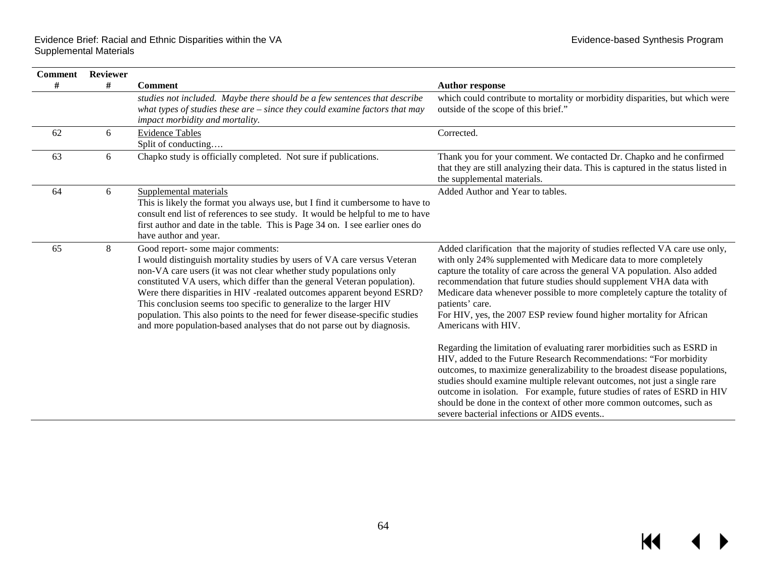| <b>Comment</b> | <b>Reviewer</b> |                                                                                                                                                                                                                                                                                                                                                                                                                                                                                                                                                                          |                                                                                                                                                                                                                                                                                                                                                                                                                                                                                                                                                                                                                                                                                                                                                                                                                                                                                                                                                                                                                     |
|----------------|-----------------|--------------------------------------------------------------------------------------------------------------------------------------------------------------------------------------------------------------------------------------------------------------------------------------------------------------------------------------------------------------------------------------------------------------------------------------------------------------------------------------------------------------------------------------------------------------------------|---------------------------------------------------------------------------------------------------------------------------------------------------------------------------------------------------------------------------------------------------------------------------------------------------------------------------------------------------------------------------------------------------------------------------------------------------------------------------------------------------------------------------------------------------------------------------------------------------------------------------------------------------------------------------------------------------------------------------------------------------------------------------------------------------------------------------------------------------------------------------------------------------------------------------------------------------------------------------------------------------------------------|
| #              | #               | <b>Comment</b>                                                                                                                                                                                                                                                                                                                                                                                                                                                                                                                                                           | <b>Author response</b>                                                                                                                                                                                                                                                                                                                                                                                                                                                                                                                                                                                                                                                                                                                                                                                                                                                                                                                                                                                              |
|                |                 | studies not included. Maybe there should be a few sentences that describe<br>what types of studies these are $-$ since they could examine factors that may<br><i>impact morbidity and mortality.</i>                                                                                                                                                                                                                                                                                                                                                                     | which could contribute to mortality or morbidity disparities, but which were<br>outside of the scope of this brief."                                                                                                                                                                                                                                                                                                                                                                                                                                                                                                                                                                                                                                                                                                                                                                                                                                                                                                |
| 62             | 6               | <b>Evidence Tables</b><br>Split of conducting                                                                                                                                                                                                                                                                                                                                                                                                                                                                                                                            | Corrected.                                                                                                                                                                                                                                                                                                                                                                                                                                                                                                                                                                                                                                                                                                                                                                                                                                                                                                                                                                                                          |
| 63             | 6               | Chapko study is officially completed. Not sure if publications.                                                                                                                                                                                                                                                                                                                                                                                                                                                                                                          | Thank you for your comment. We contacted Dr. Chapko and he confirmed<br>that they are still analyzing their data. This is captured in the status listed in<br>the supplemental materials.                                                                                                                                                                                                                                                                                                                                                                                                                                                                                                                                                                                                                                                                                                                                                                                                                           |
| 64             | 6               | Supplemental materials<br>This is likely the format you always use, but I find it cumbersome to have to<br>consult end list of references to see study. It would be helpful to me to have<br>first author and date in the table. This is Page 34 on. I see earlier ones do<br>have author and year.                                                                                                                                                                                                                                                                      | Added Author and Year to tables.                                                                                                                                                                                                                                                                                                                                                                                                                                                                                                                                                                                                                                                                                                                                                                                                                                                                                                                                                                                    |
| 65             | 8               | Good report- some major comments:<br>I would distinguish mortality studies by users of VA care versus Veteran<br>non-VA care users (it was not clear whether study populations only<br>constituted VA users, which differ than the general Veteran population).<br>Were there disparities in HIV -realated outcomes apparent beyond ESRD?<br>This conclusion seems too specific to generalize to the larger HIV<br>population. This also points to the need for fewer disease-specific studies<br>and more population-based analyses that do not parse out by diagnosis. | Added clarification that the majority of studies reflected VA care use only,<br>with only 24% supplemented with Medicare data to more completely<br>capture the totality of care across the general VA population. Also added<br>recommendation that future studies should supplement VHA data with<br>Medicare data whenever possible to more completely capture the totality of<br>patients' care.<br>For HIV, yes, the 2007 ESP review found higher mortality for African<br>Americans with HIV.<br>Regarding the limitation of evaluating rarer morbidities such as ESRD in<br>HIV, added to the Future Research Recommendations: "For morbidity<br>outcomes, to maximize generalizability to the broadest disease populations,<br>studies should examine multiple relevant outcomes, not just a single rare<br>outcome in isolation. For example, future studies of rates of ESRD in HIV<br>should be done in the context of other more common outcomes, such as<br>severe bacterial infections or AIDS events |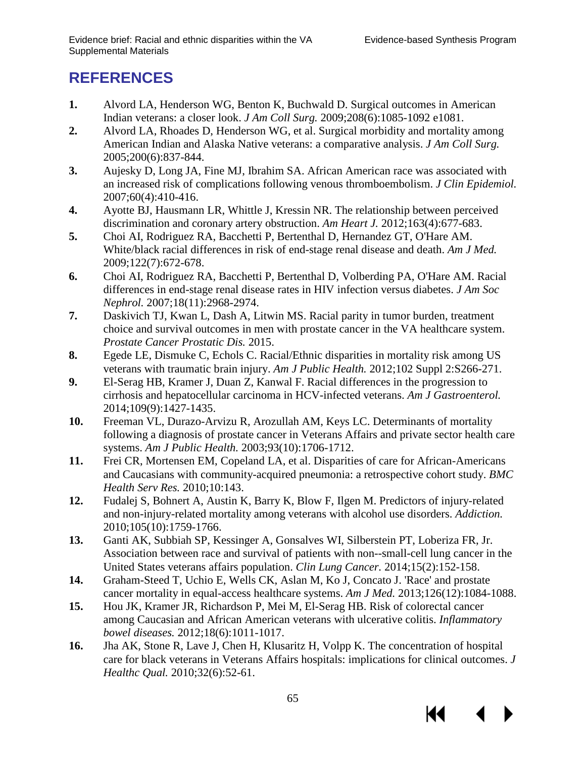KI

# <span id="page-66-5"></span><span id="page-66-4"></span><span id="page-66-3"></span><span id="page-66-2"></span><span id="page-66-1"></span><span id="page-66-0"></span>**REFERENCES**

- <span id="page-66-6"></span>**1.** Alvord LA, Henderson WG, Benton K, Buchwald D. Surgical outcomes in American Indian veterans: a closer look. *J Am Coll Surg.* 2009;208(6):1085-1092 e1081.
- <span id="page-66-7"></span>**2.** Alvord LA, Rhoades D, Henderson WG, et al. Surgical morbidity and mortality among American Indian and Alaska Native veterans: a comparative analysis. *J Am Coll Surg.*  2005;200(6):837-844.
- <span id="page-66-8"></span>**3.** Aujesky D, Long JA, Fine MJ, Ibrahim SA. African American race was associated with an increased risk of complications following venous thromboembolism. *J Clin Epidemiol.*  2007;60(4):410-416.
- <span id="page-66-9"></span>**4.** Ayotte BJ, Hausmann LR, Whittle J, Kressin NR. The relationship between perceived discrimination and coronary artery obstruction. *Am Heart J.* 2012;163(4):677-683.
- <span id="page-66-10"></span>**5.** Choi AI, Rodriguez RA, Bacchetti P, Bertenthal D, Hernandez GT, O'Hare AM. White/black racial differences in risk of end-stage renal disease and death. *Am J Med.*  2009;122(7):672-678.
- <span id="page-66-11"></span>**6.** Choi AI, Rodriguez RA, Bacchetti P, Bertenthal D, Volberding PA, O'Hare AM. Racial differences in end-stage renal disease rates in HIV infection versus diabetes. *J Am Soc Nephrol.* 2007;18(11):2968-2974.
- <span id="page-66-12"></span>**7.** Daskivich TJ, Kwan L, Dash A, Litwin MS. Racial parity in tumor burden, treatment choice and survival outcomes in men with prostate cancer in the VA healthcare system. *Prostate Cancer Prostatic Dis.* 2015.
- <span id="page-66-13"></span>**8.** Egede LE, Dismuke C, Echols C. Racial/Ethnic disparities in mortality risk among US veterans with traumatic brain injury. *Am J Public Health.* 2012;102 Suppl 2:S266-271.
- **9.** El-Serag HB, Kramer J, Duan Z, Kanwal F. Racial differences in the progression to cirrhosis and hepatocellular carcinoma in HCV-infected veterans. *Am J Gastroenterol.*  2014;109(9):1427-1435.
- <span id="page-66-15"></span><span id="page-66-14"></span>**10.** Freeman VL, Durazo-Arvizu R, Arozullah AM, Keys LC. Determinants of mortality following a diagnosis of prostate cancer in Veterans Affairs and private sector health care systems. *Am J Public Health.* 2003;93(10):1706-1712.
- <span id="page-66-16"></span>**11.** Frei CR, Mortensen EM, Copeland LA, et al. Disparities of care for African-Americans and Caucasians with community-acquired pneumonia: a retrospective cohort study. *BMC Health Serv Res.* 2010;10:143.
- **12.** Fudalej S, Bohnert A, Austin K, Barry K, Blow F, Ilgen M. Predictors of injury-related and non-injury-related mortality among veterans with alcohol use disorders. *Addiction.*  2010;105(10):1759-1766.
- **13.** Ganti AK, Subbiah SP, Kessinger A, Gonsalves WI, Silberstein PT, Loberiza FR, Jr. Association between race and survival of patients with non--small-cell lung cancer in the United States veterans affairs population. *Clin Lung Cancer.* 2014;15(2):152-158.
- **14.** Graham-Steed T, Uchio E, Wells CK, Aslan M, Ko J, Concato J. 'Race' and prostate cancer mortality in equal-access healthcare systems. *Am J Med.* 2013;126(12):1084-1088.
- **15.** Hou JK, Kramer JR, Richardson P, Mei M, El-Serag HB. Risk of colorectal cancer among Caucasian and African American veterans with ulcerative colitis. *Inflammatory bowel diseases.* 2012;18(6):1011-1017.
- **16.** Jha AK, Stone R, Lave J, Chen H, Klusaritz H, Volpp K. The concentration of hospital care for black veterans in Veterans Affairs hospitals: implications for clinical outcomes. *J Healthc Qual.* 2010;32(6):52-61.

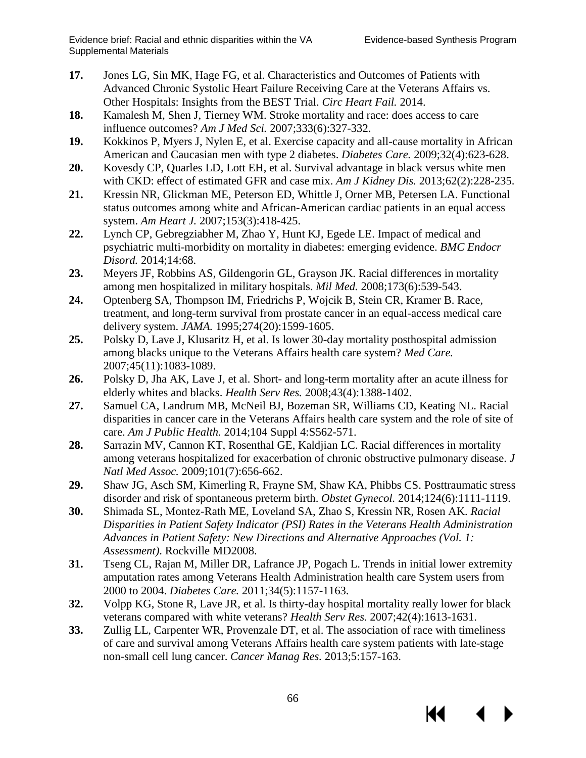К

- <span id="page-67-5"></span><span id="page-67-4"></span><span id="page-67-3"></span><span id="page-67-2"></span><span id="page-67-1"></span><span id="page-67-0"></span>**17.** Jones LG, Sin MK, Hage FG, et al. Characteristics and Outcomes of Patients with Advanced Chronic Systolic Heart Failure Receiving Care at the Veterans Affairs vs. Other Hospitals: Insights from the BEST Trial. *Circ Heart Fail.* 2014.
- <span id="page-67-7"></span><span id="page-67-6"></span>**18.** Kamalesh M, Shen J, Tierney WM. Stroke mortality and race: does access to care influence outcomes? *Am J Med Sci.* 2007;333(6):327-332.
- **19.** Kokkinos P, Myers J, Nylen E, et al. Exercise capacity and all-cause mortality in African American and Caucasian men with type 2 diabetes. *Diabetes Care.* 2009;32(4):623-628.
- <span id="page-67-8"></span>**20.** Kovesdy CP, Quarles LD, Lott EH, et al. Survival advantage in black versus white men with CKD: effect of estimated GFR and case mix. *Am J Kidney Dis.* 2013;62(2):228-235.
- <span id="page-67-9"></span>**21.** Kressin NR, Glickman ME, Peterson ED, Whittle J, Orner MB, Petersen LA. Functional status outcomes among white and African-American cardiac patients in an equal access system. *Am Heart J.* 2007;153(3):418-425.
- <span id="page-67-10"></span>**22.** Lynch CP, Gebregziabher M, Zhao Y, Hunt KJ, Egede LE. Impact of medical and psychiatric multi-morbidity on mortality in diabetes: emerging evidence. *BMC Endocr Disord.* 2014;14:68.
- <span id="page-67-11"></span>**23.** Meyers JF, Robbins AS, Gildengorin GL, Grayson JK. Racial differences in mortality among men hospitalized in military hospitals. *Mil Med.* 2008;173(6):539-543.
- <span id="page-67-12"></span>**24.** Optenberg SA, Thompson IM, Friedrichs P, Wojcik B, Stein CR, Kramer B. Race, treatment, and long-term survival from prostate cancer in an equal-access medical care delivery system. *JAMA.* 1995;274(20):1599-1605.
- <span id="page-67-13"></span>**25.** Polsky D, Lave J, Klusaritz H, et al. Is lower 30-day mortality posthospital admission among blacks unique to the Veterans Affairs health care system? *Med Care.*  2007;45(11):1083-1089.
- <span id="page-67-14"></span>**26.** Polsky D, Jha AK, Lave J, et al. Short- and long-term mortality after an acute illness for elderly whites and blacks. *Health Serv Res.* 2008;43(4):1388-1402.
- **27.** Samuel CA, Landrum MB, McNeil BJ, Bozeman SR, Williams CD, Keating NL. Racial disparities in cancer care in the Veterans Affairs health care system and the role of site of care. *Am J Public Health.* 2014;104 Suppl 4:S562-571.
- <span id="page-67-16"></span><span id="page-67-15"></span>**28.** Sarrazin MV, Cannon KT, Rosenthal GE, Kaldjian LC. Racial differences in mortality among veterans hospitalized for exacerbation of chronic obstructive pulmonary disease. *J Natl Med Assoc.* 2009;101(7):656-662.
- **29.** Shaw JG, Asch SM, Kimerling R, Frayne SM, Shaw KA, Phibbs CS. Posttraumatic stress disorder and risk of spontaneous preterm birth. *Obstet Gynecol.* 2014;124(6):1111-1119.
- **30.** Shimada SL, Montez-Rath ME, Loveland SA, Zhao S, Kressin NR, Rosen AK. *Racial Disparities in Patient Safety Indicator (PSI) Rates in the Veterans Health Administration Advances in Patient Safety: New Directions and Alternative Approaches (Vol. 1: Assessment)*. Rockville MD2008.
- **31.** Tseng CL, Rajan M, Miller DR, Lafrance JP, Pogach L. Trends in initial lower extremity amputation rates among Veterans Health Administration health care System users from 2000 to 2004. *Diabetes Care.* 2011;34(5):1157-1163.
- **32.** Volpp KG, Stone R, Lave JR, et al. Is thirty-day hospital mortality really lower for black veterans compared with white veterans? *Health Serv Res.* 2007;42(4):1613-1631.
- **33.** Zullig LL, Carpenter WR, Provenzale DT, et al. The association of race with timeliness of care and survival among Veterans Affairs health care system patients with late-stage non-small cell lung cancer. *Cancer Manag Res.* 2013;5:157-163.